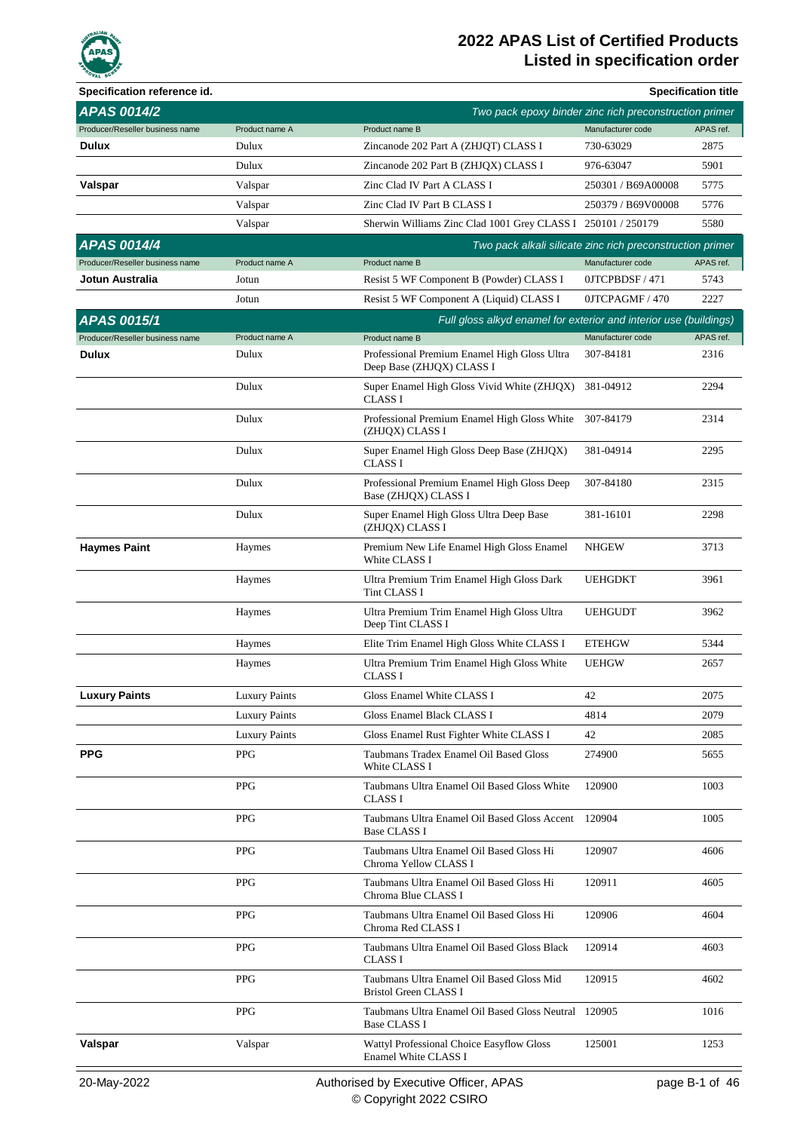

| Specification reference id.     |                      |                                                                             |                                                           | <b>Specification title</b> |
|---------------------------------|----------------------|-----------------------------------------------------------------------------|-----------------------------------------------------------|----------------------------|
| <b>APAS 0014/2</b>              |                      |                                                                             | Two pack epoxy binder zinc rich preconstruction primer    |                            |
| Producer/Reseller business name | Product name A       | Product name B                                                              | Manufacturer code                                         | APAS ref.                  |
| <b>Dulux</b>                    | Dulux                | Zincanode 202 Part A (ZHJQT) CLASS I                                        | 730-63029                                                 | 2875                       |
|                                 | Dulux                | Zincanode 202 Part B (ZHJQX) CLASS I                                        | 976-63047                                                 | 5901                       |
| Valspar                         | Valspar              | Zinc Clad IV Part A CLASS I                                                 | 250301 / B69A00008                                        | 5775                       |
|                                 | Valspar              | Zinc Clad IV Part B CLASS I                                                 | 250379 / B69V00008                                        | 5776                       |
|                                 | Valspar              | Sherwin Williams Zinc Clad 1001 Grey CLASS I 250101 / 250179                |                                                           | 5580                       |
| <b>APAS 0014/4</b>              |                      |                                                                             | Two pack alkali silicate zinc rich preconstruction primer |                            |
| Producer/Reseller business name | Product name A       | Product name B                                                              | Manufacturer code                                         | APAS ref.                  |
| Jotun Australia                 | Jotun                | Resist 5 WF Component B (Powder) CLASS I                                    | 0JTCPBDSF/471                                             | 5743                       |
|                                 | Jotun                | Resist 5 WF Component A (Liquid) CLASS I                                    | 0JTCPAGMF / 470                                           | 2227                       |
| <b>APAS 0015/1</b>              |                      | Full gloss alkyd enamel for exterior and interior use (buildings)           |                                                           |                            |
| Producer/Reseller business name | Product name A       | Product name B                                                              | Manufacturer code                                         | APAS ref.                  |
| Dulux                           | Dulux                | Professional Premium Enamel High Gloss Ultra<br>Deep Base (ZHJQX) CLASS I   | 307-84181                                                 | 2316                       |
|                                 | Dulux                | Super Enamel High Gloss Vivid White (ZHJQX)<br><b>CLASS I</b>               | 381-04912                                                 | 2294                       |
|                                 | Dulux                | Professional Premium Enamel High Gloss White<br>(ZHJQX) CLASS I             | 307-84179                                                 | 2314                       |
|                                 | Dulux                | Super Enamel High Gloss Deep Base (ZHJQX)<br><b>CLASS I</b>                 | 381-04914                                                 | 2295                       |
|                                 | Dulux                | Professional Premium Enamel High Gloss Deep<br>Base (ZHJQX) CLASS I         | 307-84180                                                 | 2315                       |
|                                 | Dulux                | Super Enamel High Gloss Ultra Deep Base<br>(ZHJQX) CLASS I                  | 381-16101                                                 | 2298                       |
| <b>Haymes Paint</b>             | Haymes               | Premium New Life Enamel High Gloss Enamel<br>White CLASS I                  | <b>NHGEW</b>                                              | 3713                       |
|                                 | Haymes               | Ultra Premium Trim Enamel High Gloss Dark<br>Tint CLASS I                   | <b>UEHGDKT</b>                                            | 3961                       |
|                                 | Haymes               | Ultra Premium Trim Enamel High Gloss Ultra<br>Deep Tint CLASS I             | <b>UEHGUDT</b>                                            | 3962                       |
|                                 | Haymes               | Elite Trim Enamel High Gloss White CLASS I                                  | <b>ETEHGW</b>                                             | 5344                       |
|                                 | Haymes               | Ultra Premium Trim Enamel High Gloss White<br><b>CLASS I</b>                | <b>UEHGW</b>                                              | 2657                       |
| <b>Luxury Paints</b>            | <b>Luxury Paints</b> | Gloss Enamel White CLASS I                                                  | 42                                                        | 2075                       |
|                                 | <b>Luxury Paints</b> | Gloss Enamel Black CLASS I                                                  | 4814                                                      | 2079                       |
|                                 | <b>Luxury Paints</b> | Gloss Enamel Rust Fighter White CLASS I                                     | 42                                                        | 2085                       |
| <b>PPG</b>                      | <b>PPG</b>           | Taubmans Tradex Enamel Oil Based Gloss<br>White CLASS I                     | 274900                                                    | 5655                       |
|                                 | <b>PPG</b>           | Taubmans Ultra Enamel Oil Based Gloss White<br><b>CLASS I</b>               | 120900                                                    | 1003                       |
|                                 | <b>PPG</b>           | Taubmans Ultra Enamel Oil Based Gloss Accent<br><b>Base CLASS I</b>         | 120904                                                    | 1005                       |
|                                 | <b>PPG</b>           | Taubmans Ultra Enamel Oil Based Gloss Hi<br>Chroma Yellow CLASS I           | 120907                                                    | 4606                       |
|                                 | <b>PPG</b>           | Taubmans Ultra Enamel Oil Based Gloss Hi<br>Chroma Blue CLASS I             | 120911                                                    | 4605                       |
|                                 | <b>PPG</b>           | Taubmans Ultra Enamel Oil Based Gloss Hi<br>Chroma Red CLASS I              | 120906                                                    | 4604                       |
|                                 | <b>PPG</b>           | Taubmans Ultra Enamel Oil Based Gloss Black<br><b>CLASS I</b>               | 120914                                                    | 4603                       |
|                                 | <b>PPG</b>           | Taubmans Ultra Enamel Oil Based Gloss Mid<br>Bristol Green CLASS I          | 120915                                                    | 4602                       |
|                                 | <b>PPG</b>           | Taubmans Ultra Enamel Oil Based Gloss Neutral 120905<br><b>Base CLASS I</b> |                                                           | 1016                       |
| Valspar                         | Valspar              | Wattyl Professional Choice Easyflow Gloss<br>Enamel White CLASS I           | 125001                                                    | 1253                       |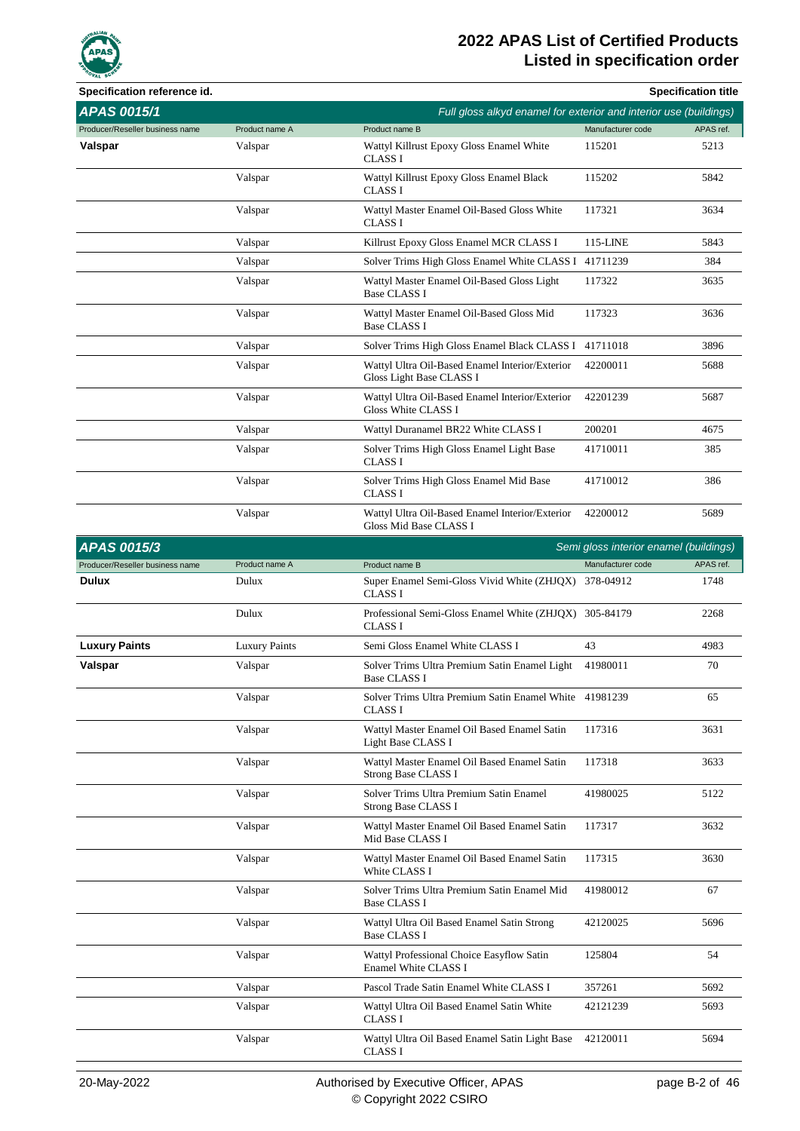

| Specification reference id.     |                      |                                                                             |                                        | <b>Specification title</b> |
|---------------------------------|----------------------|-----------------------------------------------------------------------------|----------------------------------------|----------------------------|
| <b>APAS 0015/1</b>              |                      | Full gloss alkyd enamel for exterior and interior use (buildings)           |                                        |                            |
| Producer/Reseller business name | Product name A       | Product name B                                                              | Manufacturer code                      | APAS ref.                  |
| Valspar                         | Valspar              | Wattyl Killrust Epoxy Gloss Enamel White<br><b>CLASS I</b>                  | 115201                                 | 5213                       |
|                                 | Valspar              | Wattyl Killrust Epoxy Gloss Enamel Black<br><b>CLASS I</b>                  | 115202                                 | 5842                       |
|                                 | Valspar              | Wattyl Master Enamel Oil-Based Gloss White<br><b>CLASS I</b>                | 117321                                 | 3634                       |
|                                 | Valspar              | Killrust Epoxy Gloss Enamel MCR CLASS I                                     | 115-LINE                               | 5843                       |
|                                 | Valspar              | Solver Trims High Gloss Enamel White CLASS I 41711239                       |                                        | 384                        |
|                                 | Valspar              | Wattyl Master Enamel Oil-Based Gloss Light<br><b>Base CLASS I</b>           | 117322                                 | 3635                       |
|                                 | Valspar              | Wattyl Master Enamel Oil-Based Gloss Mid<br><b>Base CLASS I</b>             | 117323                                 | 3636                       |
|                                 | Valspar              | Solver Trims High Gloss Enamel Black CLASS I 41711018                       |                                        | 3896                       |
|                                 | Valspar              | Wattyl Ultra Oil-Based Enamel Interior/Exterior<br>Gloss Light Base CLASS I | 42200011                               | 5688                       |
|                                 | Valspar              | Wattyl Ultra Oil-Based Enamel Interior/Exterior<br>Gloss White CLASS I      | 42201239                               | 5687                       |
|                                 | Valspar              | Wattyl Duranamel BR22 White CLASS I                                         | 200201                                 | 4675                       |
|                                 | Valspar              | Solver Trims High Gloss Enamel Light Base<br><b>CLASS I</b>                 | 41710011                               | 385                        |
|                                 | Valspar              | Solver Trims High Gloss Enamel Mid Base<br><b>CLASS I</b>                   | 41710012                               | 386                        |
|                                 | Valspar              | Wattyl Ultra Oil-Based Enamel Interior/Exterior<br>Gloss Mid Base CLASS I   | 42200012                               | 5689                       |
| <b>APAS 0015/3</b>              |                      |                                                                             | Semi gloss interior enamel (buildings) |                            |
| Producer/Reseller business name | Product name A       | Product name B                                                              | Manufacturer code                      | APAS ref.                  |
| Dulux                           | Dulux                | Super Enamel Semi-Gloss Vivid White (ZHJQX) 378-04912<br><b>CLASS I</b>     |                                        | 1748                       |
|                                 | Dulux                | Professional Semi-Gloss Enamel White (ZHJQX) 305-84179<br><b>CLASS I</b>    |                                        | 2268                       |
| <b>Luxury Paints</b>            | <b>Luxury Paints</b> | Semi Gloss Enamel White CLASS I                                             | 43                                     | 4983                       |
| Valspar                         | Valspar              | Solver Trims Ultra Premium Satin Enamel Light<br>Base CLASS I               | 41980011                               | 70                         |
|                                 | Valspar              | Solver Trims Ultra Premium Satin Enamel White 41981239<br><b>CLASS I</b>    |                                        | 65                         |
|                                 | Valspar              | Wattyl Master Enamel Oil Based Enamel Satin<br>Light Base CLASS I           | 117316                                 | 3631                       |
|                                 | Valspar              | Wattyl Master Enamel Oil Based Enamel Satin<br>Strong Base CLASS I          | 117318                                 | 3633                       |
|                                 | Valspar              | Solver Trims Ultra Premium Satin Enamel<br>Strong Base CLASS I              | 41980025                               | 5122                       |
|                                 | Valspar              | Wattyl Master Enamel Oil Based Enamel Satin<br>Mid Base CLASS I             | 117317                                 | 3632                       |
|                                 | Valspar              | Wattyl Master Enamel Oil Based Enamel Satin<br>White CLASS I                | 117315                                 | 3630                       |
|                                 | Valspar              | Solver Trims Ultra Premium Satin Enamel Mid<br><b>Base CLASS I</b>          | 41980012                               | 67                         |
|                                 | Valspar              | Wattyl Ultra Oil Based Enamel Satin Strong<br><b>Base CLASS I</b>           | 42120025                               | 5696                       |
|                                 | Valspar              | Wattyl Professional Choice Easyflow Satin<br>Enamel White CLASS I           | 125804                                 | 54                         |
|                                 | Valspar              | Pascol Trade Satin Enamel White CLASS I                                     | 357261                                 | 5692                       |
|                                 | Valspar              | Wattyl Ultra Oil Based Enamel Satin White<br>CLASS I                        | 42121239                               | 5693                       |
|                                 | Valspar              | Wattyl Ultra Oil Based Enamel Satin Light Base<br>CLASS I                   | 42120011                               | 5694                       |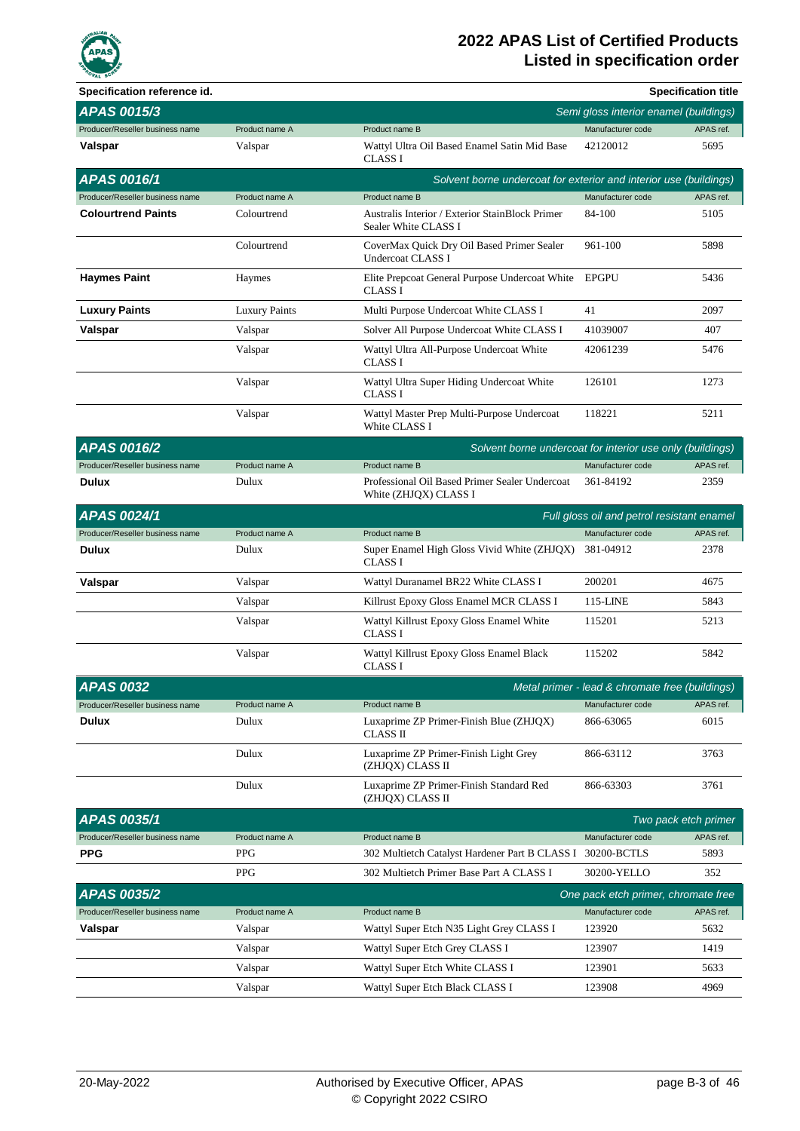

| Specification reference id.     |                      |                                                                         |                                                 | <b>Specification title</b> |
|---------------------------------|----------------------|-------------------------------------------------------------------------|-------------------------------------------------|----------------------------|
| APAS 0015/3                     |                      |                                                                         | Semi gloss interior enamel (buildings)          |                            |
| Producer/Reseller business name | Product name A       | Product name B                                                          | Manufacturer code                               | APAS ref.                  |
| Valspar                         | Valspar              | Wattyl Ultra Oil Based Enamel Satin Mid Base<br><b>CLASS I</b>          | 42120012                                        | 5695                       |
| <b>APAS 0016/1</b>              |                      | Solvent borne undercoat for exterior and interior use (buildings)       |                                                 |                            |
| Producer/Reseller business name | Product name A       | Product name B                                                          | Manufacturer code                               | APAS ref.                  |
| <b>Colourtrend Paints</b>       | Colourtrend          | Australis Interior / Exterior StainBlock Primer<br>Sealer White CLASS I | 84-100                                          | 5105                       |
|                                 | Colourtrend          | CoverMax Quick Dry Oil Based Primer Sealer<br><b>Undercoat CLASS I</b>  | 961-100                                         | 5898                       |
| <b>Haymes Paint</b>             | Haymes               | Elite Prepcoat General Purpose Undercoat White<br><b>CLASS I</b>        | <b>EPGPU</b>                                    | 5436                       |
| <b>Luxury Paints</b>            | <b>Luxury Paints</b> | Multi Purpose Undercoat White CLASS I                                   | 41                                              | 2097                       |
| Valspar                         | Valspar              | Solver All Purpose Undercoat White CLASS I                              | 41039007                                        | 407                        |
|                                 | Valspar              | Wattyl Ultra All-Purpose Undercoat White<br><b>CLASS I</b>              | 42061239                                        | 5476                       |
|                                 | Valspar              | Wattyl Ultra Super Hiding Undercoat White<br><b>CLASS I</b>             | 126101                                          | 1273                       |
|                                 | Valspar              | Wattyl Master Prep Multi-Purpose Undercoat<br>White CLASS I             | 118221                                          | 5211                       |
| <b>APAS 0016/2</b>              |                      | Solvent borne undercoat for interior use only (buildings)               |                                                 |                            |
| Producer/Reseller business name | Product name A       | Product name B                                                          | Manufacturer code                               | APAS ref.                  |
| Dulux                           | Dulux                | Professional Oil Based Primer Sealer Undercoat<br>White (ZHJQX) CLASS I | 361-84192                                       | 2359                       |
| APAS 0024/1                     |                      |                                                                         | Full gloss oil and petrol resistant enamel      |                            |
| Producer/Reseller business name | Product name A       | Product name B                                                          | Manufacturer code                               | APAS ref.                  |
| Dulux                           | Dulux                | Super Enamel High Gloss Vivid White (ZHJQX)<br><b>CLASS I</b>           | 381-04912                                       | 2378                       |
| Valspar                         | Valspar              | Wattyl Duranamel BR22 White CLASS I                                     | 200201                                          | 4675                       |
|                                 | Valspar              | Killrust Epoxy Gloss Enamel MCR CLASS I                                 | 115-LINE                                        | 5843                       |
|                                 | Valspar              | Wattyl Killrust Epoxy Gloss Enamel White<br><b>CLASS I</b>              | 115201                                          | 5213                       |
|                                 | Valspar              | Wattyl Killrust Epoxy Gloss Enamel Black<br><b>CLASS I</b>              | 115202                                          | 5842                       |
| <b>APAS 0032</b>                |                      |                                                                         | Metal primer - lead & chromate free (buildings) |                            |
| Producer/Reseller business name | Product name A       | Product name B                                                          | Manufacturer code                               | APAS ref.                  |
| Dulux                           | Dulux                | Luxaprime ZP Primer-Finish Blue (ZHJQX)<br>CLASS II                     | 866-63065                                       | 6015                       |
|                                 | Dulux                | Luxaprime ZP Primer-Finish Light Grey<br>(ZHJQX) CLASS II               | 866-63112                                       | 3763                       |
|                                 | Dulux                | Luxaprime ZP Primer-Finish Standard Red<br>(ZHJOX) CLASS II             | 866-63303                                       | 3761                       |
| APAS 0035/1                     |                      |                                                                         |                                                 | Two pack etch primer       |
| Producer/Reseller business name | Product name A       | Product name B                                                          | Manufacturer code                               | APAS ref.                  |
| <b>PPG</b>                      | <b>PPG</b>           | 302 Multietch Catalyst Hardener Part B CLASS I                          | 30200-BCTLS                                     | 5893                       |
|                                 | <b>PPG</b>           | 302 Multietch Primer Base Part A CLASS I                                | 30200-YELLO                                     | 352                        |
| APAS 0035/2                     |                      |                                                                         | One pack etch primer, chromate free             |                            |
| Producer/Reseller business name | Product name A       | Product name B                                                          | Manufacturer code                               | APAS ref.                  |
| Valspar                         | Valspar              | Wattyl Super Etch N35 Light Grey CLASS I                                | 123920                                          | 5632                       |
|                                 | Valspar              | Wattyl Super Etch Grey CLASS I                                          | 123907                                          | 1419                       |
|                                 | Valspar              | Wattyl Super Etch White CLASS I                                         | 123901                                          | 5633                       |
|                                 | Valspar              | Wattyl Super Etch Black CLASS I                                         | 123908                                          | 4969                       |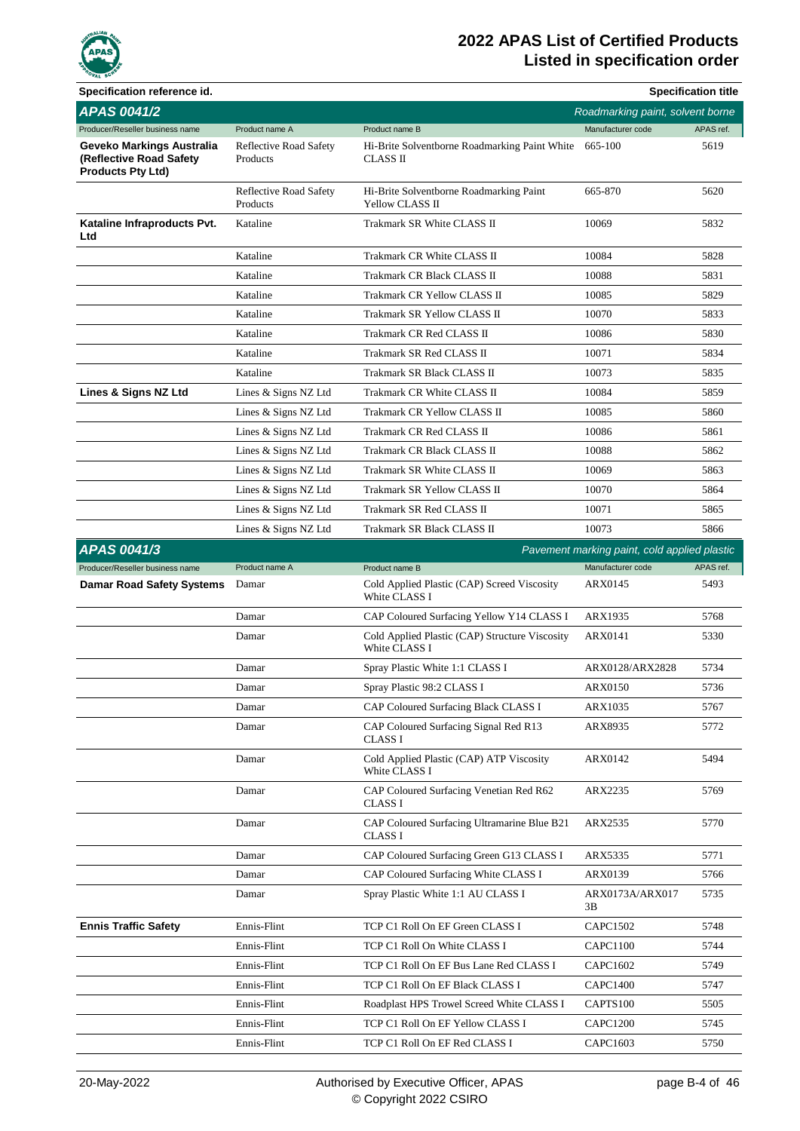

| Specification reference id.                                                      |                                           |                                                                 |                                              | <b>Specification title</b> |
|----------------------------------------------------------------------------------|-------------------------------------------|-----------------------------------------------------------------|----------------------------------------------|----------------------------|
| <b>APAS 0041/2</b>                                                               |                                           |                                                                 | Roadmarking paint, solvent borne             |                            |
| Producer/Reseller business name                                                  | Product name A                            | Product name B                                                  | Manufacturer code                            | APAS ref.                  |
| Geveko Markings Australia<br>(Reflective Road Safety<br><b>Products Pty Ltd)</b> | <b>Reflective Road Safety</b><br>Products | Hi-Brite Solventborne Roadmarking Paint White<br>CLASS II       | 665-100                                      | 5619                       |
|                                                                                  | <b>Reflective Road Safety</b><br>Products | Hi-Brite Solventborne Roadmarking Paint<br>Yellow CLASS II      | 665-870                                      | 5620                       |
| Kataline Infraproducts Pvt.<br>Ltd                                               | Kataline                                  | Trakmark SR White CLASS II                                      | 10069                                        | 5832                       |
|                                                                                  | Kataline                                  | Trakmark CR White CLASS II                                      | 10084                                        | 5828                       |
|                                                                                  | Kataline                                  | Trakmark CR Black CLASS II                                      | 10088                                        | 5831                       |
|                                                                                  | Kataline                                  | Trakmark CR Yellow CLASS II                                     | 10085                                        | 5829                       |
|                                                                                  | Kataline                                  | Trakmark SR Yellow CLASS II                                     | 10070                                        | 5833                       |
|                                                                                  | Kataline                                  | Trakmark CR Red CLASS II                                        | 10086                                        | 5830                       |
|                                                                                  | Kataline                                  | Trakmark SR Red CLASS II                                        | 10071                                        | 5834                       |
|                                                                                  | Kataline                                  | Trakmark SR Black CLASS II                                      | 10073                                        | 5835                       |
| Lines & Signs NZ Ltd                                                             | Lines & Signs NZ Ltd                      | Trakmark CR White CLASS II                                      | 10084                                        | 5859                       |
|                                                                                  | Lines & Signs NZ Ltd                      | Trakmark CR Yellow CLASS II                                     | 10085                                        | 5860                       |
|                                                                                  | Lines & Signs NZ Ltd                      | Trakmark CR Red CLASS II                                        | 10086                                        | 5861                       |
|                                                                                  | Lines & Signs NZ Ltd                      | Trakmark CR Black CLASS II                                      | 10088                                        | 5862                       |
|                                                                                  | Lines & Signs NZ Ltd                      | Trakmark SR White CLASS II                                      | 10069                                        | 5863                       |
|                                                                                  | Lines & Signs NZ Ltd                      | Trakmark SR Yellow CLASS II                                     | 10070                                        | 5864                       |
|                                                                                  | Lines & Signs NZ Ltd                      | Trakmark SR Red CLASS II                                        | 10071                                        | 5865                       |
|                                                                                  | Lines & Signs NZ Ltd                      | Trakmark SR Black CLASS II                                      | 10073                                        | 5866                       |
| <b>APAS 0041/3</b>                                                               |                                           |                                                                 | Pavement marking paint, cold applied plastic |                            |
| Producer/Reseller business name                                                  | Product name A                            | Product name B                                                  | Manufacturer code                            | APAS ref.                  |
| <b>Damar Road Safety Systems</b>                                                 | Damar                                     | Cold Applied Plastic (CAP) Screed Viscosity<br>White CLASS I    | <b>ARX0145</b>                               | 5493                       |
|                                                                                  | Damar                                     | CAP Coloured Surfacing Yellow Y14 CLASS I                       | ARX1935                                      | 5768                       |
|                                                                                  | Damar                                     | Cold Applied Plastic (CAP) Structure Viscosity<br>White CLASS I | ARX0141                                      | 5330                       |
|                                                                                  | Damar                                     | Spray Plastic White 1:1 CLASS I                                 | ARX0128/ARX2828                              | 5734                       |
|                                                                                  | Damar                                     | Spray Plastic 98:2 CLASS I                                      | ARX0150                                      | 5736                       |
|                                                                                  | Damar                                     | CAP Coloured Surfacing Black CLASS I                            | ARX1035                                      | 5767                       |
|                                                                                  | Damar                                     | CAP Coloured Surfacing Signal Red R13<br>CLASS I                | ARX8935                                      | 5772                       |
|                                                                                  | Damar                                     | Cold Applied Plastic (CAP) ATP Viscosity<br>White CLASS I       | ARX0142                                      | 5494                       |
|                                                                                  | Damar                                     | CAP Coloured Surfacing Venetian Red R62<br>CLASS I              | ARX2235                                      | 5769                       |
|                                                                                  | Damar                                     | CAP Coloured Surfacing Ultramarine Blue B21<br>CLASS I          | ARX2535                                      | 5770                       |
|                                                                                  | Damar                                     | CAP Coloured Surfacing Green G13 CLASS I                        | ARX5335                                      | 5771                       |
|                                                                                  | Damar                                     | CAP Coloured Surfacing White CLASS I                            | ARX0139                                      | 5766                       |
|                                                                                  | Damar                                     | Spray Plastic White 1:1 AU CLASS I                              | ARX0173A/ARX017<br>3В                        | 5735                       |
| <b>Ennis Traffic Safety</b>                                                      | Ennis-Flint                               | TCP C1 Roll On EF Green CLASS I                                 | <b>CAPC1502</b>                              | 5748                       |
|                                                                                  | Ennis-Flint                               | TCP C1 Roll On White CLASS I                                    | <b>CAPC1100</b>                              | 5744                       |
|                                                                                  | Ennis-Flint                               | TCP C1 Roll On EF Bus Lane Red CLASS I                          | <b>CAPC1602</b>                              | 5749                       |
|                                                                                  | Ennis-Flint                               | TCP C1 Roll On EF Black CLASS I                                 | <b>CAPC1400</b>                              | 5747                       |
|                                                                                  | Ennis-Flint                               | Roadplast HPS Trowel Screed White CLASS I                       | CAPTS100                                     | 5505                       |
|                                                                                  | Ennis-Flint                               | TCP C1 Roll On EF Yellow CLASS I                                | <b>CAPC1200</b>                              | 5745                       |
|                                                                                  | Ennis-Flint                               | TCP C1 Roll On EF Red CLASS I                                   | CAPC1603                                     | 5750                       |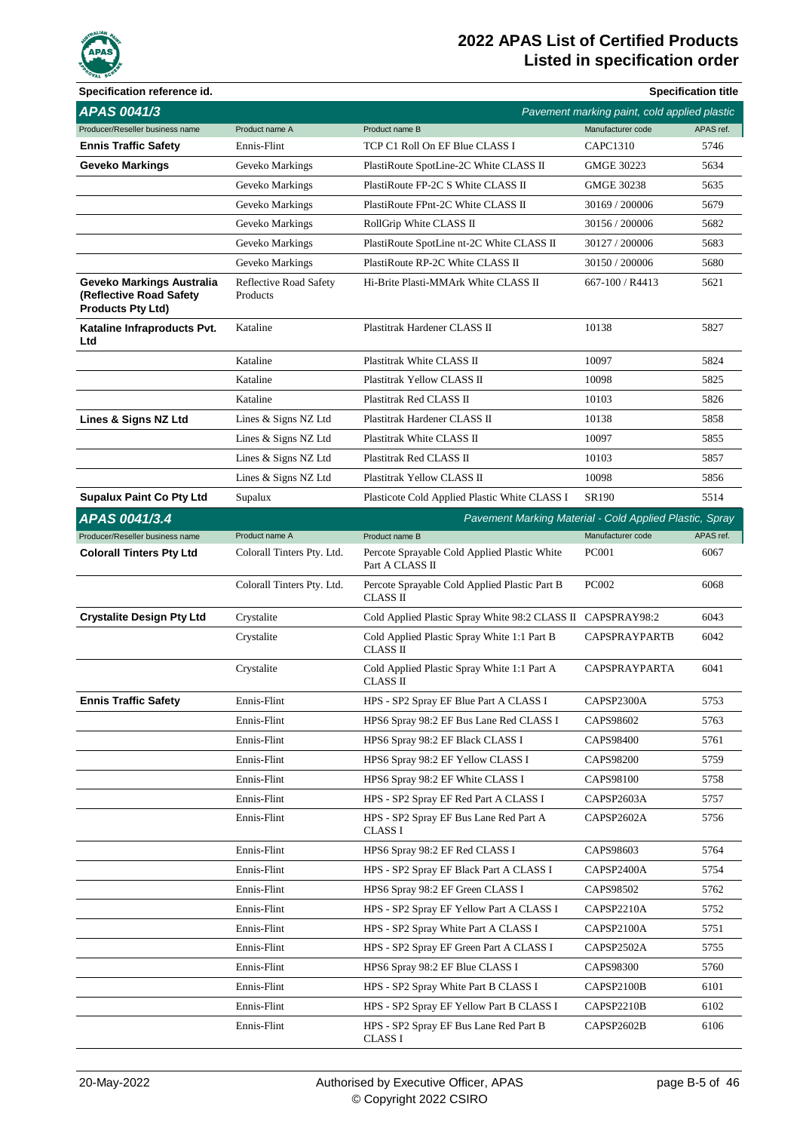

| Specification reference id.                                                      |                                           |                                                                 |                                              | <b>Specification title</b> |
|----------------------------------------------------------------------------------|-------------------------------------------|-----------------------------------------------------------------|----------------------------------------------|----------------------------|
| APAS 0041/3                                                                      |                                           |                                                                 | Pavement marking paint, cold applied plastic |                            |
| Producer/Reseller business name                                                  | Product name A                            | Product name B                                                  | Manufacturer code                            | APAS ref.                  |
| <b>Ennis Traffic Safety</b>                                                      | Ennis-Flint                               | TCP C1 Roll On EF Blue CLASS I                                  | <b>CAPC1310</b>                              | 5746                       |
| <b>Geveko Markings</b>                                                           | Geveko Markings                           | PlastiRoute SpotLine-2C White CLASS II                          | <b>GMGE 30223</b>                            | 5634                       |
|                                                                                  | Geveko Markings                           | PlastiRoute FP-2C S White CLASS II                              | <b>GMGE 30238</b>                            | 5635                       |
|                                                                                  | Geveko Markings                           | PlastiRoute FPnt-2C White CLASS II                              | 30169 / 200006                               | 5679                       |
|                                                                                  | Geveko Markings                           | RollGrip White CLASS II                                         | 30156 / 200006                               | 5682                       |
|                                                                                  | Geveko Markings                           | PlastiRoute SpotLine nt-2C White CLASS II                       | 30127 / 200006                               | 5683                       |
|                                                                                  | Geveko Markings                           | PlastiRoute RP-2C White CLASS II                                | 30150 / 200006                               | 5680                       |
| Geveko Markings Australia<br>(Reflective Road Safety<br><b>Products Pty Ltd)</b> | <b>Reflective Road Safety</b><br>Products | Hi-Brite Plasti-MMArk White CLASS II                            | 667-100 / R4413                              | 5621                       |
| Kataline Infraproducts Pvt.<br>Ltd                                               | Kataline                                  | Plastitrak Hardener CLASS II                                    | 10138                                        | 5827                       |
|                                                                                  | Kataline                                  | Plastitrak White CLASS II                                       | 10097                                        | 5824                       |
|                                                                                  | Kataline                                  | Plastitrak Yellow CLASS II                                      | 10098                                        | 5825                       |
|                                                                                  | Kataline                                  | Plastitrak Red CLASS II                                         | 10103                                        | 5826                       |
| Lines & Signs NZ Ltd                                                             | Lines & Signs NZ Ltd                      | Plastitrak Hardener CLASS II                                    | 10138                                        | 5858                       |
|                                                                                  | Lines & Signs NZ Ltd                      | Plastitrak White CLASS II                                       | 10097                                        | 5855                       |
|                                                                                  | Lines & Signs NZ Ltd                      | Plastitrak Red CLASS II                                         | 10103                                        | 5857                       |
|                                                                                  | Lines & Signs NZ Ltd                      | Plastitrak Yellow CLASS II                                      | 10098                                        | 5856                       |
| <b>Supalux Paint Co Pty Ltd</b>                                                  | Supalux                                   | Plasticote Cold Applied Plastic White CLASS I                   | SR190                                        | 5514                       |
| APAS 0041/3.4                                                                    |                                           | Pavement Marking Material - Cold Applied Plastic, Spray         |                                              |                            |
| Producer/Reseller business name                                                  | Product name A                            | Product name B                                                  | Manufacturer code                            | APAS ref.                  |
| <b>Colorall Tinters Pty Ltd</b>                                                  | Colorall Tinters Pty. Ltd.                | Percote Sprayable Cold Applied Plastic White<br>Part A CLASS II | <b>PC001</b>                                 | 6067                       |
|                                                                                  | Colorall Tinters Pty. Ltd.                | Percote Sprayable Cold Applied Plastic Part B<br>CLASS II       | <b>PC002</b>                                 | 6068                       |
| <b>Crystalite Design Pty Ltd</b>                                                 | Crystalite                                | Cold Applied Plastic Spray White 98:2 CLASS II CAPSPRAY98:2     |                                              | 6043                       |
|                                                                                  | Crystalite                                | Cold Applied Plastic Spray White 1:1 Part B<br>CLASS II         | <b>CAPSPRAYPARTB</b>                         | 6042                       |
|                                                                                  | Crystalite                                | Cold Applied Plastic Spray White 1:1 Part A<br>CLASS II         | <b>CAPSPRAYPARTA</b>                         | 6041                       |
| <b>Ennis Traffic Safety</b>                                                      | Ennis-Flint                               | HPS - SP2 Spray EF Blue Part A CLASS I                          | CAPSP2300A                                   | 5753                       |
|                                                                                  | Ennis-Flint                               | HPS6 Spray 98:2 EF Bus Lane Red CLASS I                         | CAPS98602                                    | 5763                       |
|                                                                                  | Ennis-Flint                               | HPS6 Spray 98:2 EF Black CLASS I                                | CAPS98400                                    | 5761                       |
|                                                                                  | Ennis-Flint                               | HPS6 Spray 98:2 EF Yellow CLASS I                               | CAPS98200                                    | 5759                       |
|                                                                                  | Ennis-Flint                               | HPS6 Spray 98:2 EF White CLASS I                                | CAPS98100                                    | 5758                       |
|                                                                                  | Ennis-Flint                               | HPS - SP2 Spray EF Red Part A CLASS I                           | CAPSP2603A                                   | 5757                       |
|                                                                                  | Ennis-Flint                               | HPS - SP2 Spray EF Bus Lane Red Part A<br>CLASS I               | CAPSP2602A                                   | 5756                       |
|                                                                                  | Ennis-Flint                               | HPS6 Spray 98:2 EF Red CLASS I                                  | CAPS98603                                    | 5764                       |
|                                                                                  | Ennis-Flint                               | HPS - SP2 Spray EF Black Part A CLASS I                         | CAPSP2400A                                   | 5754                       |
|                                                                                  | Ennis-Flint                               | HPS6 Spray 98:2 EF Green CLASS I                                | CAPS98502                                    | 5762                       |
|                                                                                  | Ennis-Flint                               | HPS - SP2 Spray EF Yellow Part A CLASS I                        | CAPSP2210A                                   | 5752                       |
|                                                                                  | Ennis-Flint                               | HPS - SP2 Spray White Part A CLASS I                            | CAPSP2100A                                   | 5751                       |
|                                                                                  | Ennis-Flint                               | HPS - SP2 Spray EF Green Part A CLASS I                         | CAPSP2502A                                   | 5755                       |
|                                                                                  | Ennis-Flint                               | HPS6 Spray 98:2 EF Blue CLASS I                                 | CAPS98300                                    | 5760                       |
|                                                                                  | Ennis-Flint                               | HPS - SP2 Spray White Part B CLASS I                            | CAPSP2100B                                   | 6101                       |
|                                                                                  | Ennis-Flint                               | HPS - SP2 Spray EF Yellow Part B CLASS I                        | CAPSP2210B                                   | 6102                       |
|                                                                                  | Ennis-Flint                               | HPS - SP2 Spray EF Bus Lane Red Part B<br>CLASS I               | CAPSP2602B                                   | 6106                       |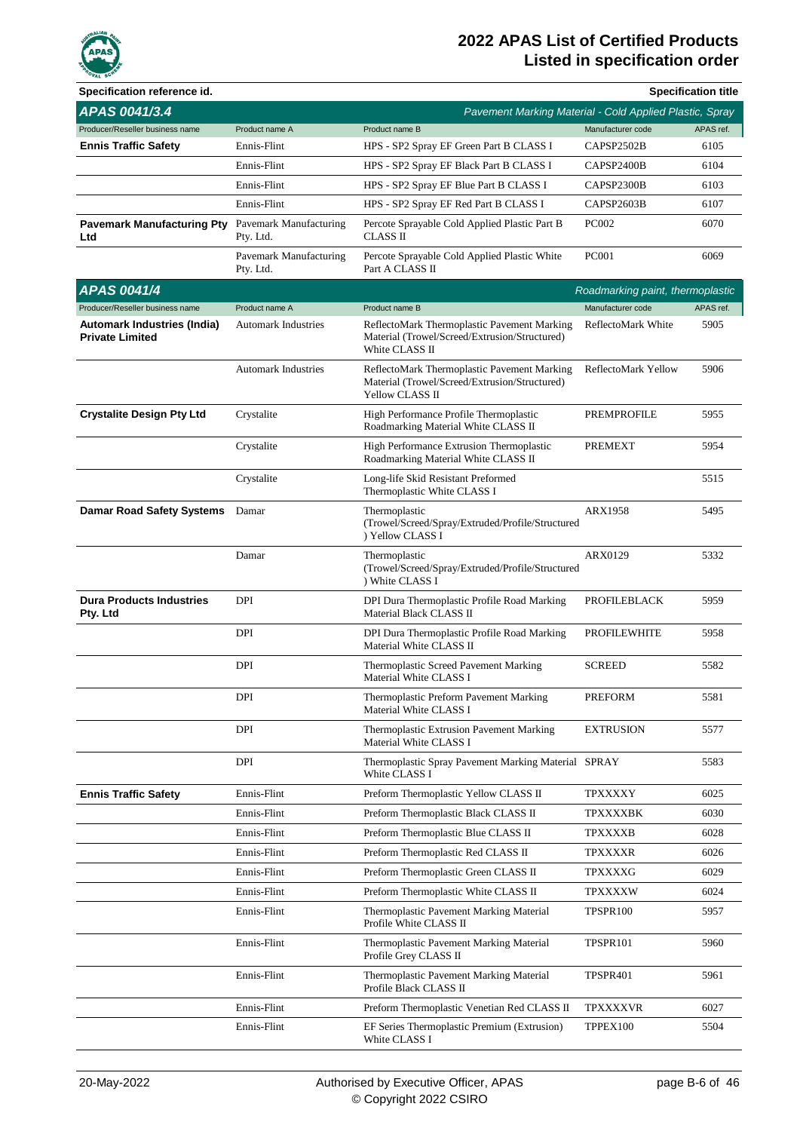

| Specification reference id.                                  |                                     |                                                                                                                 |                                  | <b>Specification title</b> |
|--------------------------------------------------------------|-------------------------------------|-----------------------------------------------------------------------------------------------------------------|----------------------------------|----------------------------|
| APAS 0041/3.4                                                |                                     | Pavement Marking Material - Cold Applied Plastic, Spray                                                         |                                  |                            |
| Producer/Reseller business name                              | Product name A                      | Product name B                                                                                                  | Manufacturer code                | APAS ref.                  |
| <b>Ennis Traffic Safety</b>                                  | Ennis-Flint                         | HPS - SP2 Spray EF Green Part B CLASS I                                                                         | CAPSP2502B                       | 6105                       |
|                                                              | Ennis-Flint                         | HPS - SP2 Spray EF Black Part B CLASS I                                                                         | CAPSP2400B                       | 6104                       |
|                                                              | Ennis-Flint                         | HPS - SP2 Spray EF Blue Part B CLASS I                                                                          | CAPSP2300B                       | 6103                       |
|                                                              | Ennis-Flint                         | HPS - SP2 Spray EF Red Part B CLASS I                                                                           | CAPSP2603B                       | 6107                       |
| <b>Pavemark Manufacturing Pty</b><br>Ltd                     | Pavemark Manufacturing<br>Pty. Ltd. | Percote Sprayable Cold Applied Plastic Part B<br><b>CLASS II</b>                                                | <b>PC002</b>                     | 6070                       |
|                                                              | Pavemark Manufacturing<br>Pty. Ltd. | Percote Sprayable Cold Applied Plastic White<br>Part A CLASS II                                                 | <b>PC001</b>                     | 6069                       |
| <b>APAS 0041/4</b>                                           |                                     |                                                                                                                 | Roadmarking paint, thermoplastic |                            |
| Producer/Reseller business name                              | Product name A                      | Product name B                                                                                                  | Manufacturer code                | APAS ref.                  |
| <b>Automark Industries (India)</b><br><b>Private Limited</b> | <b>Automark Industries</b>          | ReflectoMark Thermoplastic Pavement Marking<br>Material (Trowel/Screed/Extrusion/Structured)<br>White CLASS II  | ReflectoMark White               | 5905                       |
|                                                              | <b>Automark Industries</b>          | ReflectoMark Thermoplastic Pavement Marking<br>Material (Trowel/Screed/Extrusion/Structured)<br>Yellow CLASS II | ReflectoMark Yellow              | 5906                       |
| <b>Crystalite Design Pty Ltd</b>                             | Crystalite                          | High Performance Profile Thermoplastic<br>Roadmarking Material White CLASS II                                   | PREMPROFILE                      | 5955                       |
|                                                              | Crystalite                          | High Performance Extrusion Thermoplastic<br>Roadmarking Material White CLASS II                                 | PREMEXT                          | 5954                       |
|                                                              | Crystalite                          | Long-life Skid Resistant Preformed<br>Thermoplastic White CLASS I                                               |                                  | 5515                       |
| <b>Damar Road Safety Systems</b>                             | Damar                               | Thermoplastic<br>(Trowel/Screed/Spray/Extruded/Profile/Structured<br>) Yellow CLASS I                           | ARX1958                          | 5495                       |
|                                                              | Damar                               | Thermoplastic<br>(Trowel/Screed/Spray/Extruded/Profile/Structured<br>) White CLASS I                            | ARX0129                          | 5332                       |
| <b>Dura Products Industries</b><br>Pty. Ltd                  | <b>DPI</b>                          | DPI Dura Thermoplastic Profile Road Marking<br>Material Black CLASS II                                          | <b>PROFILEBLACK</b>              | 5959                       |
|                                                              | DPI                                 | DPI Dura Thermoplastic Profile Road Marking<br>Material White CLASS II                                          | <b>PROFILEWHITE</b>              | 5958                       |
|                                                              | DPI                                 | Thermoplastic Screed Pavement Marking<br>Material White CLASS I                                                 | <b>SCREED</b>                    | 5582                       |
|                                                              | DPI                                 | Thermoplastic Preform Pavement Marking<br>Material White CLASS I                                                | <b>PREFORM</b>                   | 5581                       |
|                                                              | DPI                                 | Thermoplastic Extrusion Pavement Marking<br>Material White CLASS I                                              | <b>EXTRUSION</b>                 | 5577                       |
|                                                              | DPI                                 | Thermoplastic Spray Pavement Marking Material SPRAY<br>White CLASS I                                            |                                  | 5583                       |
| <b>Ennis Traffic Safety</b>                                  | Ennis-Flint                         | Preform Thermoplastic Yellow CLASS II                                                                           | <b>TPXXXXY</b>                   | 6025                       |
|                                                              | Ennis-Flint                         | Preform Thermoplastic Black CLASS II                                                                            | TPXXXXBK                         | 6030                       |
|                                                              | Ennis-Flint                         | Preform Thermoplastic Blue CLASS II                                                                             | <b>TPXXXXB</b>                   | 6028                       |
|                                                              | Ennis-Flint                         | Preform Thermoplastic Red CLASS II                                                                              | <b>TPXXXXR</b>                   | 6026                       |
|                                                              | Ennis-Flint                         | Preform Thermoplastic Green CLASS II                                                                            | <b>TPXXXXG</b>                   | 6029                       |
|                                                              | Ennis-Flint                         | Preform Thermoplastic White CLASS II                                                                            | <b>TPXXXXW</b>                   | 6024                       |
|                                                              | Ennis-Flint                         | Thermoplastic Pavement Marking Material<br>Profile White CLASS II                                               | TPSPR100                         | 5957                       |
|                                                              | Ennis-Flint                         | Thermoplastic Pavement Marking Material<br>Profile Grey CLASS II                                                | TPSPR101                         | 5960                       |
|                                                              | Ennis-Flint                         | Thermoplastic Pavement Marking Material<br>Profile Black CLASS II                                               | TPSPR401                         | 5961                       |
|                                                              | Ennis-Flint                         | Preform Thermoplastic Venetian Red CLASS II                                                                     | <b>TPXXXXVR</b>                  | 6027                       |
|                                                              | Ennis-Flint                         | EF Series Thermoplastic Premium (Extrusion)<br>White CLASS I                                                    | TPPEX100                         | 5504                       |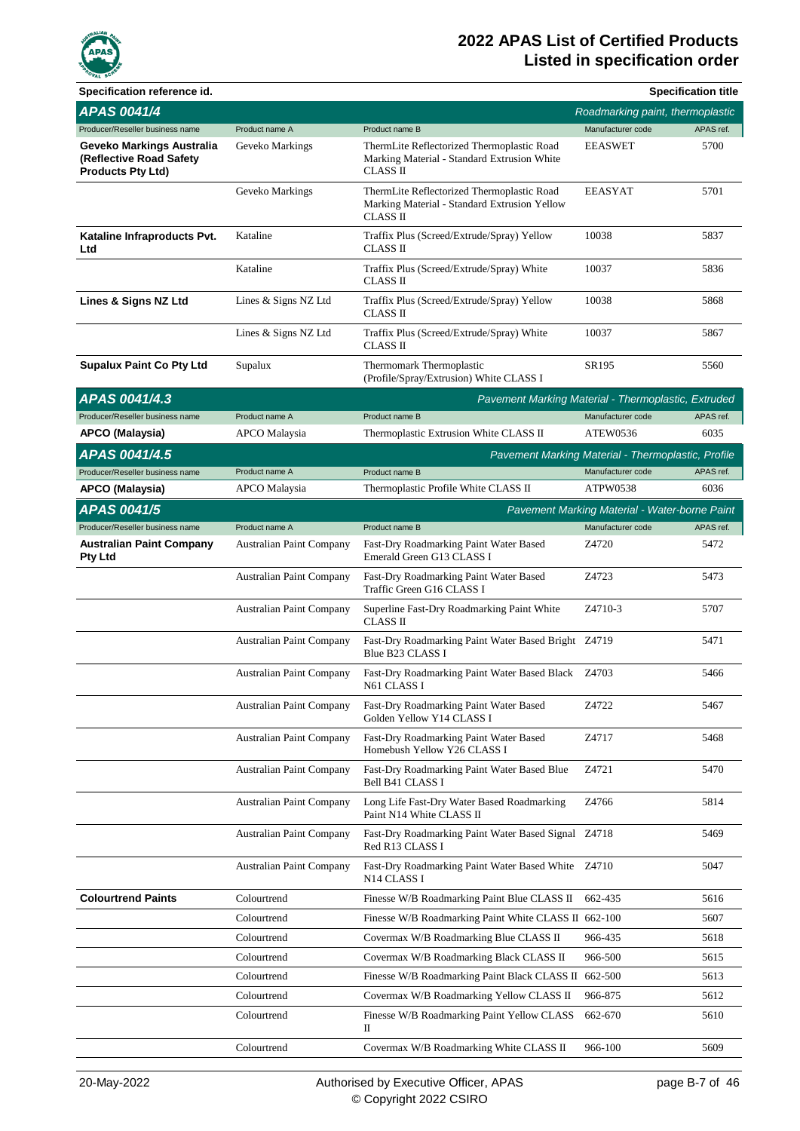

| Specification reference id.                                                      |                                 |                                                                                                              |                                                    | <b>Specification title</b> |
|----------------------------------------------------------------------------------|---------------------------------|--------------------------------------------------------------------------------------------------------------|----------------------------------------------------|----------------------------|
| <b>APAS 0041/4</b>                                                               |                                 |                                                                                                              | Roadmarking paint, thermoplastic                   |                            |
| Producer/Reseller business name                                                  | Product name A                  | Product name B                                                                                               | Manufacturer code                                  | APAS ref.                  |
| Geveko Markings Australia<br>(Reflective Road Safety<br><b>Products Pty Ltd)</b> | Geveko Markings                 | ThermLite Reflectorized Thermoplastic Road<br>Marking Material - Standard Extrusion White<br><b>CLASS II</b> | <b>EEASWET</b>                                     | 5700                       |
|                                                                                  | Geveko Markings                 | ThermLite Reflectorized Thermoplastic Road<br>Marking Material - Standard Extrusion Yellow<br>CLASS II       | <b>EEASYAT</b>                                     | 5701                       |
| Kataline Infraproducts Pvt.<br>Ltd                                               | Kataline                        | Traffix Plus (Screed/Extrude/Spray) Yellow<br>CLASS II                                                       | 10038                                              | 5837                       |
|                                                                                  | Kataline                        | Traffix Plus (Screed/Extrude/Spray) White<br>CLASS II                                                        | 10037                                              | 5836                       |
| Lines & Signs NZ Ltd                                                             | Lines & Signs NZ Ltd            | Traffix Plus (Screed/Extrude/Spray) Yellow<br>CLASS II                                                       | 10038                                              | 5868                       |
|                                                                                  | Lines & Signs NZ Ltd            | Traffix Plus (Screed/Extrude/Spray) White<br><b>CLASS II</b>                                                 | 10037                                              | 5867                       |
| <b>Supalux Paint Co Pty Ltd</b>                                                  | Supalux                         | Thermomark Thermoplastic<br>(Profile/Spray/Extrusion) White CLASS I                                          | SR195                                              | 5560                       |
| APAS 0041/4.3                                                                    |                                 | Pavement Marking Material - Thermoplastic, Extruded                                                          |                                                    |                            |
| Producer/Reseller business name                                                  | Product name A                  | Product name B                                                                                               | Manufacturer code                                  | APAS ref.                  |
| <b>APCO (Malaysia)</b>                                                           | APCO Malaysia                   | Thermoplastic Extrusion White CLASS II                                                                       | ATEW0536                                           | 6035                       |
| APAS 0041/4.5                                                                    |                                 |                                                                                                              | Pavement Marking Material - Thermoplastic, Profile |                            |
| Producer/Reseller business name                                                  | Product name A                  | Product name B                                                                                               | Manufacturer code                                  | APAS ref.                  |
| APCO (Malaysia)                                                                  | APCO Malaysia                   | Thermoplastic Profile White CLASS II                                                                         | ATPW0538                                           | 6036                       |
| <b>APAS 0041/5</b>                                                               |                                 |                                                                                                              | Pavement Marking Material - Water-borne Paint      |                            |
| Producer/Reseller business name                                                  | Product name A                  | Product name B                                                                                               | Manufacturer code                                  | APAS ref.                  |
| <b>Australian Paint Company</b><br><b>Pty Ltd</b>                                | Australian Paint Company        | Fast-Dry Roadmarking Paint Water Based<br>Emerald Green G13 CLASS I                                          | Z4720                                              | 5472                       |
|                                                                                  | Australian Paint Company        | Fast-Dry Roadmarking Paint Water Based<br>Traffic Green G16 CLASS I                                          | Z4723                                              | 5473                       |
|                                                                                  | <b>Australian Paint Company</b> | Superline Fast-Dry Roadmarking Paint White<br><b>CLASS II</b>                                                | Z4710-3                                            | 5707                       |
|                                                                                  | <b>Australian Paint Company</b> | Fast-Dry Roadmarking Paint Water Based Bright Z4719<br>Blue B23 CLASS I                                      |                                                    | 5471                       |
|                                                                                  | <b>Australian Paint Company</b> | Fast-Dry Roadmarking Paint Water Based Black Z4703<br>N61 CLASS I                                            |                                                    | 5466                       |
|                                                                                  | Australian Paint Company        | Fast-Dry Roadmarking Paint Water Based<br>Golden Yellow Y14 CLASS I                                          | Z4722                                              | 5467                       |
|                                                                                  | Australian Paint Company        | Fast-Dry Roadmarking Paint Water Based<br>Homebush Yellow Y26 CLASS I                                        | Z4717                                              | 5468                       |
|                                                                                  | <b>Australian Paint Company</b> | Fast-Dry Roadmarking Paint Water Based Blue<br>Bell B41 CLASS I                                              | Z4721                                              | 5470                       |
|                                                                                  | Australian Paint Company        | Long Life Fast-Dry Water Based Roadmarking<br>Paint N14 White CLASS II                                       | Z4766                                              | 5814                       |
|                                                                                  | <b>Australian Paint Company</b> | Fast-Dry Roadmarking Paint Water Based Signal Z4718<br>Red R13 CLASS I                                       |                                                    | 5469                       |
|                                                                                  | <b>Australian Paint Company</b> | Fast-Dry Roadmarking Paint Water Based White Z4710<br>N14 CLASS I                                            |                                                    | 5047                       |
| <b>Colourtrend Paints</b>                                                        | Colourtrend                     | Finesse W/B Roadmarking Paint Blue CLASS II                                                                  | 662-435                                            | 5616                       |
|                                                                                  | Colourtrend                     | Finesse W/B Roadmarking Paint White CLASS II 662-100                                                         |                                                    | 5607                       |
|                                                                                  | Colourtrend                     | Covermax W/B Roadmarking Blue CLASS II                                                                       | 966-435                                            | 5618                       |
|                                                                                  | Colourtrend                     | Covermax W/B Roadmarking Black CLASS II                                                                      | 966-500                                            | 5615                       |
|                                                                                  | Colourtrend                     | Finesse W/B Roadmarking Paint Black CLASS II 662-500                                                         |                                                    | 5613                       |
|                                                                                  | Colourtrend                     | Covermax W/B Roadmarking Yellow CLASS II                                                                     | 966-875                                            | 5612                       |
|                                                                                  | Colourtrend                     | Finesse W/B Roadmarking Paint Yellow CLASS<br>П                                                              | 662-670                                            | 5610                       |
|                                                                                  | Colourtrend                     | Covermax W/B Roadmarking White CLASS II                                                                      | 966-100                                            | 5609                       |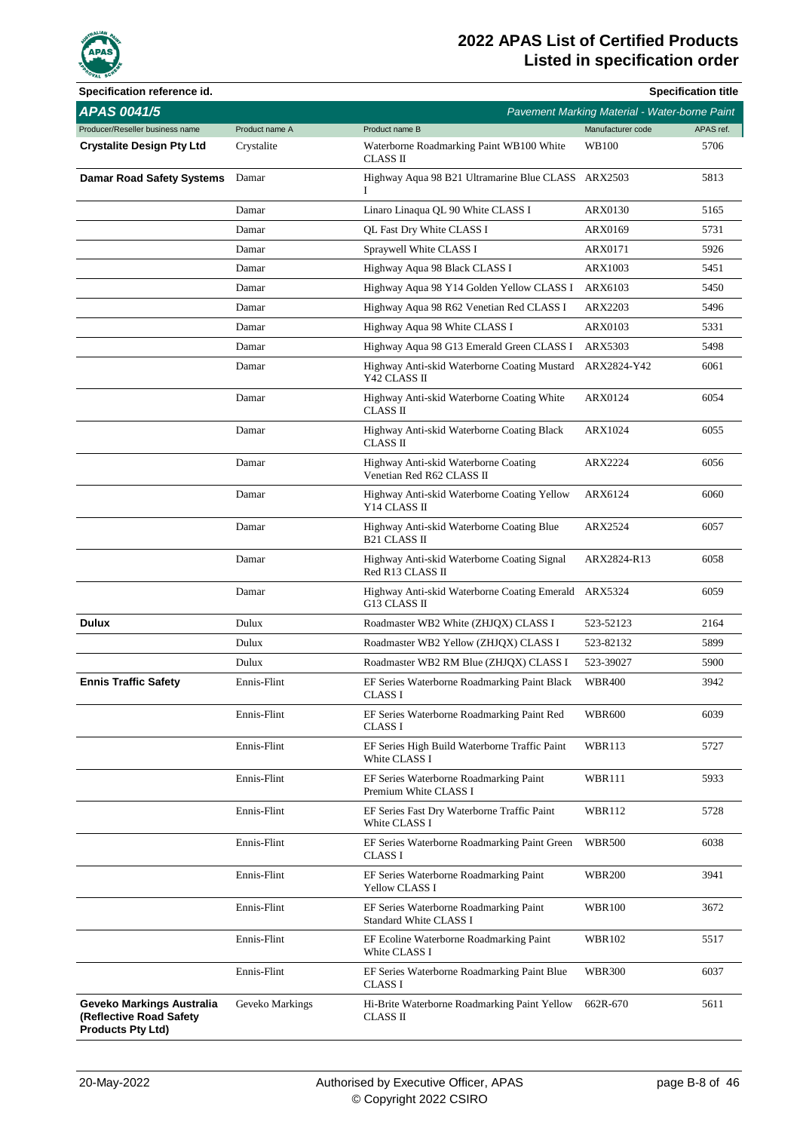

| Specification reference id.                                                      |                 |                                                                   |                                               | <b>Specification title</b> |
|----------------------------------------------------------------------------------|-----------------|-------------------------------------------------------------------|-----------------------------------------------|----------------------------|
| <b>APAS 0041/5</b>                                                               |                 |                                                                   | Pavement Marking Material - Water-borne Paint |                            |
| Producer/Reseller business name                                                  | Product name A  | Product name B                                                    | Manufacturer code                             | APAS ref.                  |
| <b>Crystalite Design Pty Ltd</b>                                                 | Crystalite      | Waterborne Roadmarking Paint WB100 White<br>CLASS II              | WB100                                         | 5706                       |
| <b>Damar Road Safety Systems</b>                                                 | Damar           | Highway Aqua 98 B21 Ultramarine Blue CLASS ARX2503<br>L           |                                               | 5813                       |
|                                                                                  | Damar           | Linaro Linaqua QL 90 White CLASS I                                | <b>ARX0130</b>                                | 5165                       |
|                                                                                  | Damar           | QL Fast Dry White CLASS I                                         | ARX0169                                       | 5731                       |
|                                                                                  | Damar           | Spraywell White CLASS I                                           | <b>ARX0171</b>                                | 5926                       |
|                                                                                  | Damar           | Highway Aqua 98 Black CLASS I                                     | <b>ARX1003</b>                                | 5451                       |
|                                                                                  | Damar           | Highway Aqua 98 Y14 Golden Yellow CLASS I                         | ARX6103                                       | 5450                       |
|                                                                                  | Damar           | Highway Aqua 98 R62 Venetian Red CLASS I                          | ARX2203                                       | 5496                       |
|                                                                                  | Damar           | Highway Aqua 98 White CLASS I                                     | <b>ARX0103</b>                                | 5331                       |
|                                                                                  | Damar           | Highway Aqua 98 G13 Emerald Green CLASS I                         | ARX5303                                       | 5498                       |
|                                                                                  | Damar           | Highway Anti-skid Waterborne Coating Mustard<br>Y42 CLASS II      | ARX2824-Y42                                   | 6061                       |
|                                                                                  | Damar           | Highway Anti-skid Waterborne Coating White<br>CLASS II            | <b>ARX0124</b>                                | 6054                       |
|                                                                                  | Damar           | Highway Anti-skid Waterborne Coating Black<br>CLASS II            | ARX1024                                       | 6055                       |
|                                                                                  | Damar           | Highway Anti-skid Waterborne Coating<br>Venetian Red R62 CLASS II | ARX2224                                       | 6056                       |
|                                                                                  | Damar           | Highway Anti-skid Waterborne Coating Yellow<br>Y14 CLASS II       | ARX6124                                       | 6060                       |
|                                                                                  | Damar           | Highway Anti-skid Waterborne Coating Blue<br><b>B21 CLASS II</b>  | ARX2524                                       | 6057                       |
|                                                                                  | Damar           | Highway Anti-skid Waterborne Coating Signal<br>Red R13 CLASS II   | ARX2824-R13                                   | 6058                       |
|                                                                                  | Damar           | Highway Anti-skid Waterborne Coating Emerald<br>G13 CLASS II      | ARX5324                                       | 6059                       |
| Dulux                                                                            | Dulux           | Roadmaster WB2 White (ZHJQX) CLASS I                              | 523-52123                                     | 2164                       |
|                                                                                  | Dulux           | Roadmaster WB2 Yellow (ZHJQX) CLASS I                             | 523-82132                                     | 5899                       |
|                                                                                  | Dulux           | Roadmaster WB2 RM Blue (ZHJQX) CLASS I                            | 523-39027                                     | 5900                       |
| <b>Ennis Traffic Safety</b>                                                      | Ennis-Flint     | EF Series Waterborne Roadmarking Paint Black<br>CLASS I           | <b>WBR400</b>                                 | 3942                       |
|                                                                                  | Ennis-Flint     | EF Series Waterborne Roadmarking Paint Red<br>CLASS I             | <b>WBR600</b>                                 | 6039                       |
|                                                                                  | Ennis-Flint     | EF Series High Build Waterborne Traffic Paint<br>White CLASS I    | <b>WBR113</b>                                 | 5727                       |
|                                                                                  | Ennis-Flint     | EF Series Waterborne Roadmarking Paint<br>Premium White CLASS I   | <b>WBR111</b>                                 | 5933                       |
|                                                                                  | Ennis-Flint     | EF Series Fast Dry Waterborne Traffic Paint<br>White CLASS I      | WBR112                                        | 5728                       |
|                                                                                  | Ennis-Flint     | EF Series Waterborne Roadmarking Paint Green<br><b>CLASS I</b>    | <b>WBR500</b>                                 | 6038                       |
|                                                                                  | Ennis-Flint     | EF Series Waterborne Roadmarking Paint<br>Yellow CLASS I          | <b>WBR200</b>                                 | 3941                       |
|                                                                                  | Ennis-Flint     | EF Series Waterborne Roadmarking Paint<br>Standard White CLASS I  | <b>WBR100</b>                                 | 3672                       |
|                                                                                  | Ennis-Flint     | EF Ecoline Waterborne Roadmarking Paint<br>White CLASS I          | <b>WBR102</b>                                 | 5517                       |
|                                                                                  | Ennis-Flint     | EF Series Waterborne Roadmarking Paint Blue<br>CLASS I            | <b>WBR300</b>                                 | 6037                       |
| Geveko Markings Australia<br>(Reflective Road Safety<br><b>Products Pty Ltd)</b> | Geveko Markings | Hi-Brite Waterborne Roadmarking Paint Yellow<br>CLASS II          | 662R-670                                      | 5611                       |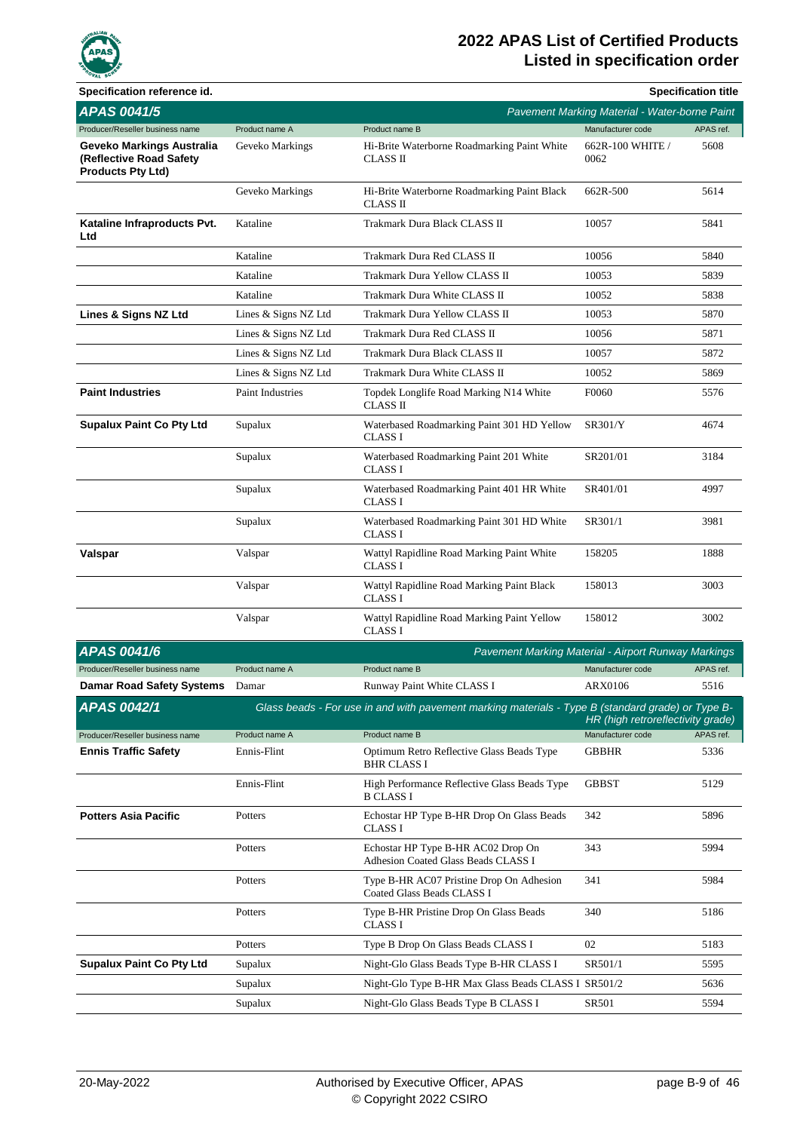

| Specification reference id.                                                      |                      |                                                                                                   |                                               | <b>Specification title</b> |
|----------------------------------------------------------------------------------|----------------------|---------------------------------------------------------------------------------------------------|-----------------------------------------------|----------------------------|
| <b>APAS 0041/5</b>                                                               |                      |                                                                                                   | Pavement Marking Material - Water-borne Paint |                            |
| Producer/Reseller business name                                                  | Product name A       | Product name B                                                                                    | Manufacturer code                             | APAS ref.                  |
| Geveko Markings Australia<br>(Reflective Road Safety<br><b>Products Pty Ltd)</b> | Geveko Markings      | Hi-Brite Waterborne Roadmarking Paint White<br>CLASS II                                           | 662R-100 WHITE /<br>0062                      | 5608                       |
|                                                                                  | Geveko Markings      | Hi-Brite Waterborne Roadmarking Paint Black<br><b>CLASS II</b>                                    | 662R-500                                      | 5614                       |
| Kataline Infraproducts Pvt.<br>Ltd                                               | Kataline             | Trakmark Dura Black CLASS II                                                                      | 10057                                         | 5841                       |
|                                                                                  | Kataline             | Trakmark Dura Red CLASS II                                                                        | 10056                                         | 5840                       |
|                                                                                  | Kataline             | Trakmark Dura Yellow CLASS II                                                                     | 10053                                         | 5839                       |
|                                                                                  | Kataline             | Trakmark Dura White CLASS II                                                                      | 10052                                         | 5838                       |
| Lines & Signs NZ Ltd                                                             | Lines & Signs NZ Ltd | Trakmark Dura Yellow CLASS II                                                                     | 10053                                         | 5870                       |
|                                                                                  | Lines & Signs NZ Ltd | Trakmark Dura Red CLASS II                                                                        | 10056                                         | 5871                       |
|                                                                                  | Lines & Signs NZ Ltd | Trakmark Dura Black CLASS II                                                                      | 10057                                         | 5872                       |
|                                                                                  | Lines & Signs NZ Ltd | Trakmark Dura White CLASS II                                                                      | 10052                                         | 5869                       |
| <b>Paint Industries</b>                                                          | Paint Industries     | Topdek Longlife Road Marking N14 White<br><b>CLASS II</b>                                         | F0060                                         | 5576                       |
| <b>Supalux Paint Co Pty Ltd</b>                                                  | Supalux              | Waterbased Roadmarking Paint 301 HD Yellow<br><b>CLASS I</b>                                      | <b>SR301/Y</b>                                | 4674                       |
|                                                                                  | Supalux              | Waterbased Roadmarking Paint 201 White<br><b>CLASS I</b>                                          | SR201/01                                      | 3184                       |
|                                                                                  | Supalux              | Waterbased Roadmarking Paint 401 HR White<br><b>CLASS I</b>                                       | SR401/01                                      | 4997                       |
|                                                                                  | Supalux              | Waterbased Roadmarking Paint 301 HD White<br><b>CLASS I</b>                                       | SR301/1                                       | 3981                       |
| Valspar                                                                          | Valspar              | Wattyl Rapidline Road Marking Paint White<br><b>CLASS I</b>                                       | 158205                                        | 1888                       |
|                                                                                  | Valspar              | Wattyl Rapidline Road Marking Paint Black<br><b>CLASS I</b>                                       | 158013                                        | 3003                       |
|                                                                                  | Valspar              | Wattyl Rapidline Road Marking Paint Yellow<br><b>CLASS I</b>                                      | 158012                                        | 3002                       |
| <b>APAS 0041/6</b>                                                               |                      | Pavement Marking Material - Airport Runway Markings                                               |                                               |                            |
| Producer/Reseller business name                                                  | Product name A       | Product name B                                                                                    | Manufacturer code                             | APAS ref.                  |
| Damar Road Safety Systems Damar                                                  |                      | Runway Paint White CLASS I                                                                        | ARX0106                                       | 5516                       |
| <b>APAS 0042/1</b>                                                               |                      | Glass beads - For use in and with pavement marking materials - Type B (standard grade) or Type B- | HR (high retroreflectivity grade)             |                            |
| Producer/Reseller business name                                                  | Product name A       | Product name B                                                                                    | Manufacturer code                             | APAS ref.                  |
| <b>Ennis Traffic Safety</b>                                                      | Ennis-Flint          | Optimum Retro Reflective Glass Beads Type<br>BHR CLASS I                                          | <b>GBBHR</b>                                  | 5336                       |
|                                                                                  | Ennis-Flint          | High Performance Reflective Glass Beads Type<br><b>B CLASS I</b>                                  | <b>GBBST</b>                                  | 5129                       |
| <b>Potters Asia Pacific</b>                                                      | Potters              | Echostar HP Type B-HR Drop On Glass Beads<br>CLASS I                                              | 342                                           | 5896                       |
|                                                                                  | Potters              | Echostar HP Type B-HR AC02 Drop On<br>Adhesion Coated Glass Beads CLASS I                         | 343                                           | 5994                       |
|                                                                                  | Potters              | Type B-HR AC07 Pristine Drop On Adhesion<br>Coated Glass Beads CLASS I                            | 341                                           | 5984                       |
|                                                                                  | Potters              | Type B-HR Pristine Drop On Glass Beads<br>CLASS I                                                 | 340                                           | 5186                       |
|                                                                                  | Potters              | Type B Drop On Glass Beads CLASS I                                                                | 02                                            | 5183                       |
| <b>Supalux Paint Co Pty Ltd</b>                                                  | Supalux              | Night-Glo Glass Beads Type B-HR CLASS I                                                           | SR501/1                                       | 5595                       |
|                                                                                  | Supalux              | Night-Glo Type B-HR Max Glass Beads CLASS I SR501/2                                               |                                               | 5636                       |
|                                                                                  | Supalux              | Night-Glo Glass Beads Type B CLASS I                                                              | SR501                                         | 5594                       |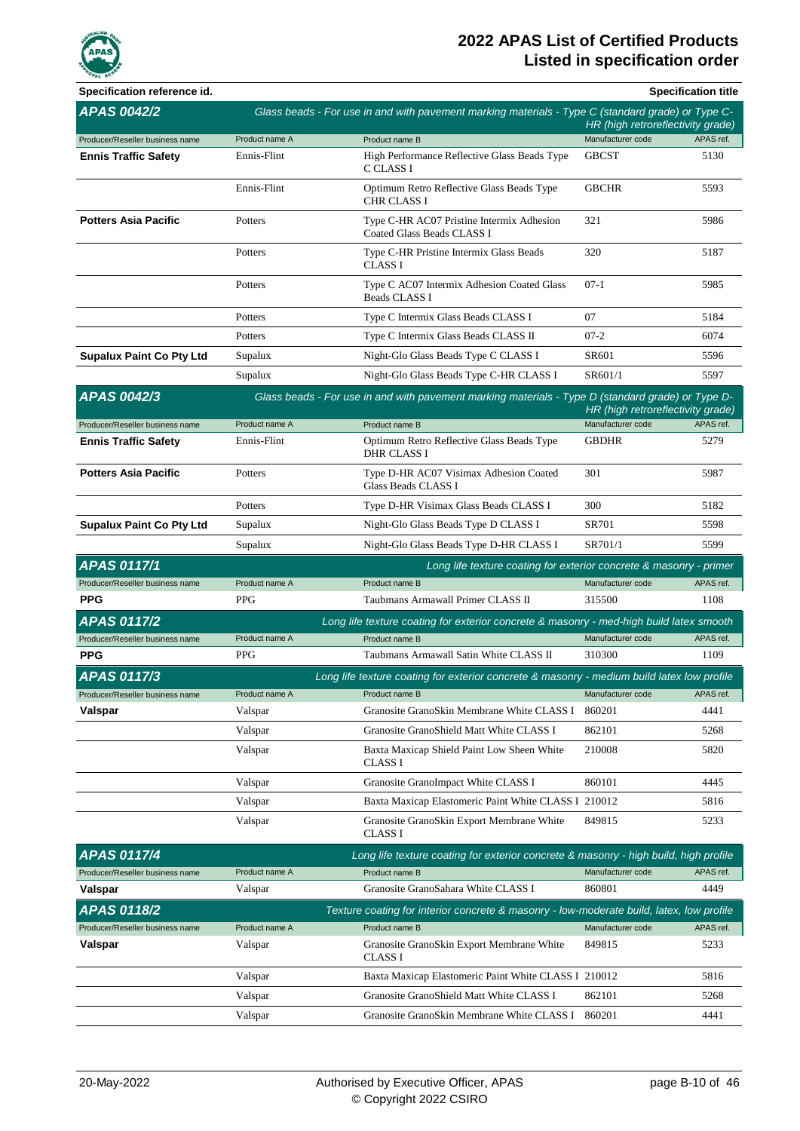

| Specification reference id.     |                    |                                                                                                        |                   | <b>Specification title</b>        |
|---------------------------------|--------------------|--------------------------------------------------------------------------------------------------------|-------------------|-----------------------------------|
| <b>APAS 0042/2</b>              |                    | Glass beads - For use in and with pavement marking materials - Type C (standard grade) or Type C-      |                   | HR (high retroreflectivity grade) |
| Producer/Reseller business name | Product name A     | Product name B                                                                                         | Manufacturer code | APAS ref.                         |
| <b>Ennis Traffic Safety</b>     | Ennis-Flint        | High Performance Reflective Glass Beads Type<br>C CLASS I                                              | <b>GBCST</b>      | 5130                              |
|                                 | Ennis-Flint        | Optimum Retro Reflective Glass Beads Type<br>CHR CLASS I                                               | <b>GBCHR</b>      | 5593                              |
| <b>Potters Asia Pacific</b>     | Potters            | Type C-HR AC07 Pristine Intermix Adhesion<br>Coated Glass Beads CLASS I                                | 321               | 5986                              |
|                                 | Potters            | Type C-HR Pristine Intermix Glass Beads<br><b>CLASS I</b>                                              | 320               | 5187                              |
|                                 | Potters            | Type C AC07 Intermix Adhesion Coated Glass<br><b>Beads CLASS I</b>                                     | $07-1$            | 5985                              |
|                                 | Potters            | Type C Intermix Glass Beads CLASS I                                                                    | 07                | 5184                              |
|                                 | Potters            | Type C Intermix Glass Beads CLASS II                                                                   | $07-2$            | 6074                              |
| <b>Supalux Paint Co Pty Ltd</b> | Supalux            | Night-Glo Glass Beads Type C CLASS I                                                                   | SR601             | 5596                              |
|                                 | Supalux            | Night-Glo Glass Beads Type C-HR CLASS I                                                                | SR601/1           | 5597                              |
| <b>APAS 0042/3</b>              |                    | Glass beads - For use in and with pavement marking materials - Type D (standard grade) or Type D-      |                   |                                   |
|                                 |                    |                                                                                                        |                   | HR (high retroreflectivity grade) |
| Producer/Reseller business name | Product name A     | Product name B                                                                                         | Manufacturer code | APAS ref.                         |
| <b>Ennis Traffic Safety</b>     | Ennis-Flint        | Optimum Retro Reflective Glass Beads Type<br>DHR CLASS I                                               | <b>GBDHR</b>      | 5279                              |
| <b>Potters Asia Pacific</b>     | Potters            | Type D-HR AC07 Visimax Adhesion Coated<br>Glass Beads CLASS I                                          | 301               | 5987                              |
|                                 | Potters            | Type D-HR Visimax Glass Beads CLASS I                                                                  | 300               | 5182                              |
| <b>Supalux Paint Co Pty Ltd</b> | Supalux            | Night-Glo Glass Beads Type D CLASS I                                                                   | <b>SR701</b>      | 5598                              |
|                                 | Supalux            | Night-Glo Glass Beads Type D-HR CLASS I                                                                | SR701/1           | 5599                              |
| <b>APAS 0117/1</b>              |                    | Long life texture coating for exterior concrete & masonry - primer                                     |                   |                                   |
|                                 |                    |                                                                                                        | Manufacturer code | APAS ref.                         |
| Producer/Reseller business name | Product name A     | Product name B                                                                                         |                   |                                   |
| <b>PPG</b>                      | <b>PPG</b>         | Taubmans Armawall Primer CLASS II                                                                      | 315500            | 1108                              |
| <b>APAS 0117/2</b>              |                    | Long life texture coating for exterior concrete & masonry - med-high build latex smooth                |                   |                                   |
| Producer/Reseller business name | Product name A     | Product name B                                                                                         | Manufacturer code | APAS ref.                         |
| <b>PPG</b>                      | <b>PPG</b>         | Taubmans Armawall Satin White CLASS II                                                                 | 310300            | 1109                              |
| <b>APAS 0117/3</b>              |                    | Long life texture coating for exterior concrete & masonry - medium build latex low profile             |                   |                                   |
| Producer/Reseller business name | Product name A     | Product name B                                                                                         | Manufacturer code | APAS ref.                         |
| Valspar                         | Valspar            | Granosite GranoSkin Membrane White CLASS I                                                             | 860201            | 4441                              |
|                                 | Valspar<br>Valspar | Granosite GranoShield Matt White CLASS I<br>Baxta Maxicap Shield Paint Low Sheen White                 | 862101<br>210008  | 5268<br>5820                      |
|                                 |                    | CLASS I                                                                                                | 860101            | 4445                              |
|                                 | Valspar            | Granosite GranoImpact White CLASS I                                                                    |                   |                                   |
|                                 | Valspar<br>Valspar | Baxta Maxicap Elastomeric Paint White CLASS I 210012<br>Granosite GranoSkin Export Membrane White      | 849815            | 5816<br>5233                      |
| <b>APAS 0117/4</b>              |                    | <b>CLASS I</b><br>Long life texture coating for exterior concrete & masonry - high build, high profile |                   |                                   |
| Producer/Reseller business name | Product name A     | Product name B                                                                                         | Manufacturer code | APAS ref.                         |
| Valspar                         | Valspar            | Granosite GranoSahara White CLASS I                                                                    | 860801            | 4449                              |
| <b>APAS 0118/2</b>              |                    | Texture coating for interior concrete & masonry - low-moderate build, latex, low profile               |                   |                                   |
| Producer/Reseller business name | Product name A     | Product name B                                                                                         | Manufacturer code | APAS ref.                         |
| Valspar                         | Valspar            | Granosite GranoSkin Export Membrane White<br>CLASS I                                                   | 849815            | 5233                              |
|                                 | Valspar            | Baxta Maxicap Elastomeric Paint White CLASS I 210012                                                   |                   | 5816                              |
|                                 | Valspar            | Granosite GranoShield Matt White CLASS I                                                               | 862101            | 5268                              |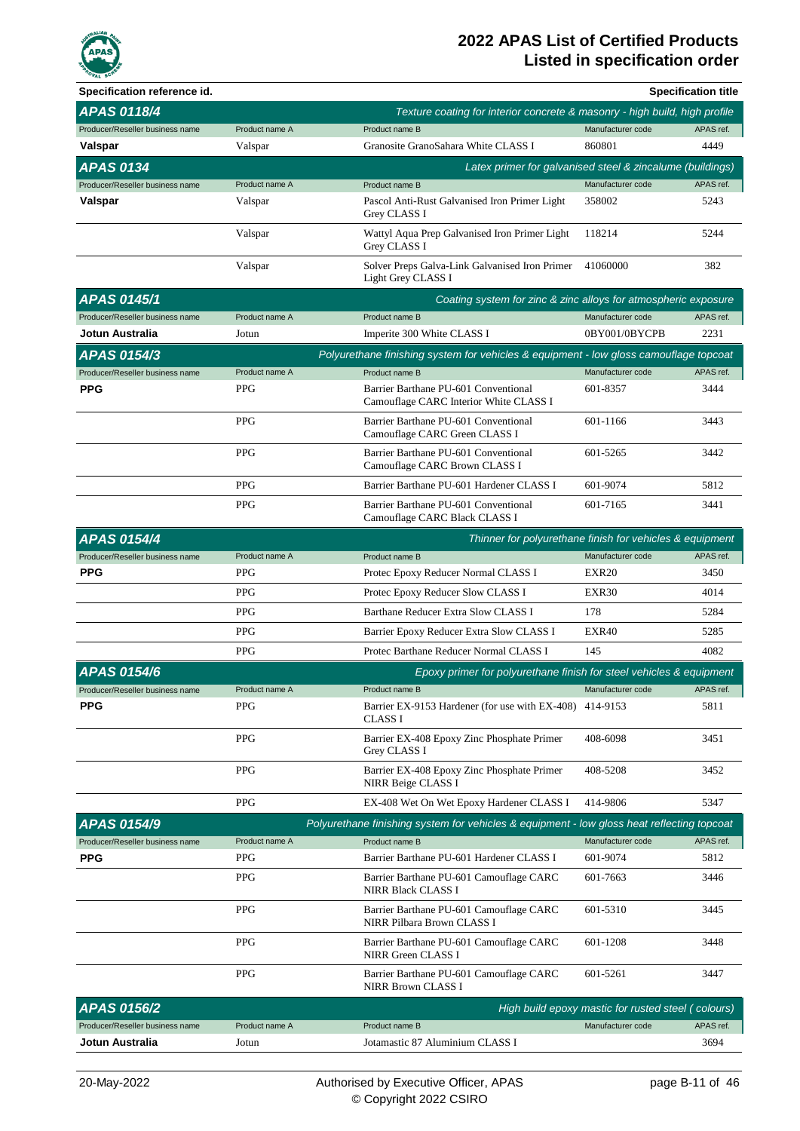

| Specification reference id.     |                |                                                                                            |                                                    | <b>Specification title</b> |
|---------------------------------|----------------|--------------------------------------------------------------------------------------------|----------------------------------------------------|----------------------------|
| <b>APAS 0118/4</b>              |                | Texture coating for interior concrete & masonry - high build, high profile                 |                                                    |                            |
| Producer/Reseller business name | Product name A | Product name B                                                                             | Manufacturer code                                  | APAS ref.                  |
| Valspar                         | Valspar        | Granosite GranoSahara White CLASS I                                                        | 860801                                             | 4449                       |
| <b>APAS 0134</b>                |                | Latex primer for galvanised steel & zincalume (buildings)                                  |                                                    |                            |
| Producer/Reseller business name | Product name A | Product name B                                                                             | Manufacturer code                                  | APAS ref.                  |
| Valspar                         | Valspar        | Pascol Anti-Rust Galvanised Iron Primer Light<br>Grey CLASS I                              | 358002                                             | 5243                       |
|                                 | Valspar        | Wattyl Aqua Prep Galvanised Iron Primer Light<br><b>Grey CLASS I</b>                       | 118214                                             | 5244                       |
|                                 | Valspar        | Solver Preps Galva-Link Galvanised Iron Primer<br>Light Grey CLASS I                       | 41060000                                           | 382                        |
| <b>APAS 0145/1</b>              |                | Coating system for zinc & zinc alloys for atmospheric exposure                             |                                                    |                            |
| Producer/Reseller business name | Product name A | Product name B                                                                             | Manufacturer code                                  | APAS ref.                  |
| Jotun Australia                 | Jotun          | Imperite 300 White CLASS I                                                                 | 0BY001/0BYCPB                                      | 2231                       |
| APAS 0154/3                     |                | Polyurethane finishing system for vehicles & equipment - low gloss camouflage topcoat      |                                                    |                            |
| Producer/Reseller business name | Product name A | Product name B                                                                             | Manufacturer code                                  | APAS ref.                  |
| <b>PPG</b>                      | <b>PPG</b>     | Barrier Barthane PU-601 Conventional<br>Camouflage CARC Interior White CLASS I             | 601-8357                                           | 3444                       |
|                                 | <b>PPG</b>     | Barrier Barthane PU-601 Conventional<br>Camouflage CARC Green CLASS I                      | 601-1166                                           | 3443                       |
|                                 | <b>PPG</b>     | Barrier Barthane PU-601 Conventional<br>Camouflage CARC Brown CLASS I                      | 601-5265                                           | 3442                       |
|                                 | <b>PPG</b>     | Barrier Barthane PU-601 Hardener CLASS I                                                   | 601-9074                                           | 5812                       |
|                                 | <b>PPG</b>     | Barrier Barthane PU-601 Conventional<br>Camouflage CARC Black CLASS I                      | 601-7165                                           | 3441                       |
| <b>APAS 0154/4</b>              |                | Thinner for polyurethane finish for vehicles & equipment                                   |                                                    |                            |
| Producer/Reseller business name | Product name A | Product name B                                                                             | Manufacturer code                                  | APAS ref.                  |
| <b>PPG</b>                      | <b>PPG</b>     | Protec Epoxy Reducer Normal CLASS I                                                        | EXR <sub>20</sub>                                  | 3450                       |
|                                 | <b>PPG</b>     | Protec Epoxy Reducer Slow CLASS I                                                          | EXR30                                              | 4014                       |
|                                 | <b>PPG</b>     | Barthane Reducer Extra Slow CLASS I                                                        | 178                                                | 5284                       |
|                                 | <b>PPG</b>     | Barrier Epoxy Reducer Extra Slow CLASS I                                                   | EXR40                                              | 5285                       |
|                                 | <b>PPG</b>     | Protec Barthane Reducer Normal CLASS I                                                     | 145                                                | 4082                       |
| <b>APAS 0154/6</b>              |                | Epoxy primer for polyurethane finish for steel vehicles & equipment                        |                                                    |                            |
| Producer/Reseller business name | Product name A | Product name B                                                                             | Manufacturer code                                  | APAS ref.                  |
| <b>PPG</b>                      | <b>PPG</b>     | Barrier EX-9153 Hardener (for use with EX-408)<br><b>CLASS I</b>                           | 414-9153                                           | 5811                       |
|                                 | <b>PPG</b>     | Barrier EX-408 Epoxy Zinc Phosphate Primer<br>Grey CLASS I                                 | 408-6098                                           | 3451                       |
|                                 | <b>PPG</b>     | Barrier EX-408 Epoxy Zinc Phosphate Primer<br>NIRR Beige CLASS I                           | 408-5208                                           | 3452                       |
|                                 | <b>PPG</b>     | EX-408 Wet On Wet Epoxy Hardener CLASS I                                                   | 414-9806                                           | 5347                       |
| APAS 0154/9                     |                | Polyurethane finishing system for vehicles & equipment - low gloss heat reflecting topcoat |                                                    |                            |
| Producer/Reseller business name | Product name A | Product name B                                                                             | Manufacturer code                                  | APAS ref.                  |
| <b>PPG</b>                      | <b>PPG</b>     | Barrier Barthane PU-601 Hardener CLASS I                                                   | 601-9074                                           | 5812                       |
|                                 | <b>PPG</b>     | Barrier Barthane PU-601 Camouflage CARC<br><b>NIRR Black CLASS I</b>                       | 601-7663                                           | 3446                       |
|                                 | <b>PPG</b>     | Barrier Barthane PU-601 Camouflage CARC<br>NIRR Pilbara Brown CLASS I                      | 601-5310                                           | 3445                       |
|                                 | <b>PPG</b>     | Barrier Barthane PU-601 Camouflage CARC<br>NIRR Green CLASS I                              | 601-1208                                           | 3448                       |
|                                 | <b>PPG</b>     | Barrier Barthane PU-601 Camouflage CARC<br><b>NIRR Brown CLASS I</b>                       | 601-5261                                           | 3447                       |
| <b>APAS 0156/2</b>              |                |                                                                                            | High build epoxy mastic for rusted steel (colours) |                            |
| Producer/Reseller business name | Product name A | Product name B                                                                             | Manufacturer code                                  | APAS ref.                  |
| Jotun Australia                 | Jotun          | Jotamastic 87 Aluminium CLASS I                                                            |                                                    | 3694                       |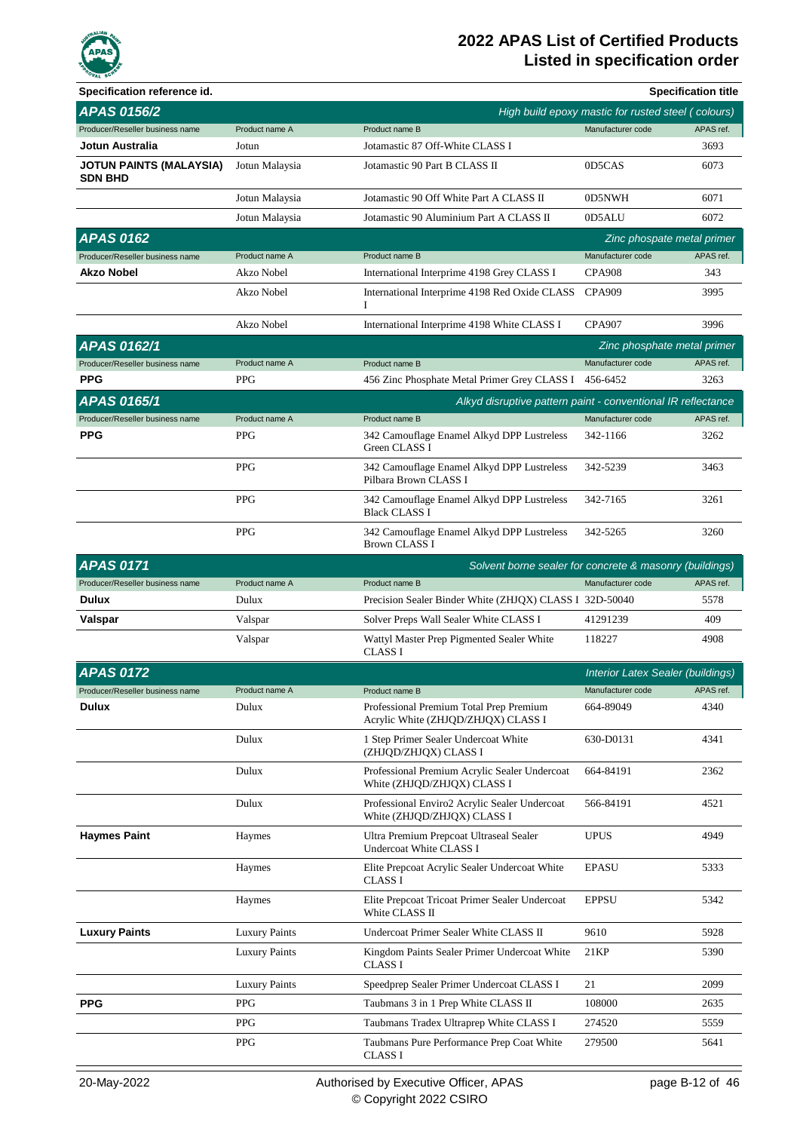

| Specification reference id.                      |                      |                                                                                |                                                    | <b>Specification title</b> |
|--------------------------------------------------|----------------------|--------------------------------------------------------------------------------|----------------------------------------------------|----------------------------|
| <b>APAS 0156/2</b>                               |                      |                                                                                | High build epoxy mastic for rusted steel (colours) |                            |
| Producer/Reseller business name                  | Product name A       | Product name B                                                                 | Manufacturer code                                  | APAS ref.                  |
| Jotun Australia                                  | Jotun                | Jotamastic 87 Off-White CLASS I                                                |                                                    | 3693                       |
| <b>JOTUN PAINTS (MALAYSIA)</b><br><b>SDN BHD</b> | Jotun Malaysia       | Jotamastic 90 Part B CLASS II                                                  | 0D5CAS                                             | 6073                       |
|                                                  | Jotun Malaysia       | Jotamastic 90 Off White Part A CLASS II                                        | 0D5NWH                                             | 6071                       |
|                                                  | Jotun Malaysia       | Jotamastic 90 Aluminium Part A CLASS II                                        | 0D5ALU                                             | 6072                       |
| <b>APAS 0162</b>                                 |                      |                                                                                | Zinc phospate metal primer                         |                            |
| Producer/Reseller business name                  | Product name A       | Product name B                                                                 | Manufacturer code                                  | APAS ref.                  |
| <b>Akzo Nobel</b>                                | Akzo Nobel           | International Interprime 4198 Grey CLASS I                                     | <b>CPA908</b>                                      | 343                        |
|                                                  | Akzo Nobel           | International Interprime 4198 Red Oxide CLASS<br>I                             | <b>CPA909</b>                                      | 3995                       |
|                                                  | Akzo Nobel           | International Interprime 4198 White CLASS I                                    | <b>CPA907</b>                                      | 3996                       |
| <b>APAS 0162/1</b>                               |                      |                                                                                | Zinc phosphate metal primer                        |                            |
| Producer/Reseller business name                  | Product name A       | Product name B                                                                 | Manufacturer code                                  | APAS ref.                  |
| <b>PPG</b>                                       | <b>PPG</b>           | 456 Zinc Phosphate Metal Primer Grey CLASS I                                   | 456-6452                                           | 3263                       |
| <b>APAS 0165/1</b>                               |                      | Alkyd disruptive pattern paint - conventional IR reflectance                   |                                                    |                            |
| Producer/Reseller business name                  | Product name A       | Product name B                                                                 | Manufacturer code                                  | APAS ref.                  |
| <b>PPG</b>                                       | <b>PPG</b>           | 342 Camouflage Enamel Alkyd DPP Lustreless<br>Green CLASS I                    | 342-1166                                           | 3262                       |
|                                                  | <b>PPG</b>           | 342 Camouflage Enamel Alkyd DPP Lustreless<br>Pilbara Brown CLASS I            | 342-5239                                           | 3463                       |
|                                                  | <b>PPG</b>           | 342 Camouflage Enamel Alkyd DPP Lustreless<br><b>Black CLASS I</b>             | 342-7165                                           | 3261                       |
|                                                  | <b>PPG</b>           | 342 Camouflage Enamel Alkyd DPP Lustreless<br><b>Brown CLASS I</b>             | 342-5265                                           | 3260                       |
| <b>APAS 0171</b>                                 |                      | Solvent borne sealer for concrete & masonry (buildings)                        |                                                    |                            |
| Producer/Reseller business name                  | Product name A       | Product name B                                                                 | Manufacturer code                                  | APAS ref.                  |
| <b>Dulux</b>                                     | Dulux                | Precision Sealer Binder White (ZHJQX) CLASS I 32D-50040                        |                                                    | 5578                       |
| Valspar                                          | Valspar              | Solver Preps Wall Sealer White CLASS I                                         | 41291239                                           | 409                        |
|                                                  | Valspar              | Wattyl Master Prep Pigmented Sealer White<br><b>CLASS I</b>                    | 118227                                             | 4908                       |
| <b>APAS 0172</b>                                 |                      |                                                                                | Interior Latex Sealer (buildings)                  |                            |
| Producer/Reseller business name                  | Product name A       | Product name B                                                                 | Manufacturer code                                  | APAS ref.                  |
| <b>Dulux</b>                                     | Dulux                | Professional Premium Total Prep Premium<br>Acrylic White (ZHJQD/ZHJQX) CLASS I | 664-89049                                          | 4340                       |
|                                                  | Dulux                | 1 Step Primer Sealer Undercoat White<br>(ZHJQD/ZHJQX) CLASS I                  | 630-D0131                                          | 4341                       |
|                                                  | Dulux                | Professional Premium Acrylic Sealer Undercoat<br>White (ZHJQD/ZHJQX) CLASS I   | 664-84191                                          | 2362                       |
|                                                  | Dulux                | Professional Enviro2 Acrylic Sealer Undercoat<br>White (ZHJQD/ZHJQX) CLASS I   | 566-84191                                          | 4521                       |
| <b>Haymes Paint</b>                              | Haymes               | Ultra Premium Prepcoat Ultraseal Sealer<br>Undercoat White CLASS I             | <b>UPUS</b>                                        | 4949                       |
|                                                  | Haymes               | Elite Prepcoat Acrylic Sealer Undercoat White<br><b>CLASS I</b>                | <b>EPASU</b>                                       | 5333                       |
|                                                  | Haymes               | Elite Prepcoat Tricoat Primer Sealer Undercoat<br>White CLASS II               | <b>EPPSU</b>                                       | 5342                       |
| <b>Luxury Paints</b>                             | <b>Luxury Paints</b> | Undercoat Primer Sealer White CLASS II                                         | 9610                                               | 5928                       |
|                                                  | <b>Luxury Paints</b> | Kingdom Paints Sealer Primer Undercoat White<br><b>CLASS I</b>                 | 21KP                                               | 5390                       |
|                                                  | <b>Luxury Paints</b> | Speedprep Sealer Primer Undercoat CLASS I                                      | 21                                                 | 2099                       |
| <b>PPG</b>                                       | <b>PPG</b>           | Taubmans 3 in 1 Prep White CLASS II                                            | 108000                                             | 2635                       |
|                                                  | <b>PPG</b>           | Taubmans Tradex Ultraprep White CLASS I                                        | 274520                                             | 5559                       |
|                                                  | <b>PPG</b>           | Taubmans Pure Performance Prep Coat White                                      | 279500                                             | 5641                       |
|                                                  |                      | <b>CLASS I</b>                                                                 |                                                    |                            |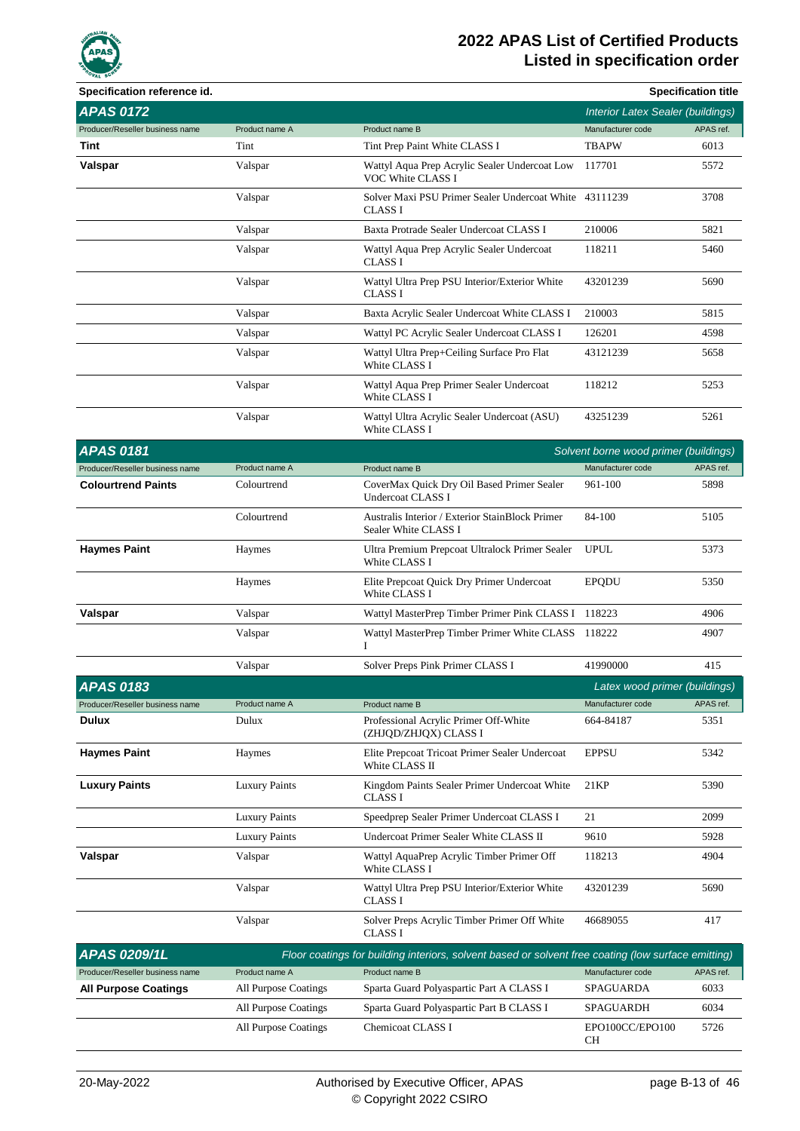

| Specification reference id.     |                      |                                                                                                     |                                          | <b>Specification title</b> |
|---------------------------------|----------------------|-----------------------------------------------------------------------------------------------------|------------------------------------------|----------------------------|
| <b>APAS 0172</b>                |                      |                                                                                                     | <b>Interior Latex Sealer (buildings)</b> |                            |
| Producer/Reseller business name | Product name A       | Product name B                                                                                      | Manufacturer code                        | APAS ref.                  |
| Tint                            | Tint                 | Tint Prep Paint White CLASS I                                                                       | <b>TBAPW</b>                             | 6013                       |
| Valspar                         | Valspar              | Wattyl Aqua Prep Acrylic Sealer Undercoat Low<br>VOC White CLASS I                                  | 117701                                   | 5572                       |
|                                 | Valspar              | Solver Maxi PSU Primer Sealer Undercoat White 43111239<br><b>CLASS I</b>                            |                                          | 3708                       |
|                                 | Valspar              | Baxta Protrade Sealer Undercoat CLASS I                                                             | 210006                                   | 5821                       |
|                                 | Valspar              | Wattyl Aqua Prep Acrylic Sealer Undercoat<br><b>CLASS I</b>                                         | 118211                                   | 5460                       |
|                                 | Valspar              | Wattyl Ultra Prep PSU Interior/Exterior White<br><b>CLASS I</b>                                     | 43201239                                 | 5690                       |
|                                 | Valspar              | Baxta Acrylic Sealer Undercoat White CLASS I                                                        | 210003                                   | 5815                       |
|                                 | Valspar              | Wattyl PC Acrylic Sealer Undercoat CLASS I                                                          | 126201                                   | 4598                       |
|                                 | Valspar              | Wattyl Ultra Prep+Ceiling Surface Pro Flat<br>White CLASS I                                         | 43121239                                 | 5658                       |
|                                 | Valspar              | Wattyl Aqua Prep Primer Sealer Undercoat<br>White CLASS I                                           | 118212                                   | 5253                       |
|                                 | Valspar              | Wattyl Ultra Acrylic Sealer Undercoat (ASU)<br>White CLASS I                                        | 43251239                                 | 5261                       |
| <b>APAS 0181</b>                |                      |                                                                                                     | Solvent borne wood primer (buildings)    |                            |
| Producer/Reseller business name | Product name A       | Product name B                                                                                      | Manufacturer code                        | APAS ref.                  |
| <b>Colourtrend Paints</b>       | Colourtrend          | CoverMax Quick Dry Oil Based Primer Sealer<br><b>Undercoat CLASS I</b>                              | 961-100                                  | 5898                       |
|                                 | Colourtrend          | Australis Interior / Exterior StainBlock Primer<br>Sealer White CLASS I                             | 84-100                                   | 5105                       |
| <b>Haymes Paint</b>             | Haymes               | Ultra Premium Prepcoat Ultralock Primer Sealer<br>White CLASS I                                     | <b>UPUL</b>                              | 5373                       |
|                                 | Haymes               | Elite Prepcoat Quick Dry Primer Undercoat<br>White CLASS I                                          | <b>EPQDU</b>                             | 5350                       |
| Valspar                         | Valspar              | Wattyl MasterPrep Timber Primer Pink CLASS I 118223                                                 |                                          | 4906                       |
|                                 | Valspar              | Wattyl MasterPrep Timber Primer White CLASS 118222<br>I                                             |                                          | 4907                       |
|                                 | Valspar              | Solver Preps Pink Primer CLASS I                                                                    | 41990000                                 | 415                        |
| <b>APAS 0183</b>                |                      |                                                                                                     | Latex wood primer (buildings)            |                            |
| Producer/Reseller business name | Product name A       | Product name B                                                                                      | Manufacturer code                        | APAS ref.                  |
| <b>Dulux</b>                    | Dulux                | Professional Acrylic Primer Off-White<br>(ZHJQD/ZHJQX) CLASS I                                      | 664-84187                                | 5351                       |
| <b>Haymes Paint</b>             | Haymes               | Elite Prepcoat Tricoat Primer Sealer Undercoat<br>White CLASS II                                    | <b>EPPSU</b>                             | 5342                       |
| <b>Luxury Paints</b>            | <b>Luxury Paints</b> | Kingdom Paints Sealer Primer Undercoat White<br><b>CLASS I</b>                                      | 21KP                                     | 5390                       |
|                                 | <b>Luxury Paints</b> | Speedprep Sealer Primer Undercoat CLASS I                                                           | 21                                       | 2099                       |
|                                 | <b>Luxury Paints</b> | Undercoat Primer Sealer White CLASS II                                                              | 9610                                     | 5928                       |
| Valspar                         | Valspar              | Wattyl AquaPrep Acrylic Timber Primer Off<br>White CLASS I                                          | 118213                                   | 4904                       |
|                                 | Valspar              | Wattyl Ultra Prep PSU Interior/Exterior White<br>CLASS I                                            | 43201239                                 | 5690                       |
|                                 | Valspar              | Solver Preps Acrylic Timber Primer Off White<br>CLASS I                                             | 46689055                                 | 417                        |
| APAS 0209/1L                    |                      | Floor coatings for building interiors, solvent based or solvent free coating (low surface emitting) |                                          |                            |
| Producer/Reseller business name | Product name A       | Product name B                                                                                      | Manufacturer code                        | APAS ref.                  |
| <b>All Purpose Coatings</b>     | All Purpose Coatings | Sparta Guard Polyaspartic Part A CLASS I                                                            | SPAGUARDA                                | 6033                       |
|                                 | All Purpose Coatings | Sparta Guard Polyaspartic Part B CLASS I                                                            | SPAGUARDH                                | 6034                       |
|                                 | All Purpose Coatings | Chemicoat CLASS I                                                                                   | EPO100CC/EPO100<br>CН                    | 5726                       |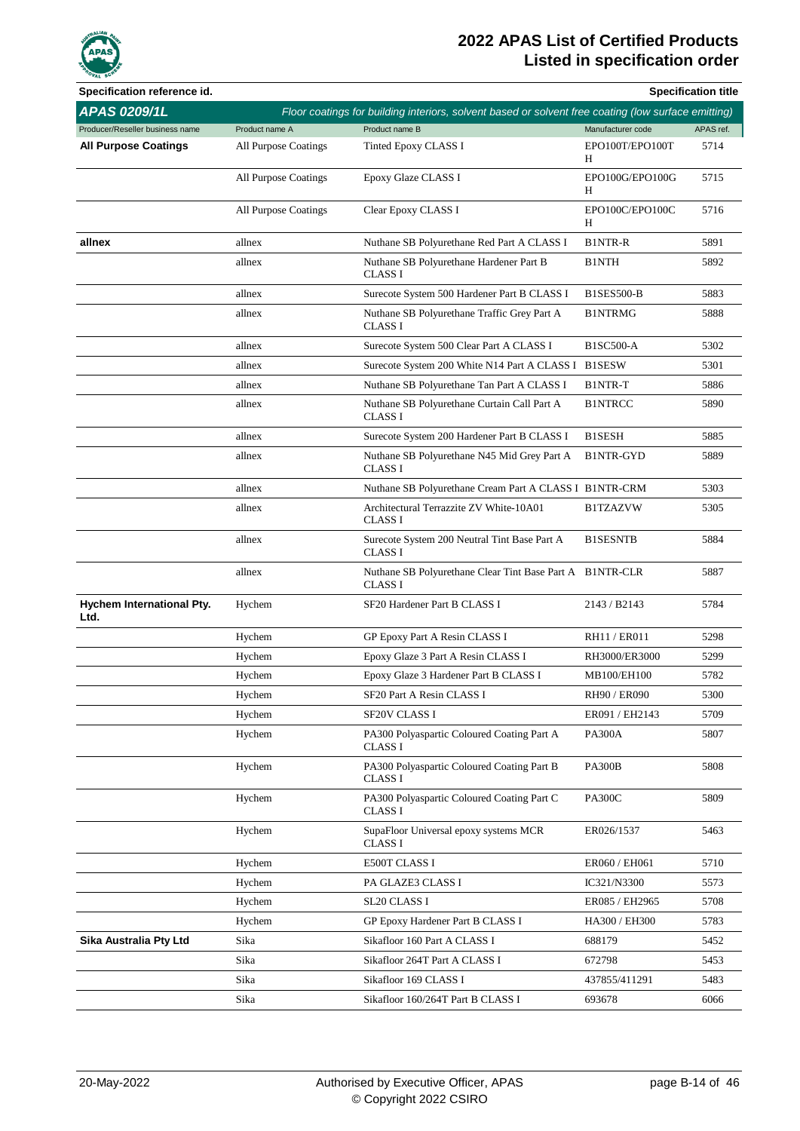

| Specification reference id.       |                      |                                                                                                     |                      | <b>Specification title</b> |
|-----------------------------------|----------------------|-----------------------------------------------------------------------------------------------------|----------------------|----------------------------|
| <b>APAS 0209/1L</b>               |                      | Floor coatings for building interiors, solvent based or solvent free coating (low surface emitting) |                      |                            |
| Producer/Reseller business name   | Product name A       | Product name B                                                                                      | Manufacturer code    | APAS ref.                  |
| <b>All Purpose Coatings</b>       | All Purpose Coatings | Tinted Epoxy CLASS I                                                                                | EPO100T/EPO100T<br>Η | 5714                       |
|                                   | All Purpose Coatings | Epoxy Glaze CLASS I                                                                                 | EPO100G/EPO100G<br>H | 5715                       |
|                                   | All Purpose Coatings | Clear Epoxy CLASS I                                                                                 | EPO100C/EPO100C<br>Н | 5716                       |
| allnex                            | allnex               | Nuthane SB Polyurethane Red Part A CLASS I                                                          | <b>B1NTR-R</b>       | 5891                       |
|                                   | allnex               | Nuthane SB Polyurethane Hardener Part B<br><b>CLASS I</b>                                           | <b>B1NTH</b>         | 5892                       |
|                                   | allnex               | Surecote System 500 Hardener Part B CLASS I                                                         | <b>B1SES500-B</b>    | 5883                       |
|                                   | allnex               | Nuthane SB Polyurethane Traffic Grey Part A<br><b>CLASS I</b>                                       | <b>B1NTRMG</b>       | 5888                       |
|                                   | allnex               | Surecote System 500 Clear Part A CLASS I                                                            | <b>B1SC500-A</b>     | 5302                       |
|                                   | allnex               | Surecote System 200 White N14 Part A CLASS I B1SESW                                                 |                      | 5301                       |
|                                   | allnex               | Nuthane SB Polyurethane Tan Part A CLASS I                                                          | B1NTR-T              | 5886                       |
|                                   | allnex               | Nuthane SB Polyurethane Curtain Call Part A<br><b>CLASS I</b>                                       | <b>B1NTRCC</b>       | 5890                       |
|                                   | allnex               | Surecote System 200 Hardener Part B CLASS I                                                         | <b>B1SESH</b>        | 5885                       |
|                                   | allnex               | Nuthane SB Polyurethane N45 Mid Grey Part A<br><b>CLASS I</b>                                       | B1NTR-GYD            | 5889                       |
|                                   | allnex               | Nuthane SB Polyurethane Cream Part A CLASS I B1NTR-CRM                                              |                      | 5303                       |
|                                   | allnex               | Architectural Terrazzite ZV White-10A01<br><b>CLASS I</b>                                           | <b>B1TZAZVW</b>      | 5305                       |
|                                   | allnex               | Surecote System 200 Neutral Tint Base Part A<br><b>CLASS I</b>                                      | <b>B1SESNTB</b>      | 5884                       |
|                                   | allnex               | Nuthane SB Polyurethane Clear Tint Base Part A B1NTR-CLR<br><b>CLASS I</b>                          |                      | 5887                       |
| Hychem International Pty.<br>Ltd. | Hychem               | SF20 Hardener Part B CLASS I                                                                        | 2143 / B2143         | 5784                       |
|                                   | Hychem               | GP Epoxy Part A Resin CLASS I                                                                       | RH11 / ER011         | 5298                       |
|                                   | Hychem               | Epoxy Glaze 3 Part A Resin CLASS I                                                                  | RH3000/ER3000        | 5299                       |
|                                   | Hychem               | Epoxy Glaze 3 Hardener Part B CLASS I                                                               | MB100/EH100          | 5782                       |
|                                   | Hychem               | SF20 Part A Resin CLASS I                                                                           | RH90 / ER090         | 5300                       |
|                                   | Hychem               | SF20V CLASS I                                                                                       | ER091 / EH2143       | 5709                       |
|                                   | Hychem               | PA300 Polyaspartic Coloured Coating Part A<br><b>CLASS I</b>                                        | <b>PA300A</b>        | 5807                       |
|                                   | Hychem               | PA300 Polyaspartic Coloured Coating Part B<br><b>CLASS I</b>                                        | <b>PA300B</b>        | 5808                       |
|                                   | Hychem               | PA300 Polyaspartic Coloured Coating Part C<br><b>CLASS I</b>                                        | <b>PA300C</b>        | 5809                       |
|                                   | Hychem               | SupaFloor Universal epoxy systems MCR<br><b>CLASS I</b>                                             | ER026/1537           | 5463                       |
|                                   | Hychem               | E500T CLASS I                                                                                       | ER060 / EH061        | 5710                       |
|                                   | Hychem               | PA GLAZE3 CLASS I                                                                                   | IC321/N3300          | 5573                       |
|                                   | Hychem               | SL20 CLASS I                                                                                        | ER085 / EH2965       | 5708                       |
|                                   | Hychem               | GP Epoxy Hardener Part B CLASS I                                                                    | HA300 / EH300        | 5783                       |
| Sika Australia Pty Ltd            | Sika                 | Sikafloor 160 Part A CLASS I                                                                        | 688179               | 5452                       |
|                                   | Sika                 | Sikafloor 264T Part A CLASS I                                                                       | 672798               | 5453                       |
|                                   | Sika                 | Sikafloor 169 CLASS I                                                                               | 437855/411291        | 5483                       |
|                                   | Sika                 | Sikafloor 160/264T Part B CLASS I                                                                   | 693678               | 6066                       |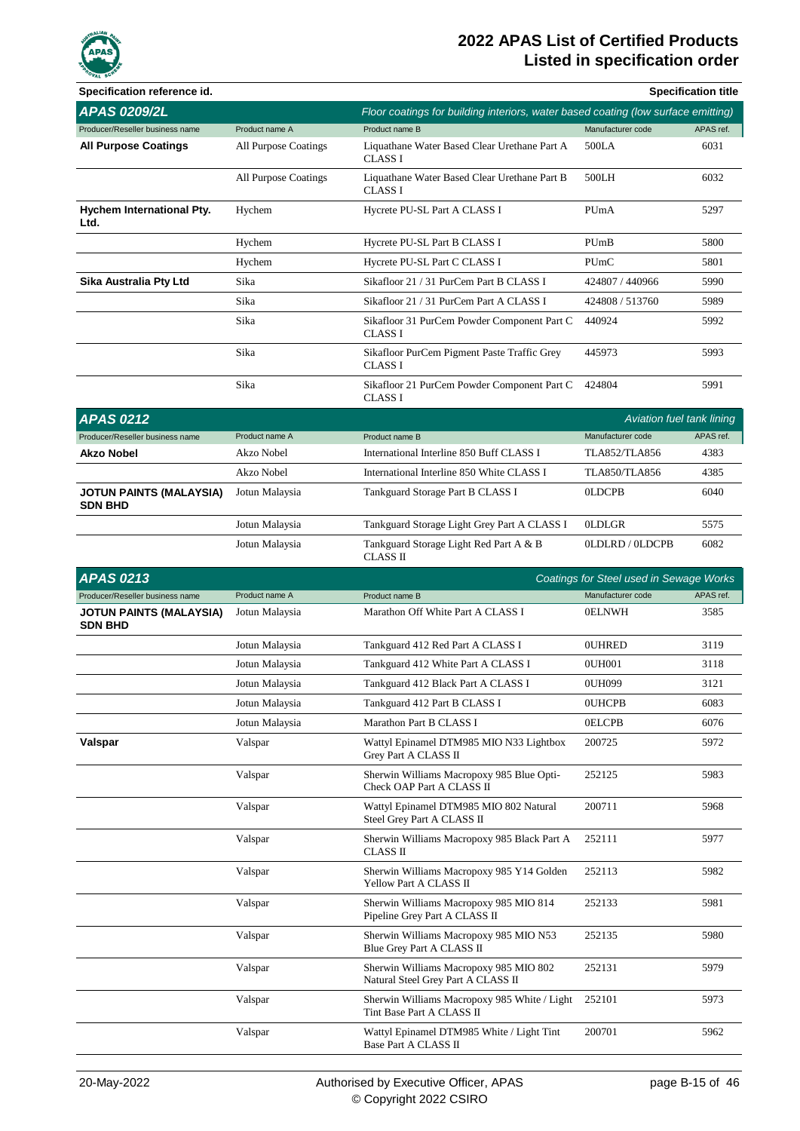

| Specification reference id.                      |                      |                                                                                   |                                         | <b>Specification title</b> |
|--------------------------------------------------|----------------------|-----------------------------------------------------------------------------------|-----------------------------------------|----------------------------|
| <b>APAS 0209/2L</b>                              |                      | Floor coatings for building interiors, water based coating (low surface emitting) |                                         |                            |
| Producer/Reseller business name                  | Product name A       | Product name B                                                                    | Manufacturer code                       | APAS ref.                  |
| <b>All Purpose Coatings</b>                      | All Purpose Coatings | Liquathane Water Based Clear Urethane Part A<br><b>CLASS I</b>                    | 500LA                                   | 6031                       |
|                                                  | All Purpose Coatings | Liquathane Water Based Clear Urethane Part B<br><b>CLASS I</b>                    | 500LH                                   | 6032                       |
| Hychem International Pty.<br>Ltd.                | Hychem               | Hycrete PU-SL Part A CLASS I                                                      | PUmA                                    | 5297                       |
|                                                  | Hychem               | Hycrete PU-SL Part B CLASS I                                                      | PUmB                                    | 5800                       |
|                                                  | Hychem               | Hycrete PU-SL Part C CLASS I                                                      | PUmC                                    | 5801                       |
| Sika Australia Pty Ltd                           | Sika                 | Sikafloor 21 / 31 PurCem Part B CLASS I                                           | 424807 / 440966                         | 5990                       |
|                                                  | Sika                 | Sikafloor 21 / 31 PurCem Part A CLASS I                                           | 424808 / 513760                         | 5989                       |
|                                                  | Sika                 | Sikafloor 31 PurCem Powder Component Part C<br><b>CLASS I</b>                     | 440924                                  | 5992                       |
|                                                  | Sika                 | Sikafloor PurCem Pigment Paste Traffic Grey<br><b>CLASS I</b>                     | 445973                                  | 5993                       |
|                                                  | Sika                 | Sikafloor 21 PurCem Powder Component Part C<br><b>CLASS I</b>                     | 424804                                  | 5991                       |
| <b>APAS 0212</b>                                 |                      |                                                                                   | Aviation fuel tank lining               |                            |
| Producer/Reseller business name                  | Product name A       | Product name B                                                                    | Manufacturer code                       | APAS ref.                  |
| <b>Akzo Nobel</b>                                | Akzo Nobel           | International Interline 850 Buff CLASS I                                          | <b>TLA852/TLA856</b>                    | 4383                       |
|                                                  | Akzo Nobel           | International Interline 850 White CLASS I                                         | <b>TLA850/TLA856</b>                    | 4385                       |
| <b>JOTUN PAINTS (MALAYSIA)</b><br><b>SDN BHD</b> | Jotun Malaysia       | Tankguard Storage Part B CLASS I                                                  | <b>OLDCPB</b>                           | 6040                       |
|                                                  | Jotun Malaysia       | Tankguard Storage Light Grey Part A CLASS I                                       | <b>OLDLGR</b>                           | 5575                       |
|                                                  | Jotun Malaysia       | Tankguard Storage Light Red Part A & B                                            | OLDLRD / OLDCPB                         | 6082                       |
|                                                  |                      | CLASS II                                                                          |                                         |                            |
| <b>APAS 0213</b>                                 |                      |                                                                                   | Coatings for Steel used in Sewage Works |                            |
| Producer/Reseller business name                  | Product name A       | Product name B                                                                    | Manufacturer code                       | APAS ref.                  |
| <b>JOTUN PAINTS (MALAYSIA)</b><br><b>SDN BHD</b> | Jotun Malaysia       | Marathon Off White Part A CLASS I                                                 | <b>OELNWH</b>                           | 3585                       |
|                                                  | Jotun Malaysia       | Tankguard 412 Red Part A CLASS I                                                  | <b>OUHRED</b>                           | 3119                       |
|                                                  | Jotun Malaysia       | Tankguard 412 White Part A CLASS I                                                | 0UH001                                  | 3118                       |
|                                                  | Jotun Malaysia       | Tankguard 412 Black Part A CLASS I                                                | 0UH099                                  | 3121                       |
|                                                  | Jotun Malaysia       | Tankguard 412 Part B CLASS I                                                      | <b>OUHCPB</b>                           | 6083                       |
|                                                  | Jotun Malaysia       | Marathon Part B CLASS I                                                           | <b>OELCPB</b>                           | 6076                       |
| Valspar                                          | Valspar              | Wattyl Epinamel DTM985 MIO N33 Lightbox<br>Grey Part A CLASS II                   | 200725                                  | 5972                       |
|                                                  | Valspar              | Sherwin Williams Macropoxy 985 Blue Opti-<br>Check OAP Part A CLASS II            | 252125                                  | 5983                       |
|                                                  | Valspar              | Wattyl Epinamel DTM985 MIO 802 Natural<br>Steel Grey Part A CLASS II              | 200711                                  | 5968                       |
|                                                  | Valspar              | Sherwin Williams Macropoxy 985 Black Part A<br><b>CLASS II</b>                    | 252111                                  | 5977                       |
|                                                  | Valspar              | Sherwin Williams Macropoxy 985 Y14 Golden<br>Yellow Part A CLASS II               | 252113                                  | 5982                       |
|                                                  | Valspar              | Sherwin Williams Macropoxy 985 MIO 814<br>Pipeline Grey Part A CLASS II           | 252133                                  | 5981                       |
|                                                  | Valspar              | Sherwin Williams Macropoxy 985 MIO N53<br>Blue Grey Part A CLASS II               | 252135                                  | 5980                       |
|                                                  | Valspar              | Sherwin Williams Macropoxy 985 MIO 802<br>Natural Steel Grey Part A CLASS II      | 252131                                  | 5979                       |
|                                                  | Valspar              | Sherwin Williams Macropoxy 985 White / Light<br>Tint Base Part A CLASS II         | 252101                                  | 5973                       |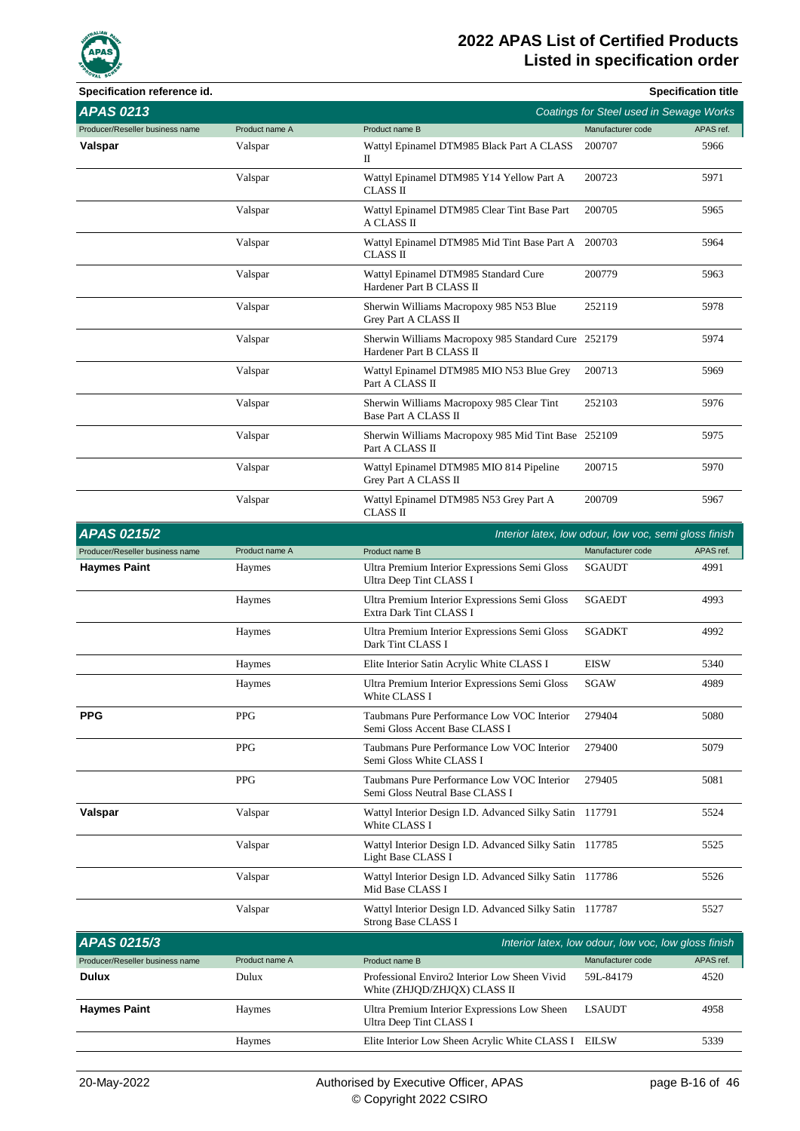

| Specification reference id.     |                |                                                                                 |                                                       | <b>Specification title</b> |
|---------------------------------|----------------|---------------------------------------------------------------------------------|-------------------------------------------------------|----------------------------|
| <b>APAS 0213</b>                |                |                                                                                 | Coatings for Steel used in Sewage Works               |                            |
| Producer/Reseller business name | Product name A | Product name B                                                                  | Manufacturer code                                     | APAS ref.                  |
| Valspar                         | Valspar        | Wattyl Epinamel DTM985 Black Part A CLASS<br>П                                  | 200707                                                | 5966                       |
|                                 | Valspar        | Wattyl Epinamel DTM985 Y14 Yellow Part A<br>CLASS II                            | 200723                                                | 5971                       |
|                                 | Valspar        | Wattyl Epinamel DTM985 Clear Tint Base Part<br>A CLASS II                       | 200705                                                | 5965                       |
|                                 | Valspar        | Wattyl Epinamel DTM985 Mid Tint Base Part A 200703<br>CLASS II                  |                                                       | 5964                       |
|                                 | Valspar        | Wattyl Epinamel DTM985 Standard Cure<br>Hardener Part B CLASS II                | 200779                                                | 5963                       |
|                                 | Valspar        | Sherwin Williams Macropoxy 985 N53 Blue<br>Grey Part A CLASS II                 | 252119                                                | 5978                       |
|                                 | Valspar        | Sherwin Williams Macropoxy 985 Standard Cure 252179<br>Hardener Part B CLASS II |                                                       | 5974                       |
|                                 | Valspar        | Wattyl Epinamel DTM985 MIO N53 Blue Grey<br>Part A CLASS II                     | 200713                                                | 5969                       |
|                                 | Valspar        | Sherwin Williams Macropoxy 985 Clear Tint<br>Base Part A CLASS II               | 252103                                                | 5976                       |
|                                 | Valspar        | Sherwin Williams Macropoxy 985 Mid Tint Base 252109<br>Part A CLASS II          |                                                       | 5975                       |
|                                 | Valspar        | Wattyl Epinamel DTM985 MIO 814 Pipeline<br>Grey Part A CLASS II                 | 200715                                                | 5970                       |
|                                 | Valspar        | Wattyl Epinamel DTM985 N53 Grey Part A<br>CLASS II                              | 200709                                                | 5967                       |
| <b>APAS 0215/2</b>              |                |                                                                                 | Interior latex, low odour, low voc, semi gloss finish |                            |
| Producer/Reseller business name | Product name A | Product name B                                                                  | Manufacturer code                                     | APAS ref.                  |
| <b>Haymes Paint</b>             | Haymes         | Ultra Premium Interior Expressions Semi Gloss<br>Ultra Deep Tint CLASS I        | <b>SGAUDT</b>                                         | 4991                       |
|                                 | Haymes         | Ultra Premium Interior Expressions Semi Gloss<br><b>Extra Dark Tint CLASS I</b> | <b>SGAEDT</b>                                         | 4993                       |
|                                 | Haymes         | Ultra Premium Interior Expressions Semi Gloss<br>Dark Tint CLASS I              | <b>SGADKT</b>                                         | 4992                       |
|                                 | Haymes         | Elite Interior Satin Acrylic White CLASS I                                      | <b>EISW</b>                                           | 5340                       |
|                                 | Haymes         | Ultra Premium Interior Expressions Semi Gloss<br>White CLASS I                  | SGAW                                                  | 4989                       |
| <b>PPG</b>                      | <b>PPG</b>     | Taubmans Pure Performance Low VOC Interior<br>Semi Gloss Accent Base CLASS I    | 279404                                                | 5080                       |
|                                 | PPG            | Taubmans Pure Performance Low VOC Interior<br>Semi Gloss White CLASS I          | 279400                                                | 5079                       |
|                                 | PPG            | Taubmans Pure Performance Low VOC Interior<br>Semi Gloss Neutral Base CLASS I   | 279405                                                | 5081                       |
| Valspar                         | Valspar        | Wattyl Interior Design I.D. Advanced Silky Satin 117791<br>White CLASS I        |                                                       | 5524                       |
|                                 | Valspar        | Wattyl Interior Design I.D. Advanced Silky Satin 117785<br>Light Base CLASS I   |                                                       | 5525                       |
|                                 | Valspar        | Wattyl Interior Design I.D. Advanced Silky Satin 117786<br>Mid Base CLASS I     |                                                       | 5526                       |
|                                 | Valspar        | Wattyl Interior Design I.D. Advanced Silky Satin 117787<br>Strong Base CLASS I  |                                                       | 5527                       |
| APAS 0215/3                     |                |                                                                                 | Interior latex, low odour, low voc, low gloss finish  |                            |
| Producer/Reseller business name | Product name A | Product name B                                                                  | Manufacturer code                                     | APAS ref.                  |
| Dulux                           | Dulux          | Professional Enviro2 Interior Low Sheen Vivid<br>White (ZHJQD/ZHJQX) CLASS II   | 59L-84179                                             | 4520                       |
| <b>Haymes Paint</b>             | Haymes         | Ultra Premium Interior Expressions Low Sheen<br>Ultra Deep Tint CLASS I         | <b>LSAUDT</b>                                         | 4958                       |
|                                 | Haymes         | Elite Interior Low Sheen Acrylic White CLASS I EILSW                            |                                                       | 5339                       |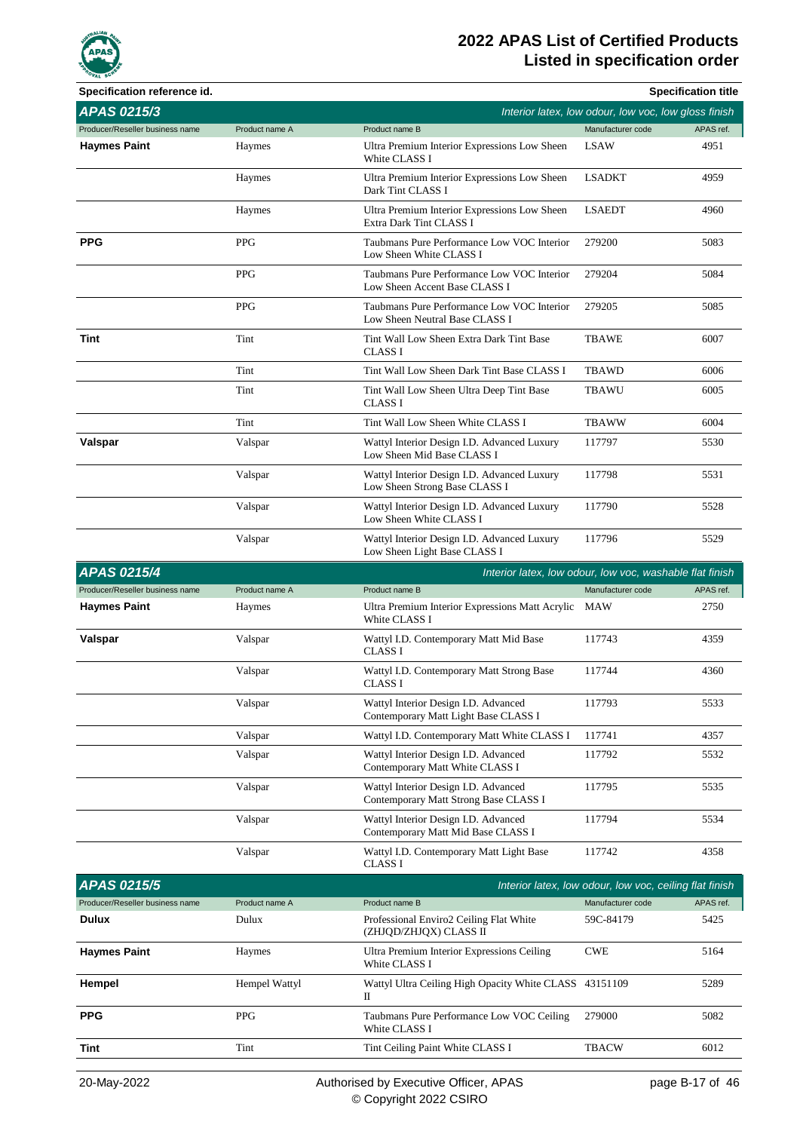

| <b>OVAL SCY</b><br>Specification reference id. |                |                                                                               |                                                         | <b>Specification title</b> |
|------------------------------------------------|----------------|-------------------------------------------------------------------------------|---------------------------------------------------------|----------------------------|
| APAS 0215/3                                    |                |                                                                               | Interior latex, low odour, low voc, low gloss finish    |                            |
| Producer/Reseller business name                | Product name A | Product name B                                                                | Manufacturer code                                       | APAS ref.                  |
| <b>Haymes Paint</b>                            | Haymes         | Ultra Premium Interior Expressions Low Sheen<br>White CLASS I                 | <b>LSAW</b>                                             | 4951                       |
|                                                | Haymes         | Ultra Premium Interior Expressions Low Sheen<br>Dark Tint CLASS I             | <b>LSADKT</b>                                           | 4959                       |
|                                                | Haymes         | Ultra Premium Interior Expressions Low Sheen<br>Extra Dark Tint CLASS I       | <b>LSAEDT</b>                                           | 4960                       |
| <b>PPG</b>                                     | <b>PPG</b>     | Taubmans Pure Performance Low VOC Interior<br>Low Sheen White CLASS I         | 279200                                                  | 5083                       |
|                                                | <b>PPG</b>     | Taubmans Pure Performance Low VOC Interior<br>Low Sheen Accent Base CLASS I   | 279204                                                  | 5084                       |
|                                                | <b>PPG</b>     | Taubmans Pure Performance Low VOC Interior<br>Low Sheen Neutral Base CLASS I  | 279205                                                  | 5085                       |
| Tint                                           | Tint           | Tint Wall Low Sheen Extra Dark Tint Base<br><b>CLASS I</b>                    | <b>TBAWE</b>                                            | 6007                       |
|                                                | Tint           | Tint Wall Low Sheen Dark Tint Base CLASS I                                    | <b>TBAWD</b>                                            | 6006                       |
|                                                | Tint           | Tint Wall Low Sheen Ultra Deep Tint Base<br><b>CLASS I</b>                    | TBAWU                                                   | 6005                       |
|                                                | Tint           | Tint Wall Low Sheen White CLASS I                                             | <b>TBAWW</b>                                            | 6004                       |
| Valspar                                        | Valspar        | Wattyl Interior Design I.D. Advanced Luxury<br>Low Sheen Mid Base CLASS I     | 117797                                                  | 5530                       |
|                                                | Valspar        | Wattyl Interior Design I.D. Advanced Luxury<br>Low Sheen Strong Base CLASS I  | 117798                                                  | 5531                       |
|                                                | Valspar        | Wattyl Interior Design I.D. Advanced Luxury<br>Low Sheen White CLASS I        | 117790                                                  | 5528                       |
|                                                | Valspar        | Wattyl Interior Design I.D. Advanced Luxury<br>Low Sheen Light Base CLASS I   | 117796                                                  | 5529                       |
| <b>APAS 0215/4</b>                             |                | Interior latex, low odour, low voc, washable flat finish                      |                                                         |                            |
|                                                |                |                                                                               |                                                         |                            |
| Producer/Reseller business name                | Product name A | Product name B                                                                | Manufacturer code                                       | APAS ref.                  |
| <b>Haymes Paint</b>                            | Haymes         | Ultra Premium Interior Expressions Matt Acrylic<br>White CLASS I              | MAW                                                     | 2750                       |
| Valspar                                        | Valspar        | Wattyl I.D. Contemporary Matt Mid Base<br><b>CLASS I</b>                      | 117743                                                  | 4359                       |
|                                                | Valspar        | Wattyl I.D. Contemporary Matt Strong Base<br>CLASS I                          | 117744                                                  | 4360                       |
|                                                | Valspar        | Wattyl Interior Design I.D. Advanced<br>Contemporary Matt Light Base CLASS I  | 117793                                                  | 5533                       |
|                                                | Valspar        | Wattyl I.D. Contemporary Matt White CLASS I                                   | 117741                                                  | 4357                       |
|                                                | Valspar        | Wattyl Interior Design I.D. Advanced<br>Contemporary Matt White CLASS I       | 117792                                                  | 5532                       |
|                                                | Valspar        | Wattyl Interior Design I.D. Advanced<br>Contemporary Matt Strong Base CLASS I | 117795                                                  | 5535                       |
|                                                | Valspar        | Wattyl Interior Design I.D. Advanced<br>Contemporary Matt Mid Base CLASS I    | 117794                                                  | 5534                       |
|                                                | Valspar        | Wattyl I.D. Contemporary Matt Light Base<br>CLASS I                           | 117742                                                  | 4358                       |
| APAS 0215/5                                    |                |                                                                               | Interior latex, low odour, low voc, ceiling flat finish |                            |
| Producer/Reseller business name                | Product name A | Product name B                                                                | Manufacturer code                                       | APAS ref.                  |
| <b>Dulux</b>                                   | Dulux          | Professional Enviro2 Ceiling Flat White<br>(ZHJQD/ZHJQX) CLASS II             | 59C-84179                                               | 5425                       |
| <b>Haymes Paint</b>                            | Haymes         | Ultra Premium Interior Expressions Ceiling<br>White CLASS I                   | <b>CWE</b>                                              | 5164                       |
| Hempel                                         | Hempel Wattyl  | Wattyl Ultra Ceiling High Opacity White CLASS 43151109<br>П                   |                                                         | 5289                       |
| <b>PPG</b>                                     | PPG            | Taubmans Pure Performance Low VOC Ceiling<br>White CLASS I                    | 279000                                                  | 5082                       |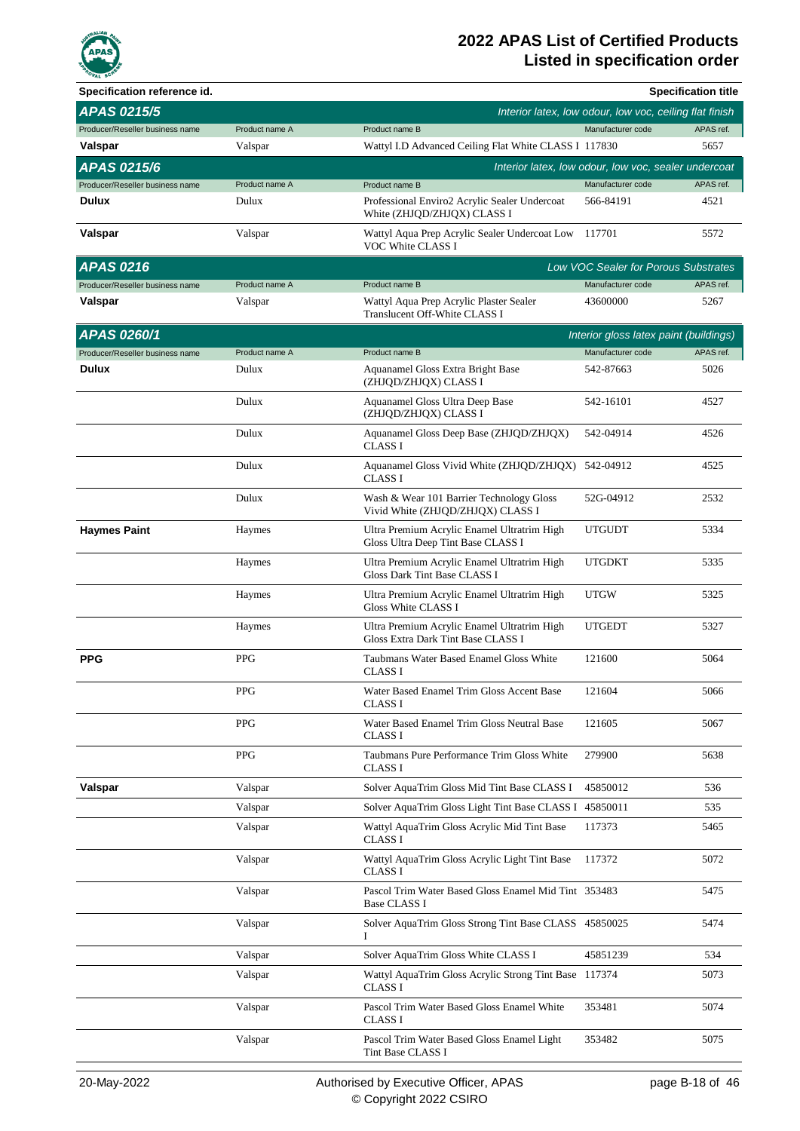

| Specification reference id.     |                |                                                                                   |                                                         | <b>Specification title</b> |
|---------------------------------|----------------|-----------------------------------------------------------------------------------|---------------------------------------------------------|----------------------------|
| <b>APAS 0215/5</b>              |                |                                                                                   | Interior latex, low odour, low voc, ceiling flat finish |                            |
| Producer/Reseller business name | Product name A | Product name B                                                                    | Manufacturer code                                       | APAS ref.                  |
| Valspar                         | Valspar        | Wattyl I.D Advanced Ceiling Flat White CLASS I 117830                             |                                                         | 5657                       |
| <b>APAS 0215/6</b>              |                |                                                                                   | Interior latex, low odour, low voc, sealer undercoat    |                            |
| Producer/Reseller business name | Product name A | Product name B                                                                    | Manufacturer code                                       | APAS ref.                  |
| Dulux                           | Dulux          | Professional Enviro2 Acrylic Sealer Undercoat<br>White (ZHJQD/ZHJQX) CLASS I      | 566-84191                                               | 4521                       |
| Valspar                         | Valspar        | Wattyl Aqua Prep Acrylic Sealer Undercoat Low<br>VOC White CLASS I                | 117701                                                  | 5572                       |
| <b>APAS 0216</b>                |                |                                                                                   | <b>Low VOC Sealer for Porous Substrates</b>             |                            |
| Producer/Reseller business name | Product name A | Product name B                                                                    | Manufacturer code                                       | APAS ref.                  |
| Valspar                         | Valspar        | Wattyl Aqua Prep Acrylic Plaster Sealer<br>Translucent Off-White CLASS I          | 43600000                                                | 5267                       |
| <b>APAS 0260/1</b>              |                |                                                                                   | Interior gloss latex paint (buildings)                  |                            |
| Producer/Reseller business name | Product name A | Product name B                                                                    | Manufacturer code                                       | APAS ref.                  |
| Dulux                           | Dulux          | Aquanamel Gloss Extra Bright Base<br>(ZHJQD/ZHJQX) CLASS I                        | 542-87663                                               | 5026                       |
|                                 | Dulux          | Aquanamel Gloss Ultra Deep Base<br>(ZHJQD/ZHJQX) CLASS I                          | 542-16101                                               | 4527                       |
|                                 | Dulux          | Aquanamel Gloss Deep Base (ZHJQD/ZHJQX)<br>CLASS I                                | 542-04914                                               | 4526                       |
|                                 | Dulux          | Aquanamel Gloss Vivid White (ZHJQD/ZHJQX) 542-04912<br><b>CLASS I</b>             |                                                         | 4525                       |
|                                 | Dulux          | Wash & Wear 101 Barrier Technology Gloss<br>Vivid White (ZHJQD/ZHJQX) CLASS I     | 52G-04912                                               | 2532                       |
| <b>Haymes Paint</b>             | Haymes         | Ultra Premium Acrylic Enamel Ultratrim High<br>Gloss Ultra Deep Tint Base CLASS I | <b>UTGUDT</b>                                           | 5334                       |
|                                 | Haymes         | Ultra Premium Acrylic Enamel Ultratrim High<br>Gloss Dark Tint Base CLASS I       | <b>UTGDKT</b>                                           | 5335                       |
|                                 | Haymes         | Ultra Premium Acrylic Enamel Ultratrim High<br>Gloss White CLASS I                | <b>UTGW</b>                                             | 5325                       |
|                                 | Haymes         | Ultra Premium Acrylic Enamel Ultratrim High<br>Gloss Extra Dark Tint Base CLASS I | <b>UTGEDT</b>                                           | 5327                       |
| <b>PPG</b>                      | <b>PPG</b>     | Taubmans Water Based Enamel Gloss White<br>CLASS I                                | 121600                                                  | 5064                       |
|                                 | <b>PPG</b>     | Water Based Enamel Trim Gloss Accent Base<br>CLASS I                              | 121604                                                  | 5066                       |
|                                 | <b>PPG</b>     | Water Based Enamel Trim Gloss Neutral Base<br>CLASS I                             | 121605                                                  | 5067                       |
|                                 | PPG            | Taubmans Pure Performance Trim Gloss White<br>CLASS I                             | 279900                                                  | 5638                       |
| Valspar                         | Valspar        | Solver AquaTrim Gloss Mid Tint Base CLASS I                                       | 45850012                                                | 536                        |
|                                 | Valspar        | Solver AquaTrim Gloss Light Tint Base CLASS I 45850011                            |                                                         | 535                        |
|                                 | Valspar        | Wattyl AquaTrim Gloss Acrylic Mid Tint Base<br>CLASS I                            | 117373                                                  | 5465                       |
|                                 | Valspar        | Wattyl AquaTrim Gloss Acrylic Light Tint Base<br><b>CLASS I</b>                   | 117372                                                  | 5072                       |
|                                 | Valspar        | Pascol Trim Water Based Gloss Enamel Mid Tint 353483<br><b>Base CLASS I</b>       |                                                         | 5475                       |
|                                 | Valspar        | Solver AquaTrim Gloss Strong Tint Base CLASS 45850025<br>1                        |                                                         | 5474                       |
|                                 | Valspar        | Solver AquaTrim Gloss White CLASS I                                               | 45851239                                                | 534                        |
|                                 | Valspar        | Wattyl AquaTrim Gloss Acrylic Strong Tint Base 117374<br>CLASS I                  |                                                         | 5073                       |
|                                 | Valspar        | Pascol Trim Water Based Gloss Enamel White<br>CLASS I                             | 353481                                                  | 5074                       |
|                                 | Valspar        | Pascol Trim Water Based Gloss Enamel Light<br>Tint Base CLASS I                   | 353482                                                  | 5075                       |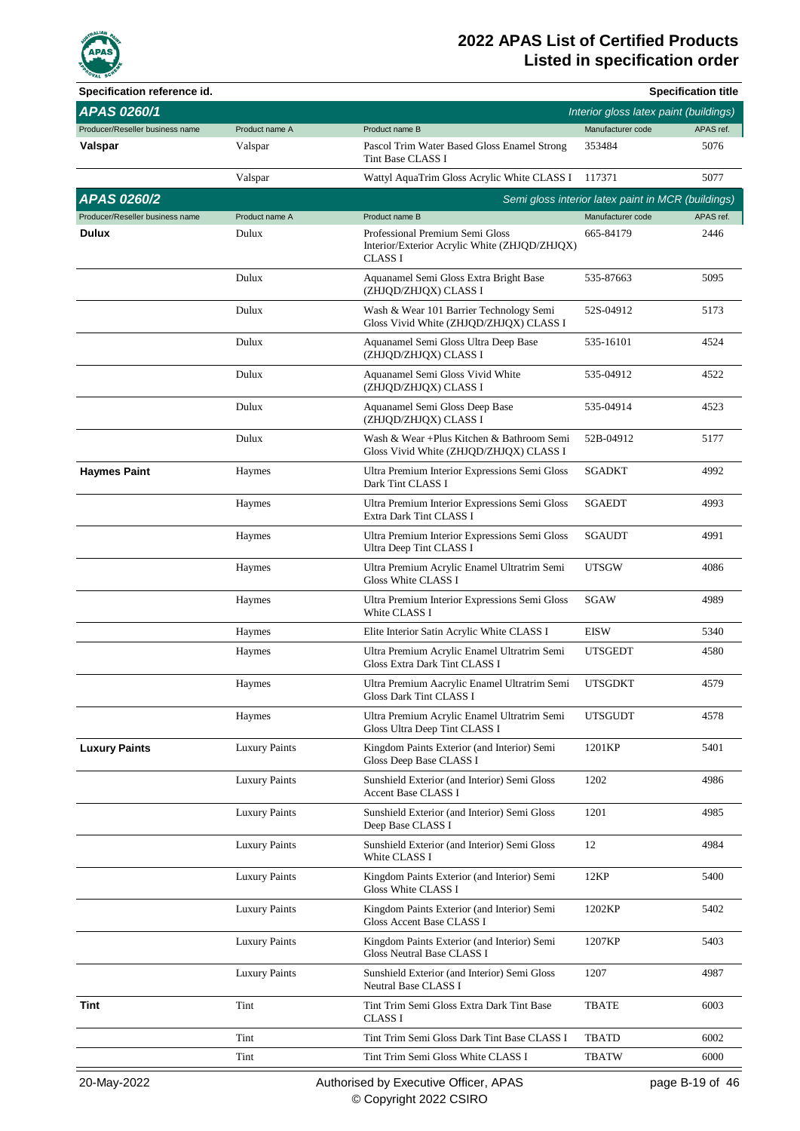

| Specification reference id.     |                      |                                                                                                    |                                                    | <b>Specification title</b> |
|---------------------------------|----------------------|----------------------------------------------------------------------------------------------------|----------------------------------------------------|----------------------------|
| <b>APAS 0260/1</b>              |                      |                                                                                                    | Interior gloss latex paint (buildings)             |                            |
| Producer/Reseller business name | Product name A       | Product name B                                                                                     | Manufacturer code                                  | APAS ref.                  |
| Valspar                         | Valspar              | Pascol Trim Water Based Gloss Enamel Strong<br>Tint Base CLASS I                                   | 353484                                             | 5076                       |
|                                 | Valspar              | Wattyl AquaTrim Gloss Acrylic White CLASS I                                                        | 117371                                             | 5077                       |
| <b>APAS 0260/2</b>              |                      |                                                                                                    | Semi gloss interior latex paint in MCR (buildings) |                            |
| Producer/Reseller business name | Product name A       | Product name B                                                                                     | Manufacturer code                                  | APAS ref.                  |
| Dulux                           | Dulux                | Professional Premium Semi Gloss<br>Interior/Exterior Acrylic White (ZHJQD/ZHJQX)<br><b>CLASS I</b> | 665-84179                                          | 2446                       |
|                                 | Dulux                | Aquanamel Semi Gloss Extra Bright Base<br>(ZHJQD/ZHJQX) CLASS I                                    | 535-87663                                          | 5095                       |
|                                 | Dulux                | Wash & Wear 101 Barrier Technology Semi<br>Gloss Vivid White (ZHJQD/ZHJQX) CLASS I                 | 52S-04912                                          | 5173                       |
|                                 | Dulux                | Aquanamel Semi Gloss Ultra Deep Base<br>(ZHJQD/ZHJQX) CLASS I                                      | 535-16101                                          | 4524                       |
|                                 | Dulux                | Aquanamel Semi Gloss Vivid White<br>(ZHJQD/ZHJQX) CLASS I                                          | 535-04912                                          | 4522                       |
|                                 | Dulux                | Aquanamel Semi Gloss Deep Base<br>(ZHJQD/ZHJQX) CLASS I                                            | 535-04914                                          | 4523                       |
|                                 | Dulux                | Wash & Wear +Plus Kitchen & Bathroom Semi<br>Gloss Vivid White (ZHJQD/ZHJQX) CLASS I               | 52B-04912                                          | 5177                       |
| <b>Haymes Paint</b>             | Haymes               | Ultra Premium Interior Expressions Semi Gloss<br>Dark Tint CLASS I                                 | <b>SGADKT</b>                                      | 4992                       |
|                                 | Haymes               | Ultra Premium Interior Expressions Semi Gloss<br>Extra Dark Tint CLASS I                           | <b>SGAEDT</b>                                      | 4993                       |
|                                 | Haymes               | Ultra Premium Interior Expressions Semi Gloss<br>Ultra Deep Tint CLASS I                           | <b>SGAUDT</b>                                      | 4991                       |
|                                 | Haymes               | Ultra Premium Acrylic Enamel Ultratrim Semi<br>Gloss White CLASS I                                 | UTSGW                                              | 4086                       |
|                                 | Haymes               | Ultra Premium Interior Expressions Semi Gloss<br>White CLASS I                                     | SGAW                                               | 4989                       |
|                                 | Haymes               | Elite Interior Satin Acrylic White CLASS I                                                         | <b>EISW</b>                                        | 5340                       |
|                                 | Haymes               | Ultra Premium Acrylic Enamel Ultratrim Semi<br>Gloss Extra Dark Tint CLASS I                       | <b>UTSGEDT</b>                                     | 4580                       |
|                                 | Haymes               | Ultra Premium Aacrylic Enamel Ultratrim Semi<br><b>Gloss Dark Tint CLASS I</b>                     | <b>UTSGDKT</b>                                     | 4579                       |
|                                 | Haymes               | Ultra Premium Acrylic Enamel Ultratrim Semi<br>Gloss Ultra Deep Tint CLASS I                       | <b>UTSGUDT</b>                                     | 4578                       |
| <b>Luxury Paints</b>            | <b>Luxury Paints</b> | Kingdom Paints Exterior (and Interior) Semi<br>Gloss Deep Base CLASS I                             | 1201KP                                             | 5401                       |
|                                 | <b>Luxury Paints</b> | Sunshield Exterior (and Interior) Semi Gloss<br><b>Accent Base CLASS I</b>                         | 1202                                               | 4986                       |
|                                 | <b>Luxury Paints</b> | Sunshield Exterior (and Interior) Semi Gloss<br>Deep Base CLASS I                                  | 1201                                               | 4985                       |
|                                 | <b>Luxury Paints</b> | Sunshield Exterior (and Interior) Semi Gloss<br>White CLASS I                                      | 12                                                 | 4984                       |
|                                 | <b>Luxury Paints</b> | Kingdom Paints Exterior (and Interior) Semi<br>Gloss White CLASS I                                 | 12KP                                               | 5400                       |
|                                 | <b>Luxury Paints</b> | Kingdom Paints Exterior (and Interior) Semi<br>Gloss Accent Base CLASS I                           | 1202KP                                             | 5402                       |
|                                 | <b>Luxury Paints</b> | Kingdom Paints Exterior (and Interior) Semi<br>Gloss Neutral Base CLASS I                          | 1207KP                                             | 5403                       |
|                                 | <b>Luxury Paints</b> | Sunshield Exterior (and Interior) Semi Gloss<br>Neutral Base CLASS I                               | 1207                                               | 4987                       |
| Tint                            | Tint                 | Tint Trim Semi Gloss Extra Dark Tint Base<br><b>CLASS I</b>                                        | <b>TBATE</b>                                       | 6003                       |
|                                 | Tint                 | Tint Trim Semi Gloss Dark Tint Base CLASS I                                                        | <b>TBATD</b>                                       | 6002                       |
|                                 | Tint                 | Tint Trim Semi Gloss White CLASS I                                                                 | <b>TBATW</b>                                       | 6000                       |
|                                 |                      |                                                                                                    |                                                    |                            |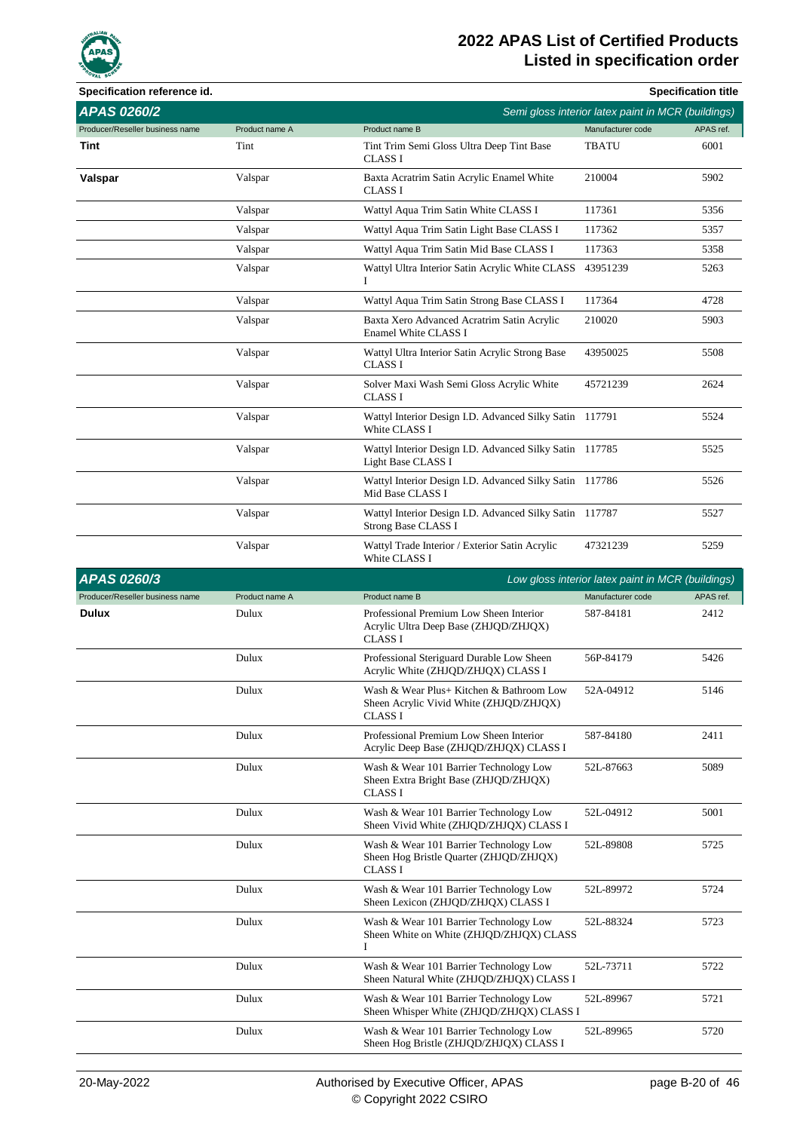

| Specification reference id.     |                |                                                                                                    |                   | <b>Specification title</b>                         |
|---------------------------------|----------------|----------------------------------------------------------------------------------------------------|-------------------|----------------------------------------------------|
| <b>APAS 0260/2</b>              |                |                                                                                                    |                   | Semi gloss interior latex paint in MCR (buildings) |
| Producer/Reseller business name | Product name A | Product name B                                                                                     | Manufacturer code | APAS ref.                                          |
| Tint                            | Tint           | Tint Trim Semi Gloss Ultra Deep Tint Base<br>CLASS I                                               | TBATU             | 6001                                               |
| Valspar                         | Valspar        | Baxta Acratrim Satin Acrylic Enamel White<br>CLASS I                                               | 210004            | 5902                                               |
|                                 | Valspar        | Wattyl Aqua Trim Satin White CLASS I                                                               | 117361            | 5356                                               |
|                                 | Valspar        | Wattyl Aqua Trim Satin Light Base CLASS I                                                          | 117362            | 5357                                               |
|                                 | Valspar        | Wattyl Aqua Trim Satin Mid Base CLASS I                                                            | 117363            | 5358                                               |
|                                 | Valspar        | Wattyl Ultra Interior Satin Acrylic White CLASS<br>Ι                                               | 43951239          | 5263                                               |
|                                 | Valspar        | Wattyl Aqua Trim Satin Strong Base CLASS I                                                         | 117364            | 4728                                               |
|                                 | Valspar        | Baxta Xero Advanced Acratrim Satin Acrylic<br>Enamel White CLASS I                                 | 210020            | 5903                                               |
|                                 | Valspar        | Wattyl Ultra Interior Satin Acrylic Strong Base<br><b>CLASS I</b>                                  | 43950025          | 5508                                               |
|                                 | Valspar        | Solver Maxi Wash Semi Gloss Acrylic White<br><b>CLASS I</b>                                        | 45721239          | 2624                                               |
|                                 | Valspar        | Wattyl Interior Design I.D. Advanced Silky Satin 117791<br>White CLASS I                           |                   | 5524                                               |
|                                 | Valspar        | Wattyl Interior Design I.D. Advanced Silky Satin 117785<br>Light Base CLASS I                      |                   | 5525                                               |
|                                 | Valspar        | Wattyl Interior Design I.D. Advanced Silky Satin 117786<br>Mid Base CLASS I                        |                   | 5526                                               |
|                                 | Valspar        | Wattyl Interior Design I.D. Advanced Silky Satin 117787<br>Strong Base CLASS I                     |                   | 5527                                               |
|                                 | Valspar        | Wattyl Trade Interior / Exterior Satin Acrylic<br>White CLASS I                                    | 47321239          | 5259                                               |
|                                 |                |                                                                                                    |                   |                                                    |
| APAS 0260/3                     |                |                                                                                                    |                   | Low gloss interior latex paint in MCR (buildings)  |
| Producer/Reseller business name | Product name A | Product name B                                                                                     | Manufacturer code | APAS ref.                                          |
| Dulux                           | Dulux          | Professional Premium Low Sheen Interior<br>Acrylic Ultra Deep Base (ZHJQD/ZHJQX)<br><b>CLASS I</b> | 587-84181         | 2412                                               |
|                                 | Dulux          | Professional Steriguard Durable Low Sheen<br>Acrylic White (ZHJQD/ZHJQX) CLASS I                   | 56P-84179         | 5426                                               |
|                                 | Dulux          | Wash & Wear Plus+ Kitchen & Bathroom Low<br>Sheen Acrylic Vivid White (ZHJQD/ZHJQX)<br>CLASS I     | 52A-04912         | 5146                                               |
|                                 | Dulux          | Professional Premium Low Sheen Interior<br>Acrylic Deep Base (ZHJQD/ZHJQX) CLASS I                 | 587-84180         | 2411                                               |
|                                 | Dulux          | Wash & Wear 101 Barrier Technology Low<br>Sheen Extra Bright Base (ZHJQD/ZHJQX)<br>CLASS I         | 52L-87663         | 5089                                               |
|                                 | Dulux          | Wash & Wear 101 Barrier Technology Low<br>Sheen Vivid White (ZHJQD/ZHJQX) CLASS I                  | 52L-04912         | 5001                                               |
|                                 | Dulux          | Wash & Wear 101 Barrier Technology Low<br>Sheen Hog Bristle Quarter (ZHJQD/ZHJQX)<br>CLASS I       | 52L-89808         | 5725                                               |
|                                 | Dulux          | Wash & Wear 101 Barrier Technology Low<br>Sheen Lexicon (ZHJQD/ZHJQX) CLASS I                      | 52L-89972         | 5724                                               |
|                                 | Dulux          | Wash & Wear 101 Barrier Technology Low<br>Sheen White on White (ZHJQD/ZHJQX) CLASS<br>I            | 52L-88324         | 5723                                               |
|                                 | Dulux          | Wash & Wear 101 Barrier Technology Low<br>Sheen Natural White (ZHJQD/ZHJQX) CLASS I                | 52L-73711         | 5722                                               |
|                                 | Dulux          | Wash & Wear 101 Barrier Technology Low<br>Sheen Whisper White (ZHJQD/ZHJQX) CLASS I                | 52L-89967         | 5721                                               |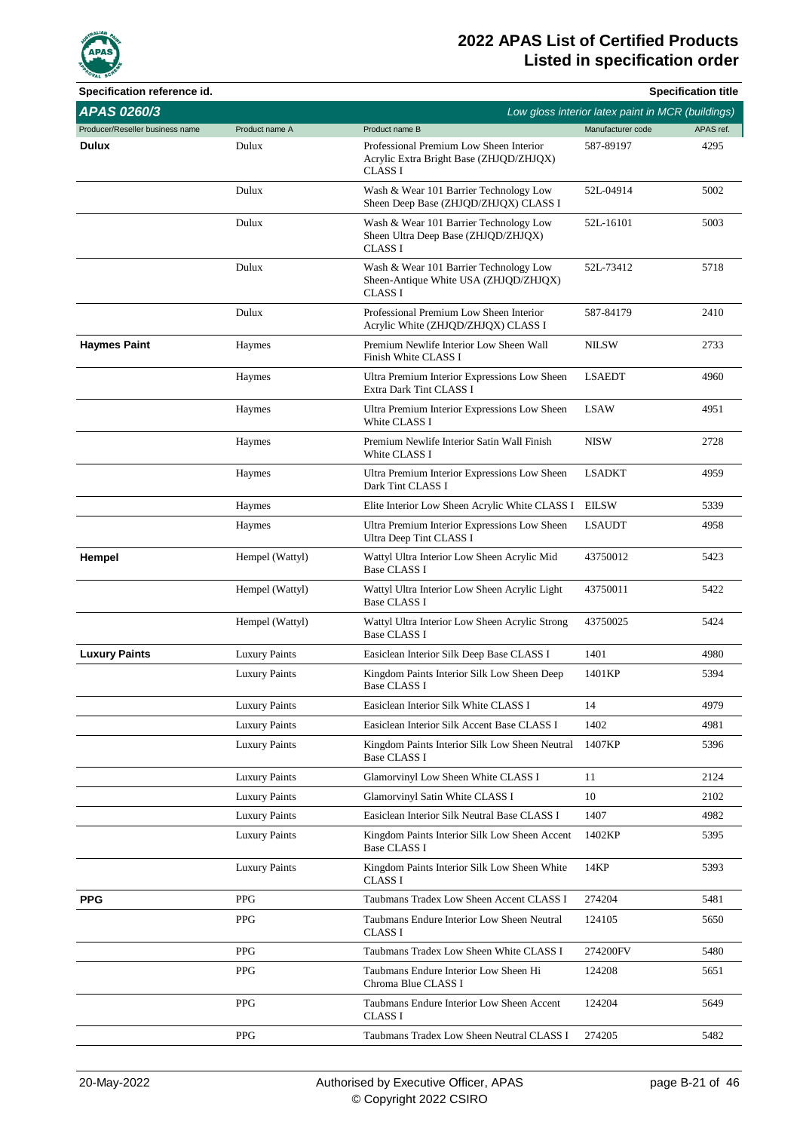

| Specification reference id.     |                      |                                                                                                      |                                                   | <b>Specification title</b> |
|---------------------------------|----------------------|------------------------------------------------------------------------------------------------------|---------------------------------------------------|----------------------------|
| <b>APAS 0260/3</b>              |                      |                                                                                                      | Low gloss interior latex paint in MCR (buildings) |                            |
| Producer/Reseller business name | Product name A       | Product name B                                                                                       | Manufacturer code                                 | APAS ref.                  |
| <b>Dulux</b>                    | Dulux                | Professional Premium Low Sheen Interior<br>Acrylic Extra Bright Base (ZHJQD/ZHJQX)<br><b>CLASS I</b> | 587-89197                                         | 4295                       |
|                                 | Dulux                | Wash & Wear 101 Barrier Technology Low<br>Sheen Deep Base (ZHJQD/ZHJQX) CLASS I                      | 52L-04914                                         | 5002                       |
|                                 | Dulux                | Wash & Wear 101 Barrier Technology Low<br>Sheen Ultra Deep Base (ZHJQD/ZHJQX)<br><b>CLASS I</b>      | 52L-16101                                         | 5003                       |
|                                 | Dulux                | Wash & Wear 101 Barrier Technology Low<br>Sheen-Antique White USA (ZHJQD/ZHJQX)<br><b>CLASS I</b>    | 52L-73412                                         | 5718                       |
|                                 | Dulux                | Professional Premium Low Sheen Interior<br>Acrylic White (ZHJQD/ZHJQX) CLASS I                       | 587-84179                                         | 2410                       |
| <b>Haymes Paint</b>             | Haymes               | Premium Newlife Interior Low Sheen Wall<br>Finish White CLASS I                                      | <b>NILSW</b>                                      | 2733                       |
|                                 | Haymes               | Ultra Premium Interior Expressions Low Sheen<br>Extra Dark Tint CLASS I                              | <b>LSAEDT</b>                                     | 4960                       |
|                                 | Haymes               | Ultra Premium Interior Expressions Low Sheen<br>White CLASS I                                        | <b>LSAW</b>                                       | 4951                       |
|                                 | Haymes               | Premium Newlife Interior Satin Wall Finish<br>White CLASS I                                          | <b>NISW</b>                                       | 2728                       |
|                                 | Haymes               | Ultra Premium Interior Expressions Low Sheen<br>Dark Tint CLASS I                                    | <b>LSADKT</b>                                     | 4959                       |
|                                 | Haymes               | Elite Interior Low Sheen Acrylic White CLASS I                                                       | <b>EILSW</b>                                      | 5339                       |
|                                 | Haymes               | Ultra Premium Interior Expressions Low Sheen<br>Ultra Deep Tint CLASS I                              | <b>LSAUDT</b>                                     | 4958                       |
| Hempel                          | Hempel (Wattyl)      | Wattyl Ultra Interior Low Sheen Acrylic Mid<br><b>Base CLASS I</b>                                   | 43750012                                          | 5423                       |
|                                 | Hempel (Wattyl)      | Wattyl Ultra Interior Low Sheen Acrylic Light<br><b>Base CLASS I</b>                                 | 43750011                                          | 5422                       |
|                                 | Hempel (Wattyl)      | Wattyl Ultra Interior Low Sheen Acrylic Strong<br><b>Base CLASS I</b>                                | 43750025                                          | 5424                       |
| <b>Luxury Paints</b>            | <b>Luxury Paints</b> | Easiclean Interior Silk Deep Base CLASS I                                                            | 1401                                              | 4980                       |
|                                 | <b>Luxury Paints</b> | Kingdom Paints Interior Silk Low Sheen Deep<br><b>Base CLASS I</b>                                   | 1401KP                                            | 5394                       |
|                                 | <b>Luxury Paints</b> | Easiclean Interior Silk White CLASS I                                                                | 14                                                | 4979                       |
|                                 | <b>Luxury Paints</b> | Easiclean Interior Silk Accent Base CLASS I                                                          | 1402                                              | 4981                       |
|                                 | <b>Luxury Paints</b> | Kingdom Paints Interior Silk Low Sheen Neutral<br><b>Base CLASS I</b>                                | 1407KP                                            | 5396                       |
|                                 | <b>Luxury Paints</b> | Glamorvinyl Low Sheen White CLASS I                                                                  | 11                                                | 2124                       |
|                                 | <b>Luxury Paints</b> | Glamorvinyl Satin White CLASS I                                                                      | 10                                                | 2102                       |
|                                 | <b>Luxury Paints</b> | Easiclean Interior Silk Neutral Base CLASS I                                                         | 1407                                              | 4982                       |
|                                 | <b>Luxury Paints</b> | Kingdom Paints Interior Silk Low Sheen Accent<br><b>Base CLASS I</b>                                 | 1402KP                                            | 5395                       |
|                                 | <b>Luxury Paints</b> | Kingdom Paints Interior Silk Low Sheen White<br><b>CLASS I</b>                                       | 14KP                                              | 5393                       |
| <b>PPG</b>                      | <b>PPG</b>           | Taubmans Tradex Low Sheen Accent CLASS I                                                             | 274204                                            | 5481                       |
|                                 | <b>PPG</b>           | Taubmans Endure Interior Low Sheen Neutral<br><b>CLASS I</b>                                         | 124105                                            | 5650                       |
|                                 | <b>PPG</b>           | Taubmans Tradex Low Sheen White CLASS I                                                              | 274200FV                                          | 5480                       |
|                                 | <b>PPG</b>           | Taubmans Endure Interior Low Sheen Hi<br>Chroma Blue CLASS I                                         | 124208                                            | 5651                       |
|                                 | <b>PPG</b>           | Taubmans Endure Interior Low Sheen Accent<br><b>CLASS I</b>                                          | 124204                                            | 5649                       |
|                                 | <b>PPG</b>           | Taubmans Tradex Low Sheen Neutral CLASS I                                                            | 274205                                            | 5482                       |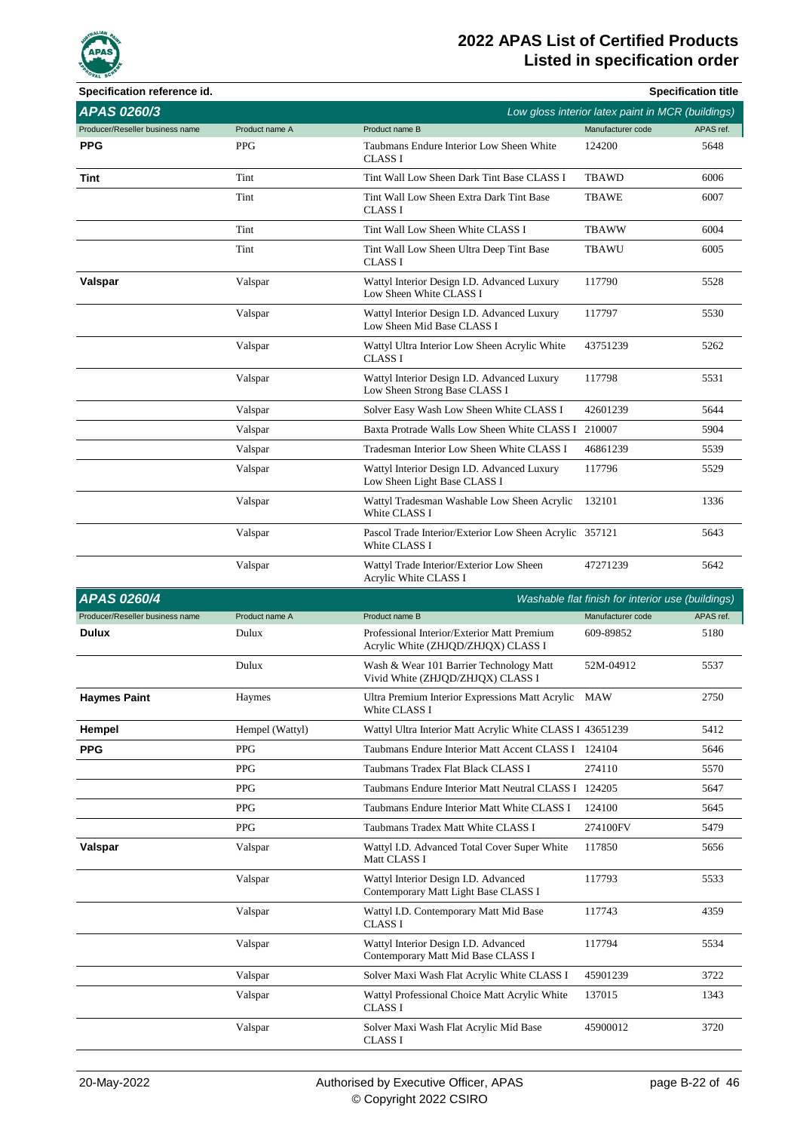

| Specification reference id.     |                 |                                                                                    |                                                   | <b>Specification title</b> |
|---------------------------------|-----------------|------------------------------------------------------------------------------------|---------------------------------------------------|----------------------------|
| APAS 0260/3                     |                 |                                                                                    | Low gloss interior latex paint in MCR (buildings) |                            |
| Producer/Reseller business name | Product name A  | Product name B                                                                     | Manufacturer code                                 | APAS ref.                  |
| <b>PPG</b>                      | <b>PPG</b>      | Taubmans Endure Interior Low Sheen White<br>CLASS I                                | 124200                                            | 5648                       |
| Tint                            | Tint            | Tint Wall Low Sheen Dark Tint Base CLASS I                                         | <b>TBAWD</b>                                      | 6006                       |
|                                 | Tint            | Tint Wall Low Sheen Extra Dark Tint Base<br><b>CLASS I</b>                         | <b>TBAWE</b>                                      | 6007                       |
|                                 | Tint            | Tint Wall Low Sheen White CLASS I                                                  | <b>TBAWW</b>                                      | 6004                       |
|                                 | Tint            | Tint Wall Low Sheen Ultra Deep Tint Base<br><b>CLASS I</b>                         | <b>TBAWU</b>                                      | 6005                       |
| Valspar                         | Valspar         | Wattyl Interior Design I.D. Advanced Luxury<br>Low Sheen White CLASS I             | 117790                                            | 5528                       |
|                                 | Valspar         | Wattyl Interior Design I.D. Advanced Luxury<br>Low Sheen Mid Base CLASS I          | 117797                                            | 5530                       |
|                                 | Valspar         | Wattyl Ultra Interior Low Sheen Acrylic White<br><b>CLASS I</b>                    | 43751239                                          | 5262                       |
|                                 | Valspar         | Wattyl Interior Design I.D. Advanced Luxury<br>Low Sheen Strong Base CLASS I       | 117798                                            | 5531                       |
|                                 | Valspar         | Solver Easy Wash Low Sheen White CLASS I                                           | 42601239                                          | 5644                       |
|                                 | Valspar         | Baxta Protrade Walls Low Sheen White CLASS I                                       | 210007                                            | 5904                       |
|                                 | Valspar         | Tradesman Interior Low Sheen White CLASS I                                         | 46861239                                          | 5539                       |
|                                 | Valspar         | Wattyl Interior Design I.D. Advanced Luxury<br>Low Sheen Light Base CLASS I        | 117796                                            | 5529                       |
|                                 | Valspar         | Wattyl Tradesman Washable Low Sheen Acrylic<br>White CLASS I                       | 132101                                            | 1336                       |
|                                 | Valspar         | Pascol Trade Interior/Exterior Low Sheen Acrylic 357121<br>White CLASS I           |                                                   | 5643                       |
|                                 | Valspar         | Wattyl Trade Interior/Exterior Low Sheen<br>Acrylic White CLASS I                  | 47271239                                          | 5642                       |
| <b>APAS 0260/4</b>              |                 |                                                                                    | Washable flat finish for interior use (buildings) |                            |
| Producer/Reseller business name | Product name A  | Product name B                                                                     | Manufacturer code                                 | APAS ref.                  |
| <b>Dulux</b>                    | Dulux           | Professional Interior/Exterior Matt Premium<br>Acrylic White (ZHJQD/ZHJQX) CLASS I | 609-89852                                         | 5180                       |
|                                 | Dulux           | Wash & Wear 101 Barrier Technology Matt<br>Vivid White (ZHJQD/ZHJQX) CLASS I       | 52M-04912                                         | 5537                       |
| <b>Haymes Paint</b>             | Haymes          | Ultra Premium Interior Expressions Matt Acrylic MAW<br>White CLASS I               |                                                   | 2750                       |
| Hempel                          | Hempel (Wattyl) | Wattyl Ultra Interior Matt Acrylic White CLASS I 43651239                          |                                                   | 5412                       |
| <b>PPG</b>                      | <b>PPG</b>      | Taubmans Endure Interior Matt Accent CLASS I 124104                                |                                                   | 5646                       |
|                                 | <b>PPG</b>      | Taubmans Tradex Flat Black CLASS I                                                 | 274110                                            | 5570                       |
|                                 | <b>PPG</b>      | Taubmans Endure Interior Matt Neutral CLASS I 124205                               |                                                   | 5647                       |
|                                 | <b>PPG</b>      | Taubmans Endure Interior Matt White CLASS I                                        | 124100                                            | 5645                       |
|                                 | <b>PPG</b>      | Taubmans Tradex Matt White CLASS I                                                 | 274100FV                                          | 5479                       |
| Valspar                         | Valspar         | Wattyl I.D. Advanced Total Cover Super White<br>Matt CLASS I                       | 117850                                            | 5656                       |
|                                 | Valspar         | Wattyl Interior Design I.D. Advanced<br>Contemporary Matt Light Base CLASS I       | 117793                                            | 5533                       |
|                                 | Valspar         | Wattyl I.D. Contemporary Matt Mid Base<br><b>CLASS I</b>                           | 117743                                            | 4359                       |
|                                 | Valspar         | Wattyl Interior Design I.D. Advanced<br>Contemporary Matt Mid Base CLASS I         | 117794                                            | 5534                       |
|                                 | Valspar         | Solver Maxi Wash Flat Acrylic White CLASS I                                        | 45901239                                          | 3722                       |
|                                 | Valspar         | Wattyl Professional Choice Matt Acrylic White<br>CLASS I                           | 137015                                            | 1343                       |
|                                 | Valspar         | Solver Maxi Wash Flat Acrylic Mid Base<br><b>CLASS I</b>                           | 45900012                                          | 3720                       |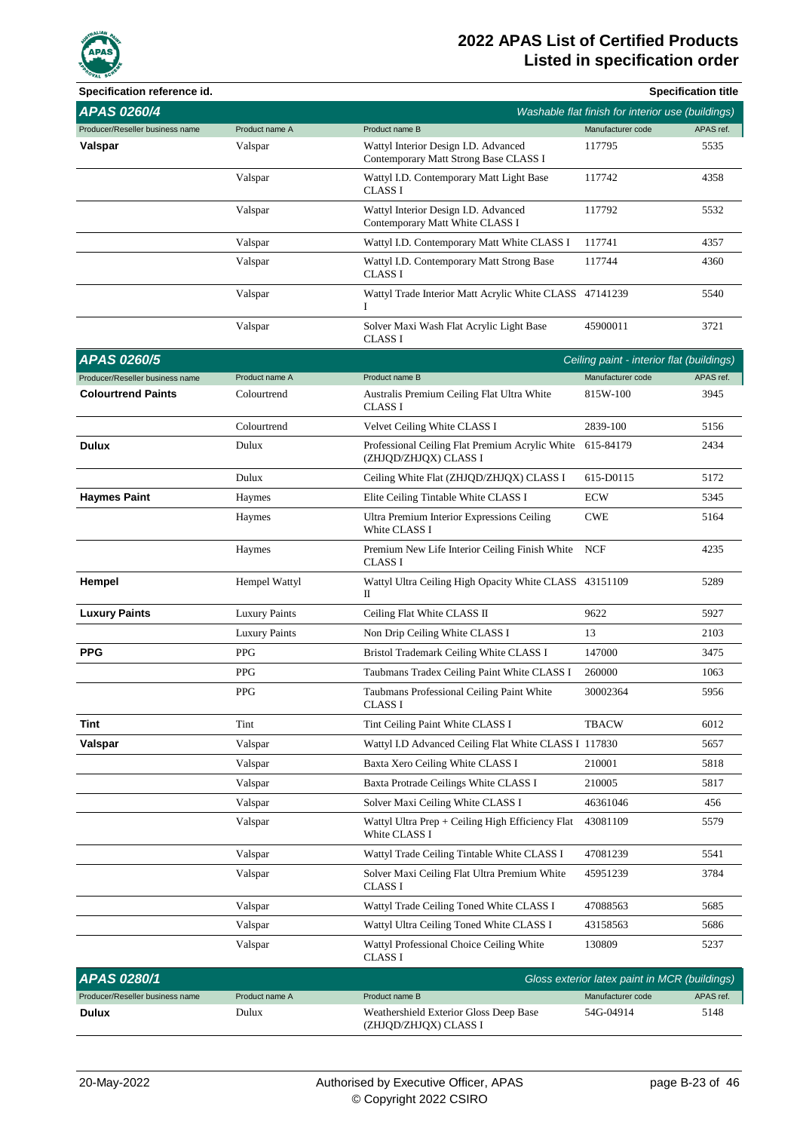

| Specification reference id.     |                      |                                                                                    |                                                   | <b>Specification title</b> |
|---------------------------------|----------------------|------------------------------------------------------------------------------------|---------------------------------------------------|----------------------------|
| <b>APAS 0260/4</b>              |                      |                                                                                    | Washable flat finish for interior use (buildings) |                            |
| Producer/Reseller business name | Product name A       | Product name B                                                                     | Manufacturer code                                 | APAS ref.                  |
| Valspar                         | Valspar              | Wattyl Interior Design I.D. Advanced<br>Contemporary Matt Strong Base CLASS I      | 117795                                            | 5535                       |
|                                 | Valspar              | Wattyl I.D. Contemporary Matt Light Base<br><b>CLASS I</b>                         | 117742                                            | 4358                       |
|                                 | Valspar              | Wattyl Interior Design I.D. Advanced<br>Contemporary Matt White CLASS I            | 117792                                            | 5532                       |
|                                 | Valspar              | Wattyl I.D. Contemporary Matt White CLASS I                                        | 117741                                            | 4357                       |
|                                 | Valspar              | Wattyl I.D. Contemporary Matt Strong Base<br><b>CLASS I</b>                        | 117744                                            | 4360                       |
|                                 | Valspar              | Wattyl Trade Interior Matt Acrylic White CLASS 47141239<br>I                       |                                                   | 5540                       |
|                                 | Valspar              | Solver Maxi Wash Flat Acrylic Light Base<br>CLASS I                                | 45900011                                          | 3721                       |
| <b>APAS 0260/5</b>              |                      |                                                                                    | Ceiling paint - interior flat (buildings)         |                            |
| Producer/Reseller business name | Product name A       | Product name B                                                                     | Manufacturer code                                 | APAS ref.                  |
| <b>Colourtrend Paints</b>       | Colourtrend          | Australis Premium Ceiling Flat Ultra White<br><b>CLASS I</b>                       | 815W-100                                          | 3945                       |
|                                 | Colourtrend          | Velvet Ceiling White CLASS I                                                       | 2839-100                                          | 5156                       |
| <b>Dulux</b>                    | Dulux                | Professional Ceiling Flat Premium Acrylic White 615-84179<br>(ZHJQD/ZHJQX) CLASS I |                                                   | 2434                       |
|                                 | Dulux                | Ceiling White Flat (ZHJQD/ZHJQX) CLASS I                                           | 615-D0115                                         | 5172                       |
| <b>Haymes Paint</b>             | Haymes               | Elite Ceiling Tintable White CLASS I                                               | <b>ECW</b>                                        | 5345                       |
|                                 | Haymes               | Ultra Premium Interior Expressions Ceiling<br>White CLASS I                        | <b>CWE</b>                                        | 5164                       |
|                                 | Haymes               | Premium New Life Interior Ceiling Finish White<br><b>CLASS I</b>                   | <b>NCF</b>                                        | 4235                       |
| Hempel                          | Hempel Wattyl        | Wattyl Ultra Ceiling High Opacity White CLASS 43151109<br>П                        |                                                   | 5289                       |
| <b>Luxury Paints</b>            | <b>Luxury Paints</b> | Ceiling Flat White CLASS II                                                        | 9622                                              | 5927                       |
|                                 | <b>Luxury Paints</b> | Non Drip Ceiling White CLASS I                                                     | 13                                                | 2103                       |
| <b>PPG</b>                      | <b>PPG</b>           | Bristol Trademark Ceiling White CLASS I                                            | 147000                                            | 3475                       |
|                                 | <b>PPG</b>           | Taubmans Tradex Ceiling Paint White CLASS I                                        | 260000                                            | 1063                       |
|                                 | <b>PPG</b>           | Taubmans Professional Ceiling Paint White<br>CLASS I                               | 30002364                                          | 5956                       |
| Tint                            | Tint                 | Tint Ceiling Paint White CLASS I                                                   | <b>TBACW</b>                                      | 6012                       |
| Valspar                         | Valspar              | Wattyl I.D Advanced Ceiling Flat White CLASS I 117830                              |                                                   | 5657                       |
|                                 | Valspar              | Baxta Xero Ceiling White CLASS I                                                   | 210001                                            | 5818                       |
|                                 | Valspar              | Baxta Protrade Ceilings White CLASS I                                              | 210005                                            | 5817                       |
|                                 | Valspar              | Solver Maxi Ceiling White CLASS I                                                  | 46361046                                          | 456                        |
|                                 | Valspar              | Wattyl Ultra Prep + Ceiling High Efficiency Flat<br>White CLASS I                  | 43081109                                          | 5579                       |
|                                 | Valspar              | Wattyl Trade Ceiling Tintable White CLASS I                                        | 47081239                                          | 5541                       |
|                                 | Valspar              | Solver Maxi Ceiling Flat Ultra Premium White<br>CLASS I                            | 45951239                                          | 3784                       |
|                                 | Valspar              | Wattyl Trade Ceiling Toned White CLASS I                                           | 47088563                                          | 5685                       |
|                                 | Valspar              | Wattyl Ultra Ceiling Toned White CLASS I                                           | 43158563                                          | 5686                       |
|                                 | Valspar              | Wattyl Professional Choice Ceiling White<br>CLASS I                                | 130809                                            | 5237                       |
| APAS 0280/1                     |                      |                                                                                    | Gloss exterior latex paint in MCR (buildings)     |                            |
| Producer/Reseller business name | Product name A       | Product name B                                                                     | Manufacturer code                                 | APAS ref.                  |
| <b>Dulux</b>                    | Dulux                | Weathershield Exterior Gloss Deep Base<br>(ZHJQD/ZHJQX) CLASS I                    | 54G-04914                                         | 5148                       |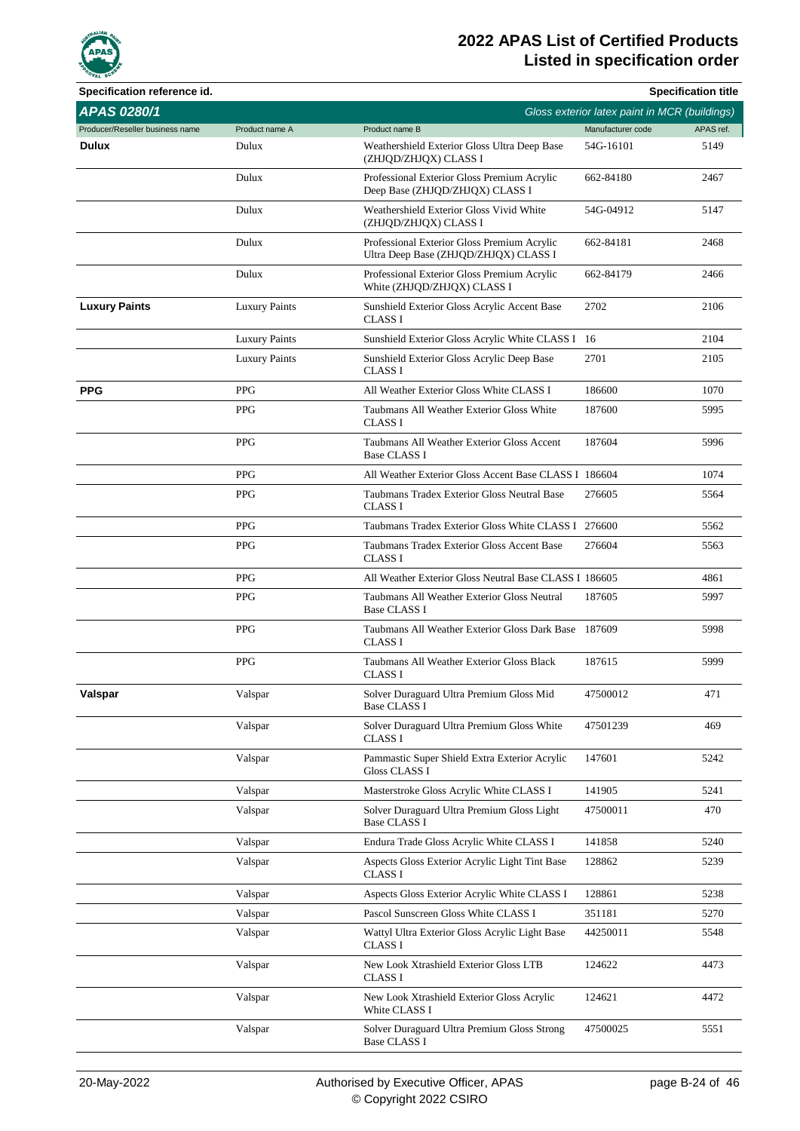

| Specification reference id.     |                      |                                                                                      |                                               | <b>Specification title</b> |
|---------------------------------|----------------------|--------------------------------------------------------------------------------------|-----------------------------------------------|----------------------------|
| <b>APAS 0280/1</b>              |                      |                                                                                      | Gloss exterior latex paint in MCR (buildings) |                            |
| Producer/Reseller business name | Product name A       | Product name B                                                                       | Manufacturer code                             | APAS ref.                  |
| Dulux                           | Dulux                | Weathershield Exterior Gloss Ultra Deep Base<br>(ZHJQD/ZHJQX) CLASS I                | 54G-16101                                     | 5149                       |
|                                 | Dulux                | Professional Exterior Gloss Premium Acrylic<br>Deep Base (ZHJQD/ZHJQX) CLASS I       | 662-84180                                     | 2467                       |
|                                 | Dulux                | Weathershield Exterior Gloss Vivid White<br>(ZHJQD/ZHJQX) CLASS I                    | 54G-04912                                     | 5147                       |
|                                 | Dulux                | Professional Exterior Gloss Premium Acrylic<br>Ultra Deep Base (ZHJQD/ZHJQX) CLASS I | 662-84181                                     | 2468                       |
|                                 | Dulux                | Professional Exterior Gloss Premium Acrylic<br>White (ZHJQD/ZHJQX) CLASS I           | 662-84179                                     | 2466                       |
| <b>Luxury Paints</b>            | <b>Luxury Paints</b> | Sunshield Exterior Gloss Acrylic Accent Base<br><b>CLASS I</b>                       | 2702                                          | 2106                       |
|                                 | <b>Luxury Paints</b> | Sunshield Exterior Gloss Acrylic White CLASS I 16                                    |                                               | 2104                       |
|                                 | <b>Luxury Paints</b> | Sunshield Exterior Gloss Acrylic Deep Base<br><b>CLASS I</b>                         | 2701                                          | 2105                       |
| <b>PPG</b>                      | <b>PPG</b>           | All Weather Exterior Gloss White CLASS I                                             | 186600                                        | 1070                       |
|                                 | <b>PPG</b>           | Taubmans All Weather Exterior Gloss White<br><b>CLASS I</b>                          | 187600                                        | 5995                       |
|                                 | <b>PPG</b>           | Taubmans All Weather Exterior Gloss Accent<br><b>Base CLASS I</b>                    | 187604                                        | 5996                       |
|                                 | <b>PPG</b>           | All Weather Exterior Gloss Accent Base CLASS I 186604                                |                                               | 1074                       |
|                                 | <b>PPG</b>           | Taubmans Tradex Exterior Gloss Neutral Base<br><b>CLASS I</b>                        | 276605                                        | 5564                       |
|                                 | <b>PPG</b>           | Taubmans Tradex Exterior Gloss White CLASS I 276600                                  |                                               | 5562                       |
|                                 | <b>PPG</b>           | Taubmans Tradex Exterior Gloss Accent Base<br><b>CLASS I</b>                         | 276604                                        | 5563                       |
|                                 | <b>PPG</b>           | All Weather Exterior Gloss Neutral Base CLASS I 186605                               |                                               | 4861                       |
|                                 | <b>PPG</b>           | Taubmans All Weather Exterior Gloss Neutral<br><b>Base CLASS I</b>                   | 187605                                        | 5997                       |
|                                 | <b>PPG</b>           | Taubmans All Weather Exterior Gloss Dark Base 187609<br><b>CLASS I</b>               |                                               | 5998                       |
|                                 | <b>PPG</b>           | Taubmans All Weather Exterior Gloss Black<br>CLASS I                                 | 187615                                        | 5999                       |
| Valspar                         | Valspar              | Solver Duraguard Ultra Premium Gloss Mid<br><b>Base CLASS I</b>                      | 47500012                                      | 471                        |
|                                 | Valspar              | Solver Duraguard Ultra Premium Gloss White<br><b>CLASS I</b>                         | 47501239                                      | 469                        |
|                                 | Valspar              | Pammastic Super Shield Extra Exterior Acrylic<br><b>Gloss CLASS I</b>                | 147601                                        | 5242                       |
|                                 | Valspar              | Masterstroke Gloss Acrylic White CLASS I                                             | 141905                                        | 5241                       |
|                                 | Valspar              | Solver Duraguard Ultra Premium Gloss Light<br><b>Base CLASS I</b>                    | 47500011                                      | 470                        |
|                                 | Valspar              | Endura Trade Gloss Acrylic White CLASS I                                             | 141858                                        | 5240                       |
|                                 | Valspar              | Aspects Gloss Exterior Acrylic Light Tint Base<br>CLASS I                            | 128862                                        | 5239                       |
|                                 | Valspar              | Aspects Gloss Exterior Acrylic White CLASS I                                         | 128861                                        | 5238                       |
|                                 | Valspar              | Pascol Sunscreen Gloss White CLASS I                                                 | 351181                                        | 5270                       |
|                                 | Valspar              | Wattyl Ultra Exterior Gloss Acrylic Light Base<br><b>CLASS I</b>                     | 44250011                                      | 5548                       |
|                                 | Valspar              | New Look Xtrashield Exterior Gloss LTB<br>CLASS I                                    | 124622                                        | 4473                       |
|                                 | Valspar              | New Look Xtrashield Exterior Gloss Acrylic<br>White CLASS I                          | 124621                                        | 4472                       |
|                                 | Valspar              | Solver Duraguard Ultra Premium Gloss Strong<br><b>Base CLASS I</b>                   | 47500025                                      | 5551                       |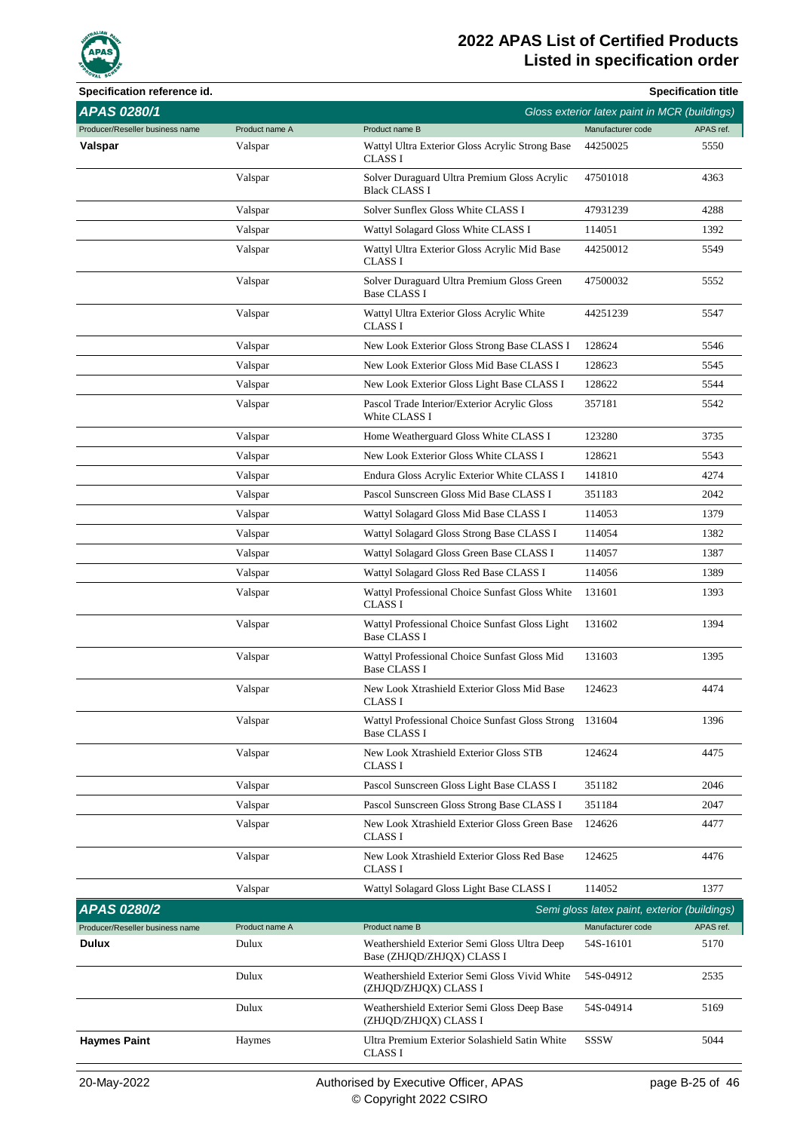

| Specification reference id.     |                |                                                                            |                                               | <b>Specification title</b> |
|---------------------------------|----------------|----------------------------------------------------------------------------|-----------------------------------------------|----------------------------|
| APAS 0280/1                     |                |                                                                            | Gloss exterior latex paint in MCR (buildings) |                            |
| Producer/Reseller business name | Product name A | Product name B                                                             | Manufacturer code                             | APAS ref.                  |
| Valspar                         | Valspar        | Wattyl Ultra Exterior Gloss Acrylic Strong Base<br><b>CLASS I</b>          | 44250025                                      | 5550                       |
|                                 | Valspar        | Solver Duraguard Ultra Premium Gloss Acrylic<br><b>Black CLASS I</b>       | 47501018                                      | 4363                       |
|                                 | Valspar        | Solver Sunflex Gloss White CLASS I                                         | 47931239                                      | 4288                       |
|                                 | Valspar        | Wattyl Solagard Gloss White CLASS I                                        | 114051                                        | 1392                       |
|                                 | Valspar        | Wattyl Ultra Exterior Gloss Acrylic Mid Base<br><b>CLASS I</b>             | 44250012                                      | 5549                       |
|                                 | Valspar        | Solver Duraguard Ultra Premium Gloss Green<br><b>Base CLASS I</b>          | 47500032                                      | 5552                       |
|                                 | Valspar        | Wattyl Ultra Exterior Gloss Acrylic White<br>CLASS I                       | 44251239                                      | 5547                       |
|                                 | Valspar        | New Look Exterior Gloss Strong Base CLASS I                                | 128624                                        | 5546                       |
|                                 | Valspar        | New Look Exterior Gloss Mid Base CLASS I                                   | 128623                                        | 5545                       |
|                                 | Valspar        | New Look Exterior Gloss Light Base CLASS I                                 | 128622                                        | 5544                       |
|                                 | Valspar        | Pascol Trade Interior/Exterior Acrylic Gloss<br>White CLASS I              | 357181                                        | 5542                       |
|                                 | Valspar        | Home Weatherguard Gloss White CLASS I                                      | 123280                                        | 3735                       |
|                                 | Valspar        | New Look Exterior Gloss White CLASS I                                      | 128621                                        | 5543                       |
|                                 | Valspar        | Endura Gloss Acrylic Exterior White CLASS I                                | 141810                                        | 4274                       |
|                                 | Valspar        | Pascol Sunscreen Gloss Mid Base CLASS I                                    | 351183                                        | 2042                       |
|                                 | Valspar        | Wattyl Solagard Gloss Mid Base CLASS I                                     | 114053                                        | 1379                       |
|                                 | Valspar        | Wattyl Solagard Gloss Strong Base CLASS I                                  | 114054                                        | 1382                       |
|                                 | Valspar        | Wattyl Solagard Gloss Green Base CLASS I                                   | 114057                                        | 1387                       |
|                                 | Valspar        | Wattyl Solagard Gloss Red Base CLASS I                                     | 114056                                        | 1389                       |
|                                 | Valspar        | Wattyl Professional Choice Sunfast Gloss White<br><b>CLASS I</b>           | 131601                                        | 1393                       |
|                                 | Valspar        | Wattyl Professional Choice Sunfast Gloss Light<br><b>Base CLASS I</b>      | 131602                                        | 1394                       |
|                                 | Valspar        | Wattyl Professional Choice Sunfast Gloss Mid<br><b>Base CLASS I</b>        | 131603                                        | 1395                       |
|                                 | Valspar        | New Look Xtrashield Exterior Gloss Mid Base<br><b>CLASS I</b>              | 124623                                        | 4474                       |
|                                 | Valspar        | Wattyl Professional Choice Sunfast Gloss Strong<br><b>Base CLASS I</b>     | 131604                                        | 1396                       |
|                                 | Valspar        | New Look Xtrashield Exterior Gloss STB<br>CLASS I                          | 124624                                        | 4475                       |
|                                 | Valspar        | Pascol Sunscreen Gloss Light Base CLASS I                                  | 351182                                        | 2046                       |
|                                 | Valspar        | Pascol Sunscreen Gloss Strong Base CLASS I                                 | 351184                                        | 2047                       |
|                                 | Valspar        | New Look Xtrashield Exterior Gloss Green Base<br>CLASS I                   | 124626                                        | 4477                       |
|                                 | Valspar        | New Look Xtrashield Exterior Gloss Red Base<br><b>CLASS I</b>              | 124625                                        | 4476                       |
|                                 | Valspar        | Wattyl Solagard Gloss Light Base CLASS I                                   | 114052                                        | 1377                       |
| <b>APAS 0280/2</b>              |                |                                                                            | Semi gloss latex paint, exterior (buildings)  |                            |
| Producer/Reseller business name | Product name A | Product name B                                                             | Manufacturer code                             | APAS ref.                  |
| <b>Dulux</b>                    | Dulux          | Weathershield Exterior Semi Gloss Ultra Deep<br>Base (ZHJQD/ZHJQX) CLASS I | 54S-16101                                     | 5170                       |
|                                 | Dulux          | Weathershield Exterior Semi Gloss Vivid White<br>(ZHJQD/ZHJQX) CLASS I     | 54S-04912                                     | 2535                       |
|                                 | Dulux          | Weathershield Exterior Semi Gloss Deep Base<br>(ZHJQD/ZHJQX) CLASS I       | 54S-04914                                     | 5169                       |
| <b>Haymes Paint</b>             | Haymes         | Ultra Premium Exterior Solashield Satin White<br><b>CLASS I</b>            | SSSW                                          | 5044                       |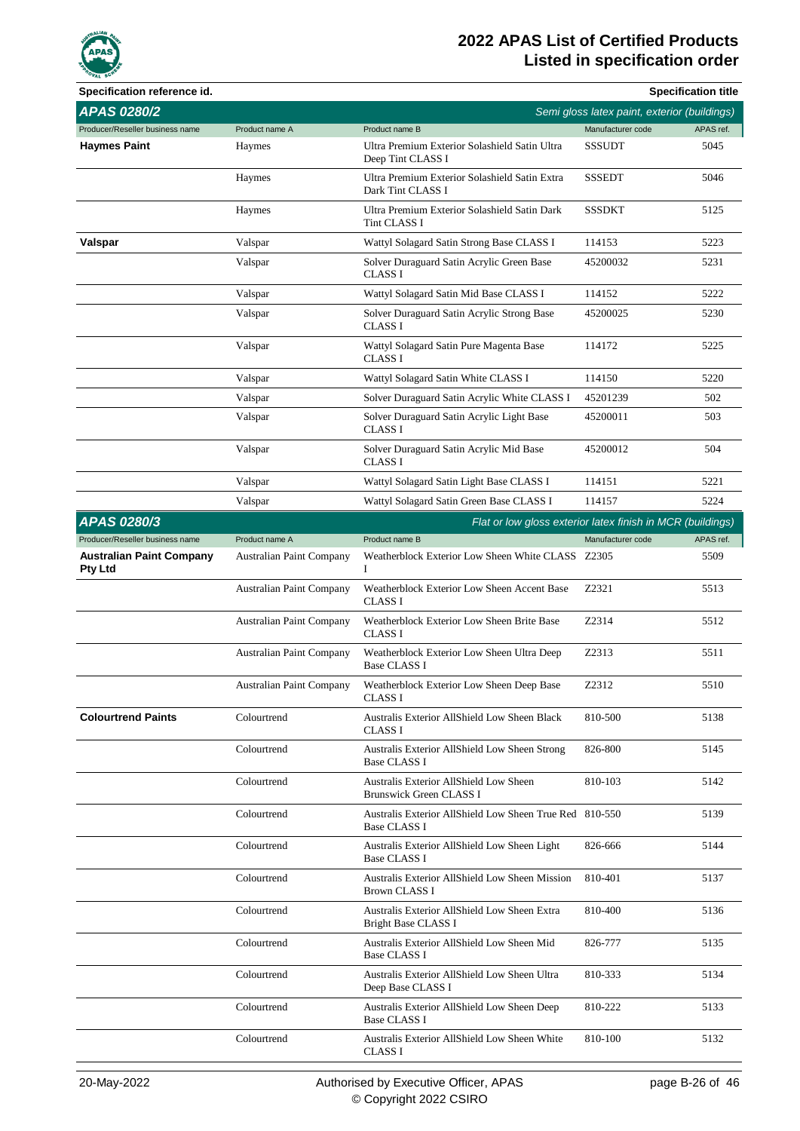

| Specification reference id.                       |                          |                                                                                |                                              | <b>Specification title</b> |
|---------------------------------------------------|--------------------------|--------------------------------------------------------------------------------|----------------------------------------------|----------------------------|
| <b>APAS 0280/2</b>                                |                          |                                                                                | Semi gloss latex paint, exterior (buildings) |                            |
| Producer/Reseller business name                   | Product name A           | Product name B                                                                 | Manufacturer code                            | APAS ref.                  |
| <b>Haymes Paint</b>                               | Haymes                   | Ultra Premium Exterior Solashield Satin Ultra<br>Deep Tint CLASS I             | <b>SSSUDT</b>                                | 5045                       |
|                                                   | Haymes                   | Ultra Premium Exterior Solashield Satin Extra<br>Dark Tint CLASS I             | <b>SSSEDT</b>                                | 5046                       |
|                                                   | Haymes                   | Ultra Premium Exterior Solashield Satin Dark<br>Tint CLASS I                   | <b>SSSDKT</b>                                | 5125                       |
| Valspar                                           | Valspar                  | Wattyl Solagard Satin Strong Base CLASS I                                      | 114153                                       | 5223                       |
|                                                   | Valspar                  | Solver Duraguard Satin Acrylic Green Base<br><b>CLASS I</b>                    | 45200032                                     | 5231                       |
|                                                   | Valspar                  | Wattyl Solagard Satin Mid Base CLASS I                                         | 114152                                       | 5222                       |
|                                                   | Valspar                  | Solver Duraguard Satin Acrylic Strong Base<br><b>CLASS I</b>                   | 45200025                                     | 5230                       |
|                                                   | Valspar                  | Wattyl Solagard Satin Pure Magenta Base<br><b>CLASS I</b>                      | 114172                                       | 5225                       |
|                                                   | Valspar                  | Wattyl Solagard Satin White CLASS I                                            | 114150                                       | 5220                       |
|                                                   | Valspar                  | Solver Duraguard Satin Acrylic White CLASS I                                   | 45201239                                     | 502                        |
|                                                   | Valspar                  | Solver Duraguard Satin Acrylic Light Base<br><b>CLASS I</b>                    | 45200011                                     | 503                        |
|                                                   | Valspar                  | Solver Duraguard Satin Acrylic Mid Base<br><b>CLASS I</b>                      | 45200012                                     | 504                        |
|                                                   | Valspar                  | Wattyl Solagard Satin Light Base CLASS I                                       | 114151                                       | 5221                       |
|                                                   | Valspar                  | Wattyl Solagard Satin Green Base CLASS I                                       | 114157                                       | 5224                       |
| APAS 0280/3                                       |                          | Flat or low gloss exterior latex finish in MCR (buildings)                     |                                              |                            |
| Producer/Reseller business name                   | Product name A           | Product name B                                                                 | Manufacturer code                            | APAS ref.                  |
| <b>Australian Paint Company</b><br><b>Pty Ltd</b> | Australian Paint Company | Weatherblock Exterior Low Sheen White CLASS Z2305<br>I                         |                                              | 5509                       |
|                                                   | Australian Paint Company | Weatherblock Exterior Low Sheen Accent Base<br><b>CLASS I</b>                  | Z2321                                        | 5513                       |
|                                                   | Australian Paint Company | Weatherblock Exterior Low Sheen Brite Base<br><b>CLASS I</b>                   | Z2314                                        | 5512                       |
|                                                   | Australian Paint Company | Weatherblock Exterior Low Sheen Ultra Deep<br><b>Base CLASS I</b>              | Z2313                                        | 5511                       |
|                                                   | Australian Paint Company | Weatherblock Exterior Low Sheen Deep Base<br>CLASS I                           | Z2312                                        | 5510                       |
| <b>Colourtrend Paints</b>                         | Colourtrend              | <b>Australis Exterior AllShield Low Sheen Black</b><br><b>CLASS I</b>          | 810-500                                      | 5138                       |
|                                                   | Colourtrend              | Australis Exterior AllShield Low Sheen Strong<br><b>Base CLASS I</b>           | 826-800                                      | 5145                       |
|                                                   | Colourtrend              | Australis Exterior AllShield Low Sheen<br><b>Brunswick Green CLASS I</b>       | 810-103                                      | 5142                       |
|                                                   | Colourtrend              | Australis Exterior AllShield Low Sheen True Red 810-550<br><b>Base CLASS I</b> |                                              | 5139                       |
|                                                   | Colourtrend              | Australis Exterior AllShield Low Sheen Light<br><b>Base CLASS I</b>            | 826-666                                      | 5144                       |
|                                                   | Colourtrend              | Australis Exterior AllShield Low Sheen Mission<br><b>Brown CLASS I</b>         | 810-401                                      | 5137                       |
|                                                   | Colourtrend              | Australis Exterior AllShield Low Sheen Extra<br>Bright Base CLASS I            | 810-400                                      | 5136                       |
|                                                   | Colourtrend              | Australis Exterior AllShield Low Sheen Mid<br><b>Base CLASS I</b>              | 826-777                                      | 5135                       |
|                                                   | Colourtrend              | Australis Exterior AllShield Low Sheen Ultra<br>Deep Base CLASS I              | 810-333                                      | 5134                       |
|                                                   | Colourtrend              | Australis Exterior AllShield Low Sheen Deep<br><b>Base CLASS I</b>             | 810-222                                      | 5133                       |
|                                                   | Colourtrend              | Australis Exterior AllShield Low Sheen White<br><b>CLASS I</b>                 | 810-100                                      | 5132                       |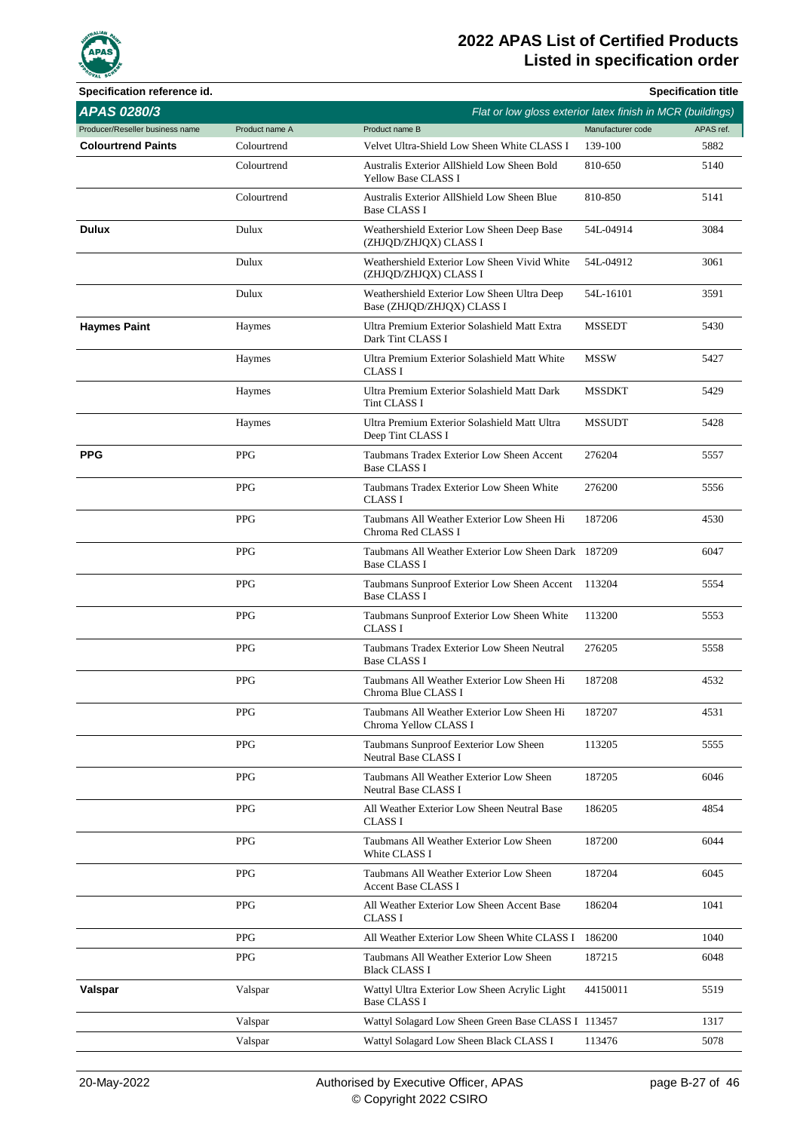

| Specification reference id.     |                |                                                                            |                   | <b>Specification title</b> |
|---------------------------------|----------------|----------------------------------------------------------------------------|-------------------|----------------------------|
| APAS 0280/3                     |                | Flat or low gloss exterior latex finish in MCR (buildings)                 |                   |                            |
| Producer/Reseller business name | Product name A | Product name B                                                             | Manufacturer code | APAS ref.                  |
| <b>Colourtrend Paints</b>       | Colourtrend    | Velvet Ultra-Shield Low Sheen White CLASS I                                | 139-100           | 5882                       |
|                                 | Colourtrend    | Australis Exterior AllShield Low Sheen Bold<br><b>Yellow Base CLASS I</b>  | 810-650           | 5140                       |
|                                 | Colourtrend    | Australis Exterior AllShield Low Sheen Blue<br><b>Base CLASS I</b>         | 810-850           | 5141                       |
| <b>Dulux</b>                    | Dulux          | Weathershield Exterior Low Sheen Deep Base<br>(ZHJQD/ZHJQX) CLASS I        | 54L-04914         | 3084                       |
|                                 | Dulux          | Weathershield Exterior Low Sheen Vivid White<br>(ZHJQD/ZHJQX) CLASS I      | 54L-04912         | 3061                       |
|                                 | Dulux          | Weathershield Exterior Low Sheen Ultra Deep<br>Base (ZHJQD/ZHJQX) CLASS I  | 54L-16101         | 3591                       |
| <b>Haymes Paint</b>             | Haymes         | Ultra Premium Exterior Solashield Matt Extra<br>Dark Tint CLASS I          | <b>MSSEDT</b>     | 5430                       |
|                                 | Haymes         | Ultra Premium Exterior Solashield Matt White<br><b>CLASS I</b>             | <b>MSSW</b>       | 5427                       |
|                                 | Haymes         | Ultra Premium Exterior Solashield Matt Dark<br>Tint CLASS I                | MSSDKT            | 5429                       |
|                                 | Haymes         | Ultra Premium Exterior Solashield Matt Ultra<br>Deep Tint CLASS I          | <b>MSSUDT</b>     | 5428                       |
| <b>PPG</b>                      | <b>PPG</b>     | Taubmans Tradex Exterior Low Sheen Accent<br><b>Base CLASS I</b>           | 276204            | 5557                       |
|                                 | <b>PPG</b>     | Taubmans Tradex Exterior Low Sheen White<br><b>CLASS I</b>                 | 276200            | 5556                       |
|                                 | <b>PPG</b>     | Taubmans All Weather Exterior Low Sheen Hi<br>Chroma Red CLASS I           | 187206            | 4530                       |
|                                 | <b>PPG</b>     | Taubmans All Weather Exterior Low Sheen Dark 187209<br><b>Base CLASS I</b> |                   | 6047                       |
|                                 | <b>PPG</b>     | Taubmans Sunproof Exterior Low Sheen Accent<br><b>Base CLASS I</b>         | 113204            | 5554                       |
|                                 | <b>PPG</b>     | Taubmans Sunproof Exterior Low Sheen White<br><b>CLASS I</b>               | 113200            | 5553                       |
|                                 | <b>PPG</b>     | Taubmans Tradex Exterior Low Sheen Neutral<br><b>Base CLASS I</b>          | 276205            | 5558                       |
|                                 | PPG            | Taubmans All Weather Exterior Low Sheen Hi<br>Chroma Blue CLASS I          | 187208            | 4532                       |
|                                 | PPG            | Taubmans All Weather Exterior Low Sheen Hi<br>Chroma Yellow CLASS I        | 187207            | 4531                       |
|                                 | PPG            | Taubmans Sunproof Eexterior Low Sheen<br>Neutral Base CLASS I              | 113205            | 5555                       |
|                                 | PPG            | Taubmans All Weather Exterior Low Sheen<br>Neutral Base CLASS I            | 187205            | 6046                       |
|                                 | PPG            | All Weather Exterior Low Sheen Neutral Base<br><b>CLASS I</b>              | 186205            | 4854                       |
|                                 | PPG            | Taubmans All Weather Exterior Low Sheen<br>White CLASS I                   | 187200            | 6044                       |
|                                 | PPG            | Taubmans All Weather Exterior Low Sheen<br>Accent Base CLASS I             | 187204            | 6045                       |
|                                 | PPG            | All Weather Exterior Low Sheen Accent Base<br>CLASS I                      | 186204            | 1041                       |
|                                 | PPG            | All Weather Exterior Low Sheen White CLASS I                               | 186200            | 1040                       |
|                                 | PPG            | Taubmans All Weather Exterior Low Sheen<br><b>Black CLASS I</b>            | 187215            | 6048                       |
| Valspar                         | Valspar        | Wattyl Ultra Exterior Low Sheen Acrylic Light<br><b>Base CLASS I</b>       | 44150011          | 5519                       |
|                                 | Valspar        | Wattyl Solagard Low Sheen Green Base CLASS I 113457                        |                   | 1317                       |
|                                 | Valspar        | Wattyl Solagard Low Sheen Black CLASS I                                    | 113476            | 5078                       |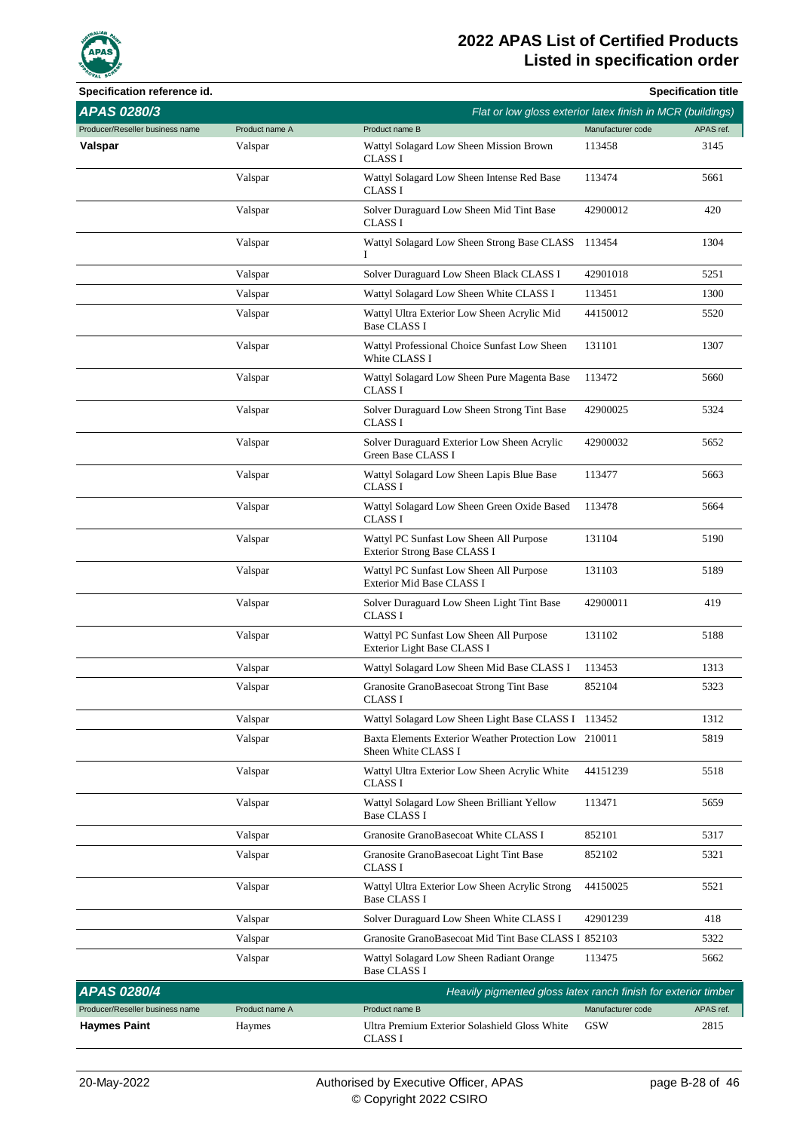

| Specification reference id.     |                |                                                                              |                   | <b>Specification title</b> |
|---------------------------------|----------------|------------------------------------------------------------------------------|-------------------|----------------------------|
| APAS 0280/3                     |                | Flat or low gloss exterior latex finish in MCR (buildings)                   |                   |                            |
| Producer/Reseller business name | Product name A | Product name B                                                               | Manufacturer code | APAS ref.                  |
| Valspar                         | Valspar        | Wattyl Solagard Low Sheen Mission Brown<br><b>CLASS I</b>                    | 113458            | 3145                       |
|                                 | Valspar        | Wattyl Solagard Low Sheen Intense Red Base<br><b>CLASS I</b>                 | 113474            | 5661                       |
|                                 | Valspar        | Solver Duraguard Low Sheen Mid Tint Base<br><b>CLASS I</b>                   | 42900012          | 420                        |
|                                 | Valspar        | Wattyl Solagard Low Sheen Strong Base CLASS<br>Ι                             | 113454            | 1304                       |
|                                 | Valspar        | Solver Duraguard Low Sheen Black CLASS I                                     | 42901018          | 5251                       |
|                                 | Valspar        | Wattyl Solagard Low Sheen White CLASS I                                      | 113451            | 1300                       |
|                                 | Valspar        | Wattyl Ultra Exterior Low Sheen Acrylic Mid<br><b>Base CLASS I</b>           | 44150012          | 5520                       |
|                                 | Valspar        | Wattyl Professional Choice Sunfast Low Sheen<br>White CLASS I                | 131101            | 1307                       |
|                                 | Valspar        | Wattyl Solagard Low Sheen Pure Magenta Base<br><b>CLASS I</b>                | 113472            | 5660                       |
|                                 | Valspar        | Solver Duraguard Low Sheen Strong Tint Base<br><b>CLASS I</b>                | 42900025          | 5324                       |
|                                 | Valspar        | Solver Duraguard Exterior Low Sheen Acrylic<br>Green Base CLASS I            | 42900032          | 5652                       |
|                                 | Valspar        | Wattyl Solagard Low Sheen Lapis Blue Base<br><b>CLASS I</b>                  | 113477            | 5663                       |
|                                 | Valspar        | Wattyl Solagard Low Sheen Green Oxide Based<br><b>CLASS I</b>                | 113478            | 5664                       |
|                                 | Valspar        | Wattyl PC Sunfast Low Sheen All Purpose<br>Exterior Strong Base CLASS I      | 131104            | 5190                       |
|                                 | Valspar        | Wattyl PC Sunfast Low Sheen All Purpose<br><b>Exterior Mid Base CLASS I</b>  | 131103            | 5189                       |
|                                 | Valspar        | Solver Duraguard Low Sheen Light Tint Base<br><b>CLASS I</b>                 | 42900011          | 419                        |
|                                 | Valspar        | Wattyl PC Sunfast Low Sheen All Purpose<br>Exterior Light Base CLASS I       | 131102            | 5188                       |
|                                 | Valspar        | Wattyl Solagard Low Sheen Mid Base CLASS I                                   | 113453            | 1313                       |
|                                 | Valspar        | Granosite GranoBasecoat Strong Tint Base<br>CLASS I                          | 852104            | 5323                       |
|                                 | Valspar        | Wattyl Solagard Low Sheen Light Base CLASS I 113452                          |                   | 1312                       |
|                                 | Valspar        | Baxta Elements Exterior Weather Protection Low 210011<br>Sheen White CLASS I |                   | 5819                       |
|                                 | Valspar        | Wattyl Ultra Exterior Low Sheen Acrylic White<br><b>CLASS I</b>              | 44151239          | 5518                       |
|                                 | Valspar        | Wattyl Solagard Low Sheen Brilliant Yellow<br><b>Base CLASS I</b>            | 113471            | 5659                       |
|                                 | Valspar        | Granosite GranoBasecoat White CLASS I                                        | 852101            | 5317                       |
|                                 | Valspar        | Granosite GranoBasecoat Light Tint Base<br>CLASS I                           | 852102            | 5321                       |
|                                 | Valspar        | Wattyl Ultra Exterior Low Sheen Acrylic Strong<br><b>Base CLASS I</b>        | 44150025          | 5521                       |
|                                 | Valspar        | Solver Duraguard Low Sheen White CLASS I                                     | 42901239          | 418                        |
|                                 | Valspar        | Granosite GranoBasecoat Mid Tint Base CLASS I 852103                         |                   | 5322                       |
|                                 | Valspar        | Wattyl Solagard Low Sheen Radiant Orange<br><b>Base CLASS I</b>              | 113475            | 5662                       |
| <b>APAS 0280/4</b>              |                | Heavily pigmented gloss latex ranch finish for exterior timber               |                   |                            |
| Producer/Reseller business name | Product name A | Product name B                                                               | Manufacturer code | APAS ref.                  |
| Haymes Paint                    | Haymes         | Ultra Premium Exterior Solashield Gloss White<br>CLASS I                     | <b>GSW</b>        | 2815                       |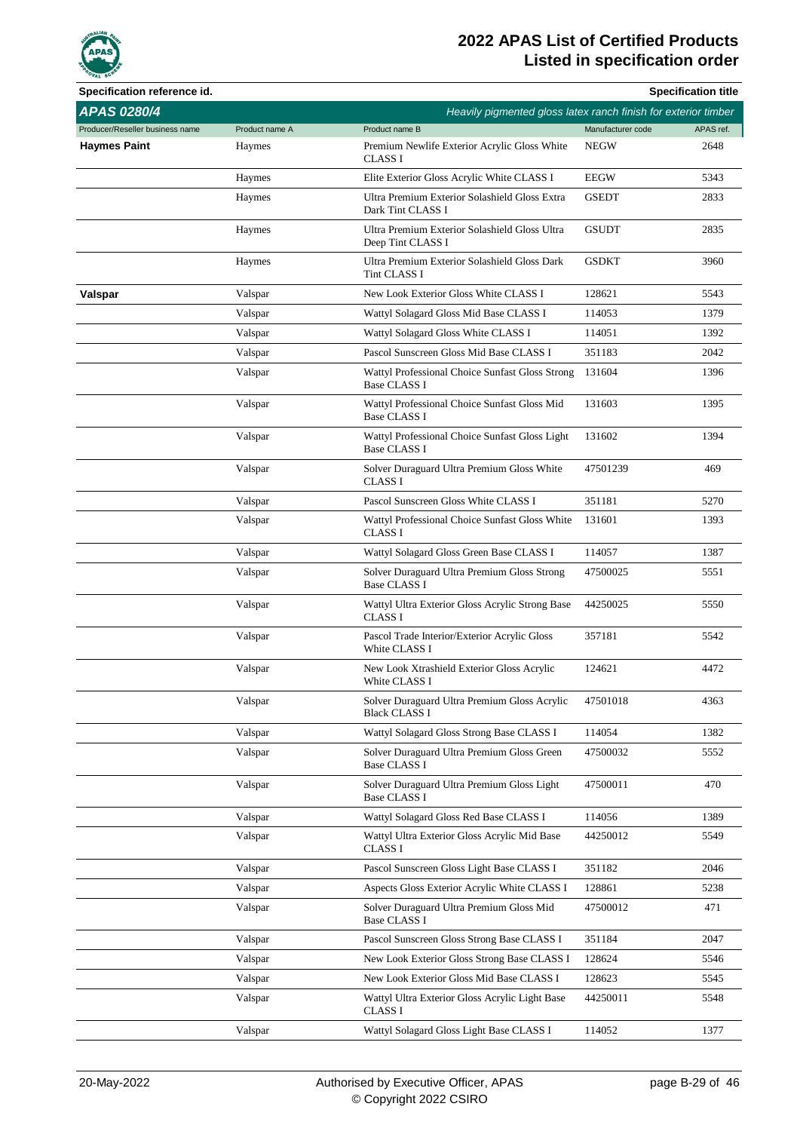

| Specification reference id.     |                |                                                                        |                   | <b>Specification title</b> |
|---------------------------------|----------------|------------------------------------------------------------------------|-------------------|----------------------------|
| <b>APAS 0280/4</b>              |                | Heavily pigmented gloss latex ranch finish for exterior timber         |                   |                            |
| Producer/Reseller business name | Product name A | Product name B                                                         | Manufacturer code | APAS ref.                  |
| <b>Haymes Paint</b>             | Haymes         | Premium Newlife Exterior Acrylic Gloss White<br><b>CLASS I</b>         | <b>NEGW</b>       | 2648                       |
|                                 | Haymes         | Elite Exterior Gloss Acrylic White CLASS I                             | <b>EEGW</b>       | 5343                       |
|                                 | Haymes         | Ultra Premium Exterior Solashield Gloss Extra<br>Dark Tint CLASS I     | <b>GSEDT</b>      | 2833                       |
|                                 | Haymes         | Ultra Premium Exterior Solashield Gloss Ultra<br>Deep Tint CLASS I     | <b>GSUDT</b>      | 2835                       |
|                                 | Haymes         | Ultra Premium Exterior Solashield Gloss Dark<br>Tint CLASS I           | <b>GSDKT</b>      | 3960                       |
| Valspar                         | Valspar        | New Look Exterior Gloss White CLASS I                                  | 128621            | 5543                       |
|                                 | Valspar        | Wattyl Solagard Gloss Mid Base CLASS I                                 | 114053            | 1379                       |
|                                 | Valspar        | Wattyl Solagard Gloss White CLASS I                                    | 114051            | 1392                       |
|                                 | Valspar        | Pascol Sunscreen Gloss Mid Base CLASS I                                | 351183            | 2042                       |
|                                 | Valspar        | Wattyl Professional Choice Sunfast Gloss Strong<br><b>Base CLASS I</b> | 131604            | 1396                       |
|                                 | Valspar        | Wattyl Professional Choice Sunfast Gloss Mid<br><b>Base CLASS I</b>    | 131603            | 1395                       |
|                                 | Valspar        | Wattyl Professional Choice Sunfast Gloss Light<br><b>Base CLASS I</b>  | 131602            | 1394                       |
|                                 | Valspar        | Solver Duraguard Ultra Premium Gloss White<br><b>CLASS I</b>           | 47501239          | 469                        |
|                                 | Valspar        | Pascol Sunscreen Gloss White CLASS I                                   | 351181            | 5270                       |
|                                 | Valspar        | Wattyl Professional Choice Sunfast Gloss White<br><b>CLASS I</b>       | 131601            | 1393                       |
|                                 | Valspar        | Wattyl Solagard Gloss Green Base CLASS I                               | 114057            | 1387                       |
|                                 | Valspar        | Solver Duraguard Ultra Premium Gloss Strong<br><b>Base CLASS I</b>     | 47500025          | 5551                       |
|                                 | Valspar        | Wattyl Ultra Exterior Gloss Acrylic Strong Base<br><b>CLASS I</b>      | 44250025          | 5550                       |
|                                 | Valspar        | Pascol Trade Interior/Exterior Acrylic Gloss<br>White CLASS I          | 357181            | 5542                       |
|                                 | Valspar        | New Look Xtrashield Exterior Gloss Acrylic<br>White CLASS I            | 124621            | 4472                       |
|                                 | Valspar        | Solver Duraguard Ultra Premium Gloss Acrylic<br><b>Black CLASS I</b>   | 47501018          | 4363                       |
|                                 | Valspar        | Wattyl Solagard Gloss Strong Base CLASS I                              | 114054            | 1382                       |
|                                 | Valspar        | Solver Duraguard Ultra Premium Gloss Green<br><b>Base CLASS I</b>      | 47500032          | 5552                       |
|                                 | Valspar        | Solver Duraguard Ultra Premium Gloss Light<br><b>Base CLASS I</b>      | 47500011          | 470                        |
|                                 | Valspar        | Wattyl Solagard Gloss Red Base CLASS I                                 | 114056            | 1389                       |
|                                 | Valspar        | Wattyl Ultra Exterior Gloss Acrylic Mid Base<br>CLASS I                | 44250012          | 5549                       |
|                                 | Valspar        | Pascol Sunscreen Gloss Light Base CLASS I                              | 351182            | 2046                       |
|                                 | Valspar        | Aspects Gloss Exterior Acrylic White CLASS I                           | 128861            | 5238                       |
|                                 | Valspar        | Solver Duraguard Ultra Premium Gloss Mid<br><b>Base CLASS I</b>        | 47500012          | 471                        |
|                                 | Valspar        | Pascol Sunscreen Gloss Strong Base CLASS I                             | 351184            | 2047                       |
|                                 | Valspar        | New Look Exterior Gloss Strong Base CLASS I                            | 128624            | 5546                       |
|                                 | Valspar        | New Look Exterior Gloss Mid Base CLASS I                               | 128623            | 5545                       |
|                                 | Valspar        | Wattyl Ultra Exterior Gloss Acrylic Light Base<br>CLASS I              | 44250011          | 5548                       |
|                                 | Valspar        | Wattyl Solagard Gloss Light Base CLASS I                               | 114052            | 1377                       |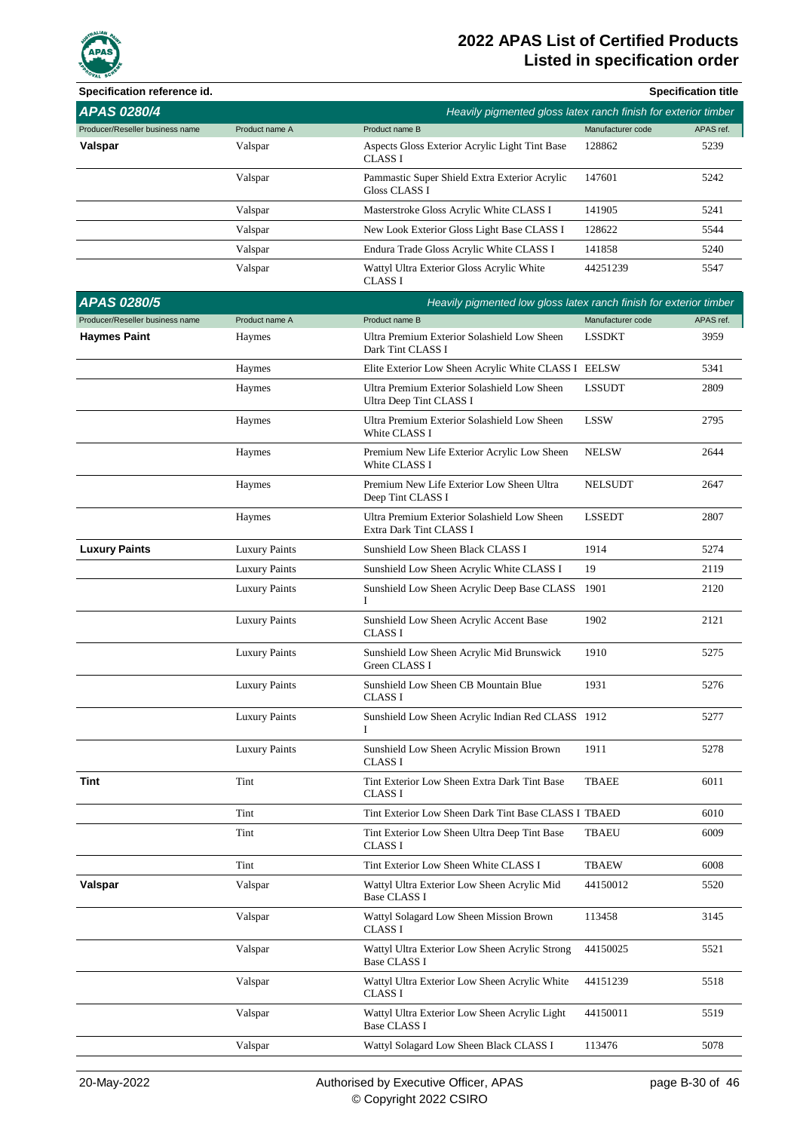

| Specification reference id.     |                      |                                                                        |                   | <b>Specification title</b> |
|---------------------------------|----------------------|------------------------------------------------------------------------|-------------------|----------------------------|
| <b>APAS 0280/4</b>              |                      | Heavily pigmented gloss latex ranch finish for exterior timber         |                   |                            |
| Producer/Reseller business name | Product name A       | Product name B                                                         | Manufacturer code | APAS ref.                  |
| Valspar                         | Valspar              | Aspects Gloss Exterior Acrylic Light Tint Base<br>CLASS I              | 128862            | 5239                       |
|                                 | Valspar              | Pammastic Super Shield Extra Exterior Acrylic<br><b>Gloss CLASS I</b>  | 147601            | 5242                       |
|                                 | Valspar              | Masterstroke Gloss Acrylic White CLASS I                               | 141905            | 5241                       |
|                                 | Valspar              | New Look Exterior Gloss Light Base CLASS I                             | 128622            | 5544                       |
|                                 | Valspar              | Endura Trade Gloss Acrylic White CLASS I                               | 141858            | 5240                       |
|                                 | Valspar              | Wattyl Ultra Exterior Gloss Acrylic White<br><b>CLASS I</b>            | 44251239          | 5547                       |
| <b>APAS 0280/5</b>              |                      | Heavily pigmented low gloss latex ranch finish for exterior timber     |                   |                            |
| Producer/Reseller business name | Product name A       | Product name B                                                         | Manufacturer code | APAS ref.                  |
| <b>Haymes Paint</b>             | Haymes               | Ultra Premium Exterior Solashield Low Sheen<br>Dark Tint CLASS I       | <b>LSSDKT</b>     | 3959                       |
|                                 | Haymes               | Elite Exterior Low Sheen Acrylic White CLASS I EELSW                   |                   | 5341                       |
|                                 | Haymes               | Ultra Premium Exterior Solashield Low Sheen<br>Ultra Deep Tint CLASS I | <b>LSSUDT</b>     | 2809                       |
|                                 | Haymes               | Ultra Premium Exterior Solashield Low Sheen<br>White CLASS I           | <b>LSSW</b>       | 2795                       |
|                                 | Haymes               | Premium New Life Exterior Acrylic Low Sheen<br>White CLASS I           | <b>NELSW</b>      | 2644                       |
|                                 | Haymes               | Premium New Life Exterior Low Sheen Ultra<br>Deep Tint CLASS I         | <b>NELSUDT</b>    | 2647                       |
|                                 | Haymes               | Ultra Premium Exterior Solashield Low Sheen<br>Extra Dark Tint CLASS I | <b>LSSEDT</b>     | 2807                       |
| <b>Luxury Paints</b>            | <b>Luxury Paints</b> | Sunshield Low Sheen Black CLASS I                                      | 1914              | 5274                       |
|                                 | <b>Luxury Paints</b> | Sunshield Low Sheen Acrylic White CLASS I                              | 19                | 2119                       |
|                                 | <b>Luxury Paints</b> | Sunshield Low Sheen Acrylic Deep Base CLASS<br>Т                       | 1901              | 2120                       |
|                                 | <b>Luxury Paints</b> | Sunshield Low Sheen Acrylic Accent Base<br><b>CLASS I</b>              | 1902              | 2121                       |
|                                 | <b>Luxury Paints</b> | Sunshield Low Sheen Acrylic Mid Brunswick<br>Green CLASS I             | 1910              | 5275                       |
|                                 | <b>Luxury Paints</b> | Sunshield Low Sheen CB Mountain Blue<br>CLASS I                        | 1931              | 5276                       |
|                                 | <b>Luxury Paints</b> | Sunshield Low Sheen Acrylic Indian Red CLASS 1912<br>I                 |                   | 5277                       |
|                                 | <b>Luxury Paints</b> | Sunshield Low Sheen Acrylic Mission Brown<br><b>CLASS I</b>            | 1911              | 5278                       |
| Tint                            | Tint                 | Tint Exterior Low Sheen Extra Dark Tint Base<br>CLASS I                | <b>TBAEE</b>      | 6011                       |
|                                 | Tint                 | Tint Exterior Low Sheen Dark Tint Base CLASS I TBAED                   |                   | 6010                       |
|                                 | Tint                 | Tint Exterior Low Sheen Ultra Deep Tint Base<br><b>CLASS I</b>         | TBAEU             | 6009                       |
|                                 | Tint                 | Tint Exterior Low Sheen White CLASS I                                  | <b>TBAEW</b>      | 6008                       |
| Valspar                         | Valspar              | Wattyl Ultra Exterior Low Sheen Acrylic Mid<br><b>Base CLASS I</b>     | 44150012          | 5520                       |
|                                 | Valspar              | Wattyl Solagard Low Sheen Mission Brown<br><b>CLASS I</b>              | 113458            | 3145                       |
|                                 | Valspar              | Wattyl Ultra Exterior Low Sheen Acrylic Strong<br><b>Base CLASS I</b>  | 44150025          | 5521                       |
|                                 | Valspar              | Wattyl Ultra Exterior Low Sheen Acrylic White<br><b>CLASS I</b>        | 44151239          | 5518                       |
|                                 | Valspar              | Wattyl Ultra Exterior Low Sheen Acrylic Light<br><b>Base CLASS I</b>   | 44150011          | 5519                       |
|                                 | Valspar              | Wattyl Solagard Low Sheen Black CLASS I                                | 113476            | 5078                       |
|                                 |                      |                                                                        |                   |                            |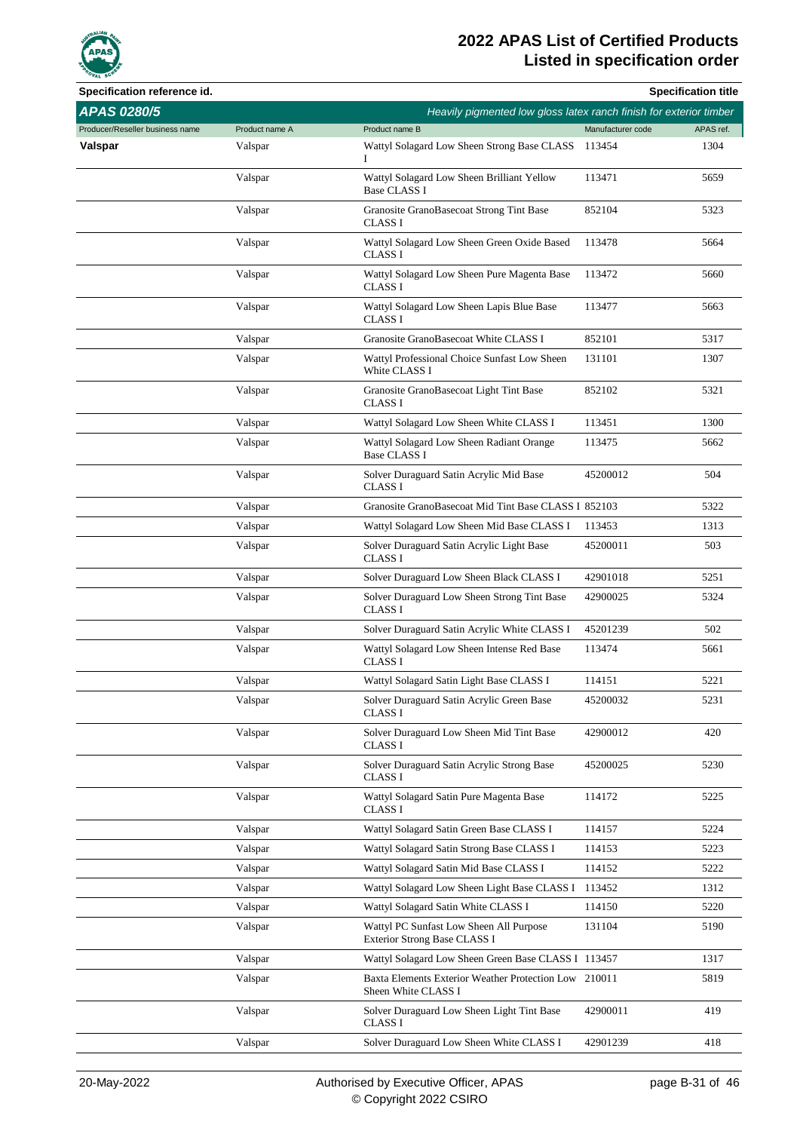

| Specification reference id.     |                |                                                                              |                   | <b>Specification title</b> |
|---------------------------------|----------------|------------------------------------------------------------------------------|-------------------|----------------------------|
| <b>APAS 0280/5</b>              |                | Heavily pigmented low gloss latex ranch finish for exterior timber           |                   |                            |
| Producer/Reseller business name | Product name A | Product name B                                                               | Manufacturer code | APAS ref.                  |
| Valspar                         | Valspar        | Wattyl Solagard Low Sheen Strong Base CLASS<br>L                             | 113454            | 1304                       |
|                                 | Valspar        | Wattyl Solagard Low Sheen Brilliant Yellow<br><b>Base CLASS I</b>            | 113471            | 5659                       |
|                                 | Valspar        | Granosite GranoBasecoat Strong Tint Base<br><b>CLASS I</b>                   | 852104            | 5323                       |
|                                 | Valspar        | Wattyl Solagard Low Sheen Green Oxide Based<br><b>CLASS I</b>                | 113478            | 5664                       |
|                                 | Valspar        | Wattyl Solagard Low Sheen Pure Magenta Base<br><b>CLASS I</b>                | 113472            | 5660                       |
|                                 | Valspar        | Wattyl Solagard Low Sheen Lapis Blue Base<br><b>CLASS I</b>                  | 113477            | 5663                       |
|                                 | Valspar        | Granosite GranoBasecoat White CLASS I                                        | 852101            | 5317                       |
|                                 | Valspar        | Wattyl Professional Choice Sunfast Low Sheen<br>White CLASS I                | 131101            | 1307                       |
|                                 | Valspar        | Granosite GranoBasecoat Light Tint Base<br>CLASS I                           | 852102            | 5321                       |
|                                 | Valspar        | Wattyl Solagard Low Sheen White CLASS I                                      | 113451            | 1300                       |
|                                 | Valspar        | Wattyl Solagard Low Sheen Radiant Orange<br><b>Base CLASS I</b>              | 113475            | 5662                       |
|                                 | Valspar        | Solver Duraguard Satin Acrylic Mid Base<br><b>CLASS I</b>                    | 45200012          | 504                        |
|                                 | Valspar        | Granosite GranoBasecoat Mid Tint Base CLASS I 852103                         |                   | 5322                       |
|                                 | Valspar        | Wattyl Solagard Low Sheen Mid Base CLASS I                                   | 113453            | 1313                       |
|                                 | Valspar        | Solver Duraguard Satin Acrylic Light Base<br><b>CLASS I</b>                  | 45200011          | 503                        |
|                                 | Valspar        | Solver Duraguard Low Sheen Black CLASS I                                     | 42901018          | 5251                       |
|                                 | Valspar        | Solver Duraguard Low Sheen Strong Tint Base<br><b>CLASS I</b>                | 42900025          | 5324                       |
|                                 | Valspar        | Solver Duraguard Satin Acrylic White CLASS I                                 | 45201239          | 502                        |
|                                 | Valspar        | Wattyl Solagard Low Sheen Intense Red Base<br><b>CLASS I</b>                 | 113474            | 5661                       |
|                                 | Valspar        | Wattyl Solagard Satin Light Base CLASS I                                     | 114151            | 5221                       |
|                                 | Valspar        | Solver Duraguard Satin Acrylic Green Base<br>CLASS I                         | 45200032          | 5231                       |
|                                 | Valspar        | Solver Duraguard Low Sheen Mid Tint Base<br>CLASS I                          | 42900012          | 420                        |
|                                 | Valspar        | Solver Duraguard Satin Acrylic Strong Base<br>CLASS I                        | 45200025          | 5230                       |
|                                 | Valspar        | Wattyl Solagard Satin Pure Magenta Base<br>CLASS I                           | 114172            | 5225                       |
|                                 | Valspar        | Wattyl Solagard Satin Green Base CLASS I                                     | 114157            | 5224                       |
|                                 | Valspar        | Wattyl Solagard Satin Strong Base CLASS I                                    | 114153            | 5223                       |
|                                 | Valspar        | Wattyl Solagard Satin Mid Base CLASS I                                       | 114152            | 5222                       |
|                                 | Valspar        | Wattyl Solagard Low Sheen Light Base CLASS I                                 | 113452            | 1312                       |
|                                 | Valspar        | Wattyl Solagard Satin White CLASS I                                          | 114150            | 5220                       |
|                                 | Valspar        | Wattyl PC Sunfast Low Sheen All Purpose<br>Exterior Strong Base CLASS I      | 131104            | 5190                       |
|                                 | Valspar        | Wattyl Solagard Low Sheen Green Base CLASS I 113457                          |                   | 1317                       |
|                                 | Valspar        | Baxta Elements Exterior Weather Protection Low 210011<br>Sheen White CLASS I |                   | 5819                       |
|                                 | Valspar        | Solver Duraguard Low Sheen Light Tint Base<br>CLASS I                        | 42900011          | 419                        |
|                                 | Valspar        | Solver Duraguard Low Sheen White CLASS I                                     | 42901239          | 418                        |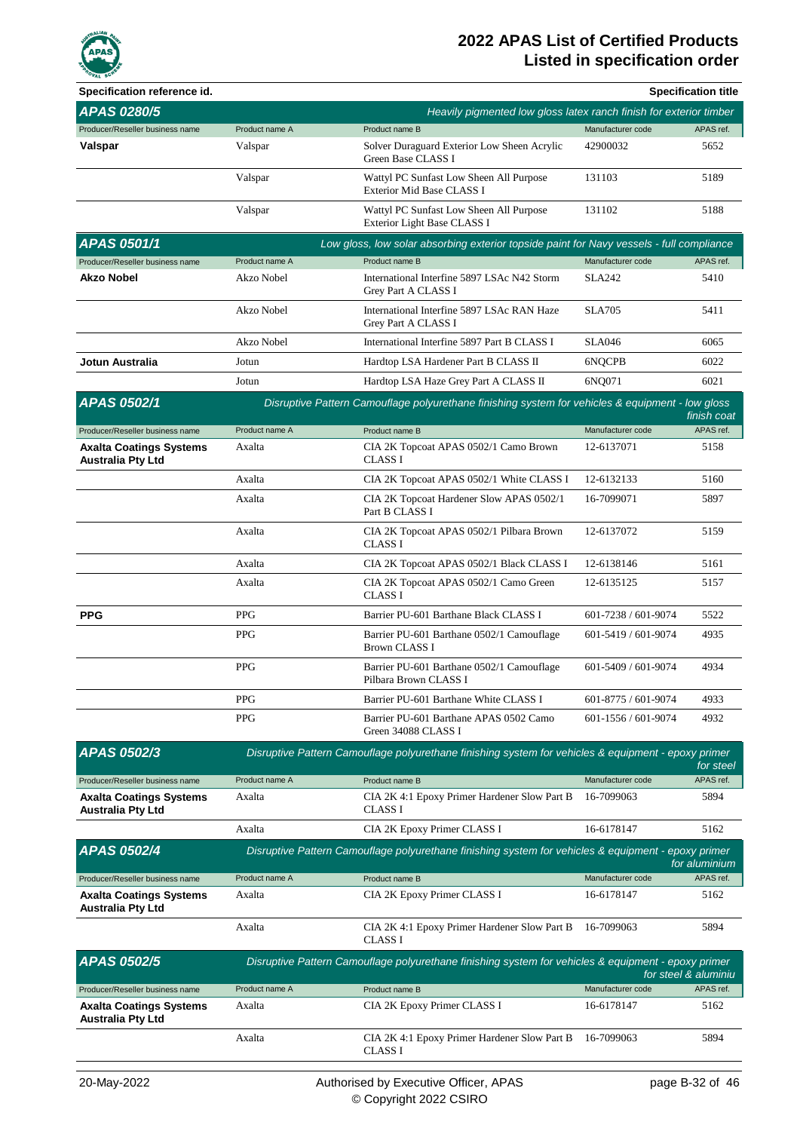

| Specification reference id.                                |                |                                                                                                     |                     | <b>Specification title</b> |
|------------------------------------------------------------|----------------|-----------------------------------------------------------------------------------------------------|---------------------|----------------------------|
| <b>APAS 0280/5</b>                                         |                | Heavily pigmented low gloss latex ranch finish for exterior timber                                  |                     |                            |
| Producer/Reseller business name                            | Product name A | Product name B                                                                                      | Manufacturer code   | APAS ref.                  |
| Valspar                                                    | Valspar        | Solver Duraguard Exterior Low Sheen Acrylic<br>Green Base CLASS I                                   | 42900032            | 5652                       |
|                                                            | Valspar        | Wattyl PC Sunfast Low Sheen All Purpose<br>Exterior Mid Base CLASS I                                | 131103              | 5189                       |
|                                                            | Valspar        | Wattyl PC Sunfast Low Sheen All Purpose<br>Exterior Light Base CLASS I                              | 131102              | 5188                       |
| <b>APAS 0501/1</b>                                         |                | Low gloss, low solar absorbing exterior topside paint for Navy vessels - full compliance            |                     |                            |
| Producer/Reseller business name                            | Product name A | Product name B                                                                                      | Manufacturer code   | APAS ref.                  |
| <b>Akzo Nobel</b>                                          | Akzo Nobel     | International Interfine 5897 LSAc N42 Storm<br>Grey Part A CLASS I                                  | <b>SLA242</b>       | 5410                       |
|                                                            | Akzo Nobel     | International Interfine 5897 LSAc RAN Haze<br>Grey Part A CLASS I                                   | <b>SLA705</b>       | 5411                       |
|                                                            | Akzo Nobel     | International Interfine 5897 Part B CLASS I                                                         | <b>SLA046</b>       | 6065                       |
| Jotun Australia                                            | Jotun          | Hardtop LSA Hardener Part B CLASS II                                                                | 6NQCPB              | 6022                       |
|                                                            | Jotun          | Hardtop LSA Haze Grey Part A CLASS II                                                               | 6NO071              | 6021                       |
| <b>APAS 0502/1</b>                                         |                | Disruptive Pattern Camouflage polyurethane finishing system for vehicles & equipment - low gloss    |                     | finish coat                |
| Producer/Reseller business name                            | Product name A | Product name B                                                                                      | Manufacturer code   | APAS ref.                  |
| <b>Axalta Coatings Systems</b><br>Australia Pty Ltd        | Axalta         | CIA 2K Topcoat APAS 0502/1 Camo Brown<br>CLASS I                                                    | 12-6137071          | 5158                       |
|                                                            | Axalta         | CIA 2K Topcoat APAS 0502/1 White CLASS I                                                            | 12-6132133          | 5160                       |
|                                                            | Axalta         | CIA 2K Topcoat Hardener Slow APAS 0502/1<br>Part B CLASS I                                          | 16-7099071          | 5897                       |
|                                                            | Axalta         | CIA 2K Topcoat APAS 0502/1 Pilbara Brown<br><b>CLASS I</b>                                          | 12-6137072          | 5159                       |
|                                                            | Axalta         | CIA 2K Topcoat APAS 0502/1 Black CLASS I                                                            | 12-6138146          | 5161                       |
|                                                            | Axalta         | CIA 2K Topcoat APAS 0502/1 Camo Green<br><b>CLASS I</b>                                             | 12-6135125          | 5157                       |
| <b>PPG</b>                                                 | <b>PPG</b>     | Barrier PU-601 Barthane Black CLASS I                                                               | 601-7238 / 601-9074 | 5522                       |
|                                                            | <b>PPG</b>     | Barrier PU-601 Barthane 0502/1 Camouflage<br><b>Brown CLASS I</b>                                   | 601-5419 / 601-9074 | 4935                       |
|                                                            | PPG            | Barrier PU-601 Barthane 0502/1 Camouflage<br>Pilbara Brown CLASS I                                  | 601-5409 / 601-9074 | 4934                       |
|                                                            | <b>PPG</b>     | Barrier PU-601 Barthane White CLASS I                                                               | 601-8775 / 601-9074 | 4933                       |
|                                                            | <b>PPG</b>     | Barrier PU-601 Barthane APAS 0502 Camo<br>Green 34088 CLASS I                                       | 601-1556 / 601-9074 | 4932                       |
| APAS 0502/3                                                |                | Disruptive Pattern Camouflage polyurethane finishing system for vehicles & equipment - epoxy primer |                     | for steel                  |
| Producer/Reseller business name                            | Product name A | Product name B                                                                                      | Manufacturer code   | APAS ref.                  |
| <b>Axalta Coatings Systems</b><br><b>Australia Pty Ltd</b> | Axalta         | CIA 2K 4:1 Epoxy Primer Hardener Slow Part B<br><b>CLASS I</b>                                      | 16-7099063          | 5894                       |
|                                                            | Axalta         | CIA 2K Epoxy Primer CLASS I                                                                         | 16-6178147          | 5162                       |
| <b>APAS 0502/4</b>                                         |                | Disruptive Pattern Camouflage polyurethane finishing system for vehicles & equipment - epoxy primer |                     | for aluminium              |
| Producer/Reseller business name                            | Product name A | Product name B                                                                                      | Manufacturer code   | APAS ref.                  |
| Axalta Coatings Systems<br><b>Australia Pty Ltd</b>        | Axalta         | CIA 2K Epoxy Primer CLASS I                                                                         | 16-6178147          | 5162                       |
|                                                            | Axalta         | CIA 2K 4:1 Epoxy Primer Hardener Slow Part B<br><b>CLASS I</b>                                      | 16-7099063          | 5894                       |
| <b>APAS 0502/5</b>                                         |                | Disruptive Pattern Camouflage polyurethane finishing system for vehicles & equipment - epoxy primer |                     | for steel & aluminiu       |
| Producer/Reseller business name                            | Product name A | Product name B                                                                                      | Manufacturer code   | APAS ref.                  |
| <b>Axalta Coatings Systems</b><br>Australia Pty Ltd        | Axalta         | CIA 2K Epoxy Primer CLASS I                                                                         | 16-6178147          | 5162                       |
|                                                            | Axalta         | CIA 2K 4:1 Epoxy Primer Hardener Slow Part B<br>CLASS I                                             | 16-7099063          | 5894                       |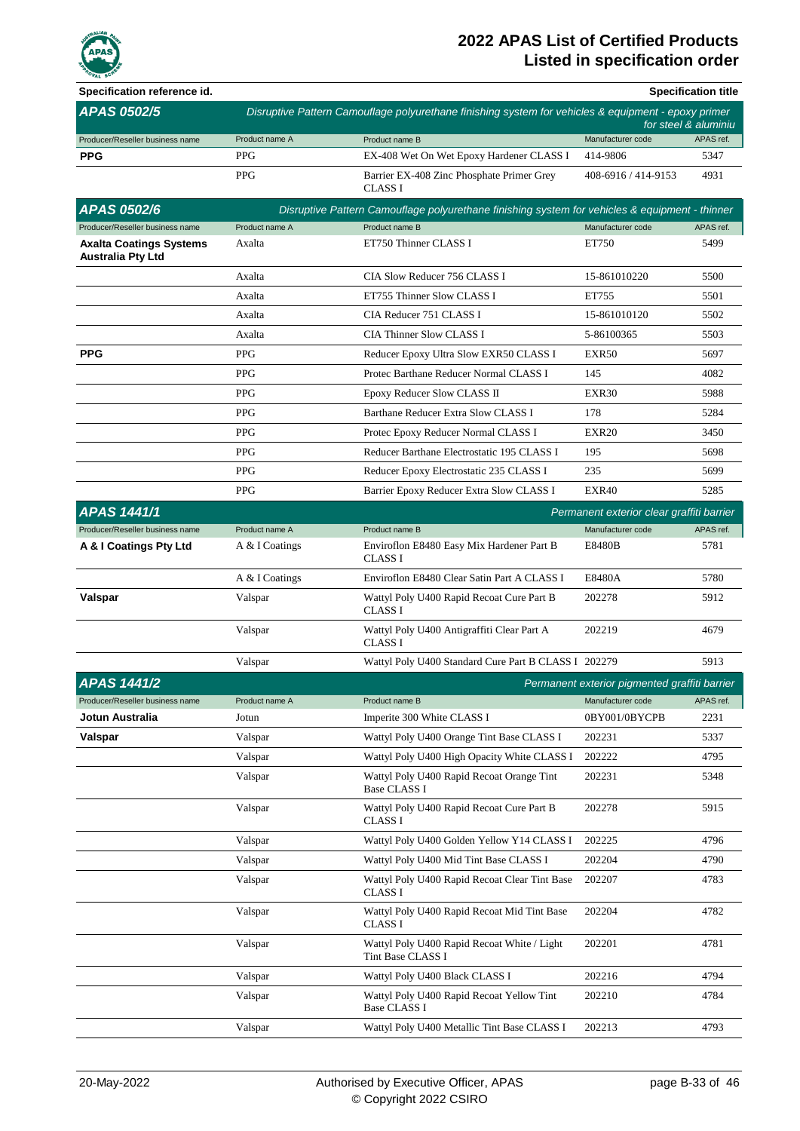

| Specification reference id.                                |                |                                                                                                     |                                               | <b>Specification title</b> |
|------------------------------------------------------------|----------------|-----------------------------------------------------------------------------------------------------|-----------------------------------------------|----------------------------|
| APAS 0502/5                                                |                | Disruptive Pattern Camouflage polyurethane finishing system for vehicles & equipment - epoxy primer |                                               | for steel & aluminiu       |
| Producer/Reseller business name                            | Product name A | Product name B                                                                                      | Manufacturer code                             | APAS ref.                  |
| <b>PPG</b>                                                 | <b>PPG</b>     | EX-408 Wet On Wet Epoxy Hardener CLASS I                                                            | 414-9806                                      | 5347                       |
|                                                            | <b>PPG</b>     | Barrier EX-408 Zinc Phosphate Primer Grey<br><b>CLASS I</b>                                         | 408-6916 / 414-9153                           | 4931                       |
| <b>APAS 0502/6</b>                                         |                | Disruptive Pattern Camouflage polyurethane finishing system for vehicles & equipment - thinner      |                                               |                            |
| Producer/Reseller business name                            | Product name A | Product name B                                                                                      | Manufacturer code                             | APAS ref.                  |
| <b>Axalta Coatings Systems</b><br><b>Australia Pty Ltd</b> | Axalta         | ET750 Thinner CLASS I                                                                               | ET750                                         | 5499                       |
|                                                            | Axalta         | CIA Slow Reducer 756 CLASS I                                                                        | 15-861010220                                  | 5500                       |
|                                                            | Axalta         | ET755 Thinner Slow CLASS I                                                                          | ET755                                         | 5501                       |
|                                                            | Axalta         | CIA Reducer 751 CLASS I                                                                             | 15-861010120                                  | 5502                       |
|                                                            | Axalta         | CIA Thinner Slow CLASS I                                                                            | 5-86100365                                    | 5503                       |
| <b>PPG</b>                                                 | <b>PPG</b>     | Reducer Epoxy Ultra Slow EXR50 CLASS I                                                              | <b>EXR50</b>                                  | 5697                       |
|                                                            | <b>PPG</b>     | Protec Barthane Reducer Normal CLASS I                                                              | 145                                           | 4082                       |
|                                                            | <b>PPG</b>     | Epoxy Reducer Slow CLASS II                                                                         | EXR30                                         | 5988                       |
|                                                            | <b>PPG</b>     | Barthane Reducer Extra Slow CLASS I                                                                 | 178                                           | 5284                       |
|                                                            | <b>PPG</b>     | Protec Epoxy Reducer Normal CLASS I                                                                 | EXR20                                         | 3450                       |
|                                                            | <b>PPG</b>     | Reducer Barthane Electrostatic 195 CLASS I                                                          | 195                                           | 5698                       |
|                                                            | <b>PPG</b>     | Reducer Epoxy Electrostatic 235 CLASS I                                                             | 235                                           | 5699                       |
|                                                            | <b>PPG</b>     | Barrier Epoxy Reducer Extra Slow CLASS I                                                            | EXR40                                         | 5285                       |
| <b>APAS 1441/1</b>                                         |                |                                                                                                     | Permanent exterior clear graffiti barrier     |                            |
| Producer/Reseller business name                            | Product name A | Product name B                                                                                      | Manufacturer code                             | APAS ref.                  |
| A & I Coatings Pty Ltd                                     | A & I Coatings | Enviroflon E8480 Easy Mix Hardener Part B<br><b>CLASS I</b>                                         | E8480B                                        | 5781                       |
|                                                            | A & I Coatings | Enviroflon E8480 Clear Satin Part A CLASS I                                                         | E8480A                                        | 5780                       |
| Valspar                                                    | Valspar        | Wattyl Poly U400 Rapid Recoat Cure Part B<br><b>CLASS I</b>                                         | 202278                                        | 5912                       |
|                                                            | Valspar        | Wattyl Poly U400 Antigraffiti Clear Part A<br><b>CLASS I</b>                                        | 202219                                        | 4679                       |
|                                                            | Valspar        | Wattyl Poly U400 Standard Cure Part B CLASS I 202279                                                |                                               | 5913                       |
| <b>APAS</b> 1441/2                                         |                |                                                                                                     | Permanent exterior pigmented graffiti barrier |                            |
| Producer/Reseller business name                            | Product name A | Product name B                                                                                      | Manufacturer code                             | APAS ref.                  |
| Jotun Australia                                            | Jotun          | Imperite 300 White CLASS I                                                                          | 0BY001/0BYCPB                                 | 2231                       |
| Valspar                                                    | Valspar        | Wattyl Poly U400 Orange Tint Base CLASS I                                                           | 202231                                        | 5337                       |
|                                                            | Valspar        | Wattyl Poly U400 High Opacity White CLASS I                                                         | 202222                                        | 4795                       |
|                                                            | Valspar        | Wattyl Poly U400 Rapid Recoat Orange Tint<br><b>Base CLASS I</b>                                    | 202231                                        | 5348                       |
|                                                            | Valspar        | Wattyl Poly U400 Rapid Recoat Cure Part B<br><b>CLASS I</b>                                         | 202278                                        | 5915                       |
|                                                            | Valspar        | Wattyl Poly U400 Golden Yellow Y14 CLASS I                                                          | 202225                                        | 4796                       |
|                                                            | Valspar        | Wattyl Poly U400 Mid Tint Base CLASS I                                                              | 202204                                        | 4790                       |
|                                                            | Valspar        | Wattyl Poly U400 Rapid Recoat Clear Tint Base<br>CLASS I                                            | 202207                                        | 4783                       |
|                                                            | Valspar        | Wattyl Poly U400 Rapid Recoat Mid Tint Base<br>CLASS I                                              | 202204                                        | 4782                       |
|                                                            | Valspar        | Wattyl Poly U400 Rapid Recoat White / Light<br>Tint Base CLASS I                                    | 202201                                        | 4781                       |
|                                                            | Valspar        | Wattyl Poly U400 Black CLASS I                                                                      | 202216                                        | 4794                       |
|                                                            | Valspar        | Wattyl Poly U400 Rapid Recoat Yellow Tint<br><b>Base CLASS I</b>                                    | 202210                                        | 4784                       |
|                                                            | Valspar        | Wattyl Poly U400 Metallic Tint Base CLASS I                                                         | 202213                                        | 4793                       |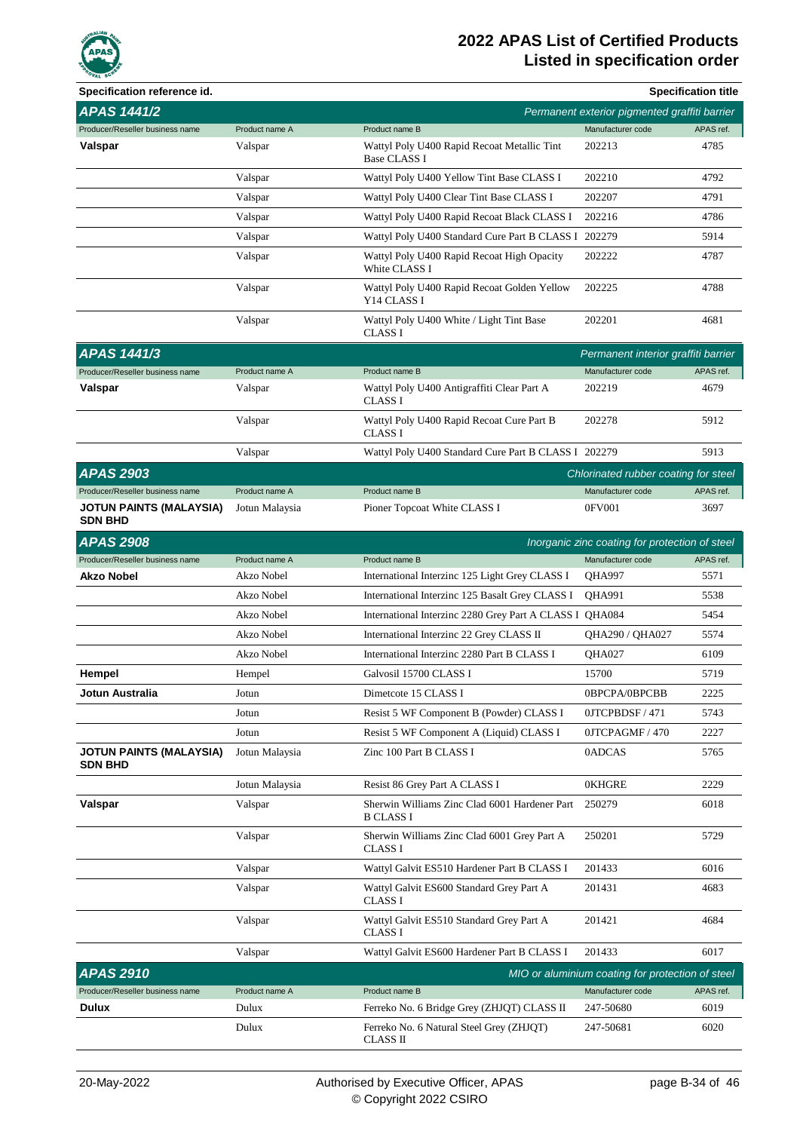

| Specification reference id.                      |                |                                                                    |                                                  | <b>Specification title</b> |
|--------------------------------------------------|----------------|--------------------------------------------------------------------|--------------------------------------------------|----------------------------|
| <b>APAS 1441/2</b>                               |                |                                                                    | Permanent exterior pigmented graffiti barrier    |                            |
| Producer/Reseller business name                  | Product name A | Product name B                                                     | Manufacturer code                                | APAS ref.                  |
| Valspar                                          | Valspar        | Wattyl Poly U400 Rapid Recoat Metallic Tint<br><b>Base CLASS I</b> | 202213                                           | 4785                       |
|                                                  | Valspar        | Wattyl Poly U400 Yellow Tint Base CLASS I                          | 202210                                           | 4792                       |
|                                                  | Valspar        | Wattyl Poly U400 Clear Tint Base CLASS I                           | 202207                                           | 4791                       |
|                                                  | Valspar        | Wattyl Poly U400 Rapid Recoat Black CLASS I                        | 202216                                           | 4786                       |
|                                                  | Valspar        | Wattyl Poly U400 Standard Cure Part B CLASS I 202279               |                                                  | 5914                       |
|                                                  | Valspar        | Wattyl Poly U400 Rapid Recoat High Opacity<br>White CLASS I        | 202222                                           | 4787                       |
|                                                  | Valspar        | Wattyl Poly U400 Rapid Recoat Golden Yellow<br>Y14 CLASS I         | 202225                                           | 4788                       |
|                                                  | Valspar        | Wattyl Poly U400 White / Light Tint Base<br>CLASS I                | 202201                                           | 4681                       |
| <b>APAS 1441/3</b>                               |                |                                                                    | Permanent interior graffiti barrier              |                            |
| Producer/Reseller business name                  | Product name A | Product name B                                                     | Manufacturer code                                | APAS ref.                  |
| Valspar                                          | Valspar        | Wattyl Poly U400 Antigraffiti Clear Part A<br><b>CLASS I</b>       | 202219                                           | 4679                       |
|                                                  | Valspar        | Wattyl Poly U400 Rapid Recoat Cure Part B<br><b>CLASS I</b>        | 202278                                           | 5912                       |
|                                                  | Valspar        | Wattyl Poly U400 Standard Cure Part B CLASS I 202279               |                                                  | 5913                       |
| <b>APAS 2903</b>                                 |                |                                                                    | Chlorinated rubber coating for steel             |                            |
| Producer/Reseller business name                  | Product name A | Product name B                                                     | Manufacturer code                                | APAS ref.                  |
| <b>JOTUN PAINTS (MALAYSIA)</b><br><b>SDN BHD</b> | Jotun Malaysia | Pioner Topcoat White CLASS I                                       | 0FV001                                           | 3697                       |
| <b>APAS 2908</b>                                 |                |                                                                    | Inorganic zinc coating for protection of steel   |                            |
| Producer/Reseller business name                  | Product name A | Product name B                                                     | Manufacturer code                                | APAS ref.                  |
| <b>Akzo Nobel</b>                                | Akzo Nobel     | International Interzinc 125 Light Grey CLASS I                     | QHA997                                           | 5571                       |
|                                                  | Akzo Nobel     | International Interzinc 125 Basalt Grey CLASS I                    | QHA991                                           | 5538                       |
|                                                  | Akzo Nobel     | International Interzinc 2280 Grey Part A CLASS I QHA084            |                                                  | 5454                       |
|                                                  | Akzo Nobel     | International Interzinc 22 Grey CLASS II                           | QHA290 / QHA027                                  | 5574                       |
|                                                  | Akzo Nobel     | International Interzinc 2280 Part B CLASS I                        | <b>OHA027</b>                                    | 6109                       |
| Hempel                                           | Hempel         | Galvosil 15700 CLASS I                                             | 15700                                            | 5719                       |
| <b>Jotun Australia</b>                           | Jotun          | Dimetcote 15 CLASS I                                               | 0BPCPA/0BPCBB                                    | 2225                       |
|                                                  | Jotun          | Resist 5 WF Component B (Powder) CLASS I                           | 0JTCPBDSF / 471                                  | 5743                       |
|                                                  | Jotun          | Resist 5 WF Component A (Liquid) CLASS I                           | 0JTCPAGMF / 470                                  | 2227                       |
| <b>JOTUN PAINTS (MALAYSIA)</b><br><b>SDN BHD</b> | Jotun Malaysia | Zinc 100 Part B CLASS I                                            | 0ADCAS                                           | 5765                       |
|                                                  | Jotun Malaysia | Resist 86 Grey Part A CLASS I                                      | <b>OKHGRE</b>                                    | 2229                       |
| Valspar                                          | Valspar        | Sherwin Williams Zinc Clad 6001 Hardener Part<br><b>B CLASS I</b>  | 250279                                           | 6018                       |
|                                                  | Valspar        | Sherwin Williams Zinc Clad 6001 Grey Part A<br><b>CLASS I</b>      | 250201                                           | 5729                       |
|                                                  | Valspar        | Wattyl Galvit ES510 Hardener Part B CLASS I                        | 201433                                           | 6016                       |
|                                                  | Valspar        | Wattyl Galvit ES600 Standard Grey Part A<br><b>CLASS I</b>         | 201431                                           | 4683                       |
|                                                  | Valspar        | Wattyl Galvit ES510 Standard Grey Part A<br><b>CLASS I</b>         | 201421                                           | 4684                       |
|                                                  | Valspar        | Wattyl Galvit ES600 Hardener Part B CLASS I                        | 201433                                           | 6017                       |
| <b>APAS 2910</b>                                 |                |                                                                    | MIO or aluminium coating for protection of steel |                            |
| Producer/Reseller business name                  | Product name A | Product name B                                                     | Manufacturer code                                | APAS ref.                  |
| Dulux                                            | Dulux          | Ferreko No. 6 Bridge Grey (ZHJQT) CLASS II                         | 247-50680                                        | 6019                       |
|                                                  | Dulux          | Ferreko No. 6 Natural Steel Grey (ZHJQT)<br><b>CLASS II</b>        | 247-50681                                        | 6020                       |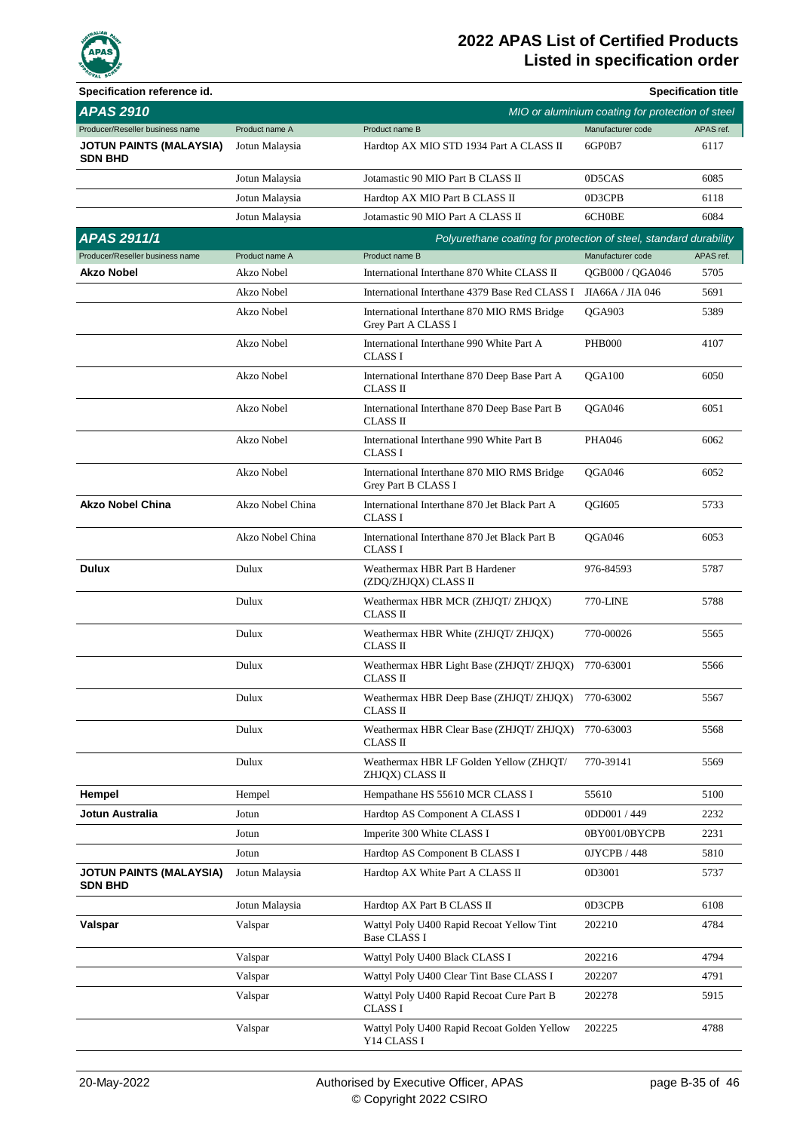

| Specification reference id.                      |                  |                                                                    |                                                  | <b>Specification title</b> |
|--------------------------------------------------|------------------|--------------------------------------------------------------------|--------------------------------------------------|----------------------------|
| <b>APAS 2910</b>                                 |                  |                                                                    | MIO or aluminium coating for protection of steel |                            |
| Producer/Reseller business name                  | Product name A   | Product name B                                                     | Manufacturer code                                | APAS ref.                  |
| <b>JOTUN PAINTS (MALAYSIA)</b><br><b>SDN BHD</b> | Jotun Malaysia   | Hardtop AX MIO STD 1934 Part A CLASS II                            | 6GP0B7                                           | 6117                       |
|                                                  | Jotun Malaysia   | Jotamastic 90 MIO Part B CLASS II                                  | 0D5CAS                                           | 6085                       |
|                                                  | Jotun Malaysia   | Hardtop AX MIO Part B CLASS II                                     | 0D3CPB                                           | 6118                       |
|                                                  | Jotun Malaysia   | Jotamastic 90 MIO Part A CLASS II                                  | 6CH0BE                                           | 6084                       |
| APAS 2911/1                                      |                  | Polyurethane coating for protection of steel, standard durability  |                                                  |                            |
| Producer/Reseller business name                  | Product name A   | Product name B                                                     | Manufacturer code                                | APAS ref.                  |
| <b>Akzo Nobel</b>                                | Akzo Nobel       | International Interthane 870 White CLASS II                        | QGB000 / QGA046                                  | 5705                       |
|                                                  | Akzo Nobel       | International Interthane 4379 Base Red CLASS I                     | JIA66A / JIA 046                                 | 5691                       |
|                                                  | Akzo Nobel       | International Interthane 870 MIO RMS Bridge<br>Grey Part A CLASS I | <b>OGA903</b>                                    | 5389                       |
|                                                  | Akzo Nobel       | International Interthane 990 White Part A<br><b>CLASS I</b>        | <b>PHB000</b>                                    | 4107                       |
|                                                  | Akzo Nobel       | International Interthane 870 Deep Base Part A<br><b>CLASS II</b>   | OGA100                                           | 6050                       |
|                                                  | Akzo Nobel       | International Interthane 870 Deep Base Part B<br><b>CLASS II</b>   | OGA046                                           | 6051                       |
|                                                  | Akzo Nobel       | International Interthane 990 White Part B<br><b>CLASS I</b>        | <b>PHA046</b>                                    | 6062                       |
|                                                  | Akzo Nobel       | International Interthane 870 MIO RMS Bridge<br>Grey Part B CLASS I | OGA046                                           | 6052                       |
| <b>Akzo Nobel China</b>                          | Akzo Nobel China | International Interthane 870 Jet Black Part A<br><b>CLASS I</b>    | <b>OGI605</b>                                    | 5733                       |
|                                                  | Akzo Nobel China | International Interthane 870 Jet Black Part B<br><b>CLASS I</b>    | OGA046                                           | 6053                       |
| <b>Dulux</b>                                     | Dulux            | Weathermax HBR Part B Hardener<br>(ZDQ/ZHJQX) CLASS II             | 976-84593                                        | 5787                       |
|                                                  | Dulux            | Weathermax HBR MCR (ZHJQT/ ZHJQX)<br><b>CLASS II</b>               | 770-LINE                                         | 5788                       |
|                                                  | Dulux            | Weathermax HBR White (ZHJQT/ ZHJQX)<br><b>CLASS II</b>             | 770-00026                                        | 5565                       |
|                                                  | Dulux            | Weathermax HBR Light Base (ZHJQT/ ZHJQX)<br>CLASS II               | 770-63001                                        | 5566                       |
|                                                  | Dulux            | Weathermax HBR Deep Base (ZHJQT/ ZHJQX)<br>CLASS II                | 770-63002                                        | 5567                       |
|                                                  | Dulux            | Weathermax HBR Clear Base (ZHJQT/ ZHJQX)<br>CLASS II               | 770-63003                                        | 5568                       |
|                                                  | Dulux            | Weathermax HBR LF Golden Yellow (ZHJOT/<br>ZHJQX) CLASS II         | 770-39141                                        | 5569                       |
| Hempel                                           | Hempel           | Hempathane HS 55610 MCR CLASS I                                    | 55610                                            | 5100                       |
| Jotun Australia                                  | Jotun            | Hardtop AS Component A CLASS I                                     | 0DD001 / 449                                     | 2232                       |
|                                                  | Jotun            | Imperite 300 White CLASS I                                         | 0BY001/0BYCPB                                    | 2231                       |
|                                                  | Jotun            | Hardtop AS Component B CLASS I                                     | 0JYCPB / 448                                     | 5810                       |
| <b>JOTUN PAINTS (MALAYSIA)</b><br><b>SDN BHD</b> | Jotun Malaysia   | Hardtop AX White Part A CLASS II                                   | 0D3001                                           | 5737                       |
|                                                  | Jotun Malaysia   | Hardtop AX Part B CLASS II                                         | 0D3CPB                                           | 6108                       |
| Valspar                                          | Valspar          | Wattyl Poly U400 Rapid Recoat Yellow Tint<br><b>Base CLASS I</b>   | 202210                                           | 4784                       |
|                                                  | Valspar          | Wattyl Poly U400 Black CLASS I                                     | 202216                                           | 4794                       |
|                                                  | Valspar          | Wattyl Poly U400 Clear Tint Base CLASS I                           | 202207                                           | 4791                       |
|                                                  | Valspar          | Wattyl Poly U400 Rapid Recoat Cure Part B<br>CLASS I               | 202278                                           | 5915                       |
|                                                  | Valspar          | Wattyl Poly U400 Rapid Recoat Golden Yellow<br>Y14 CLASS I         | 202225                                           | 4788                       |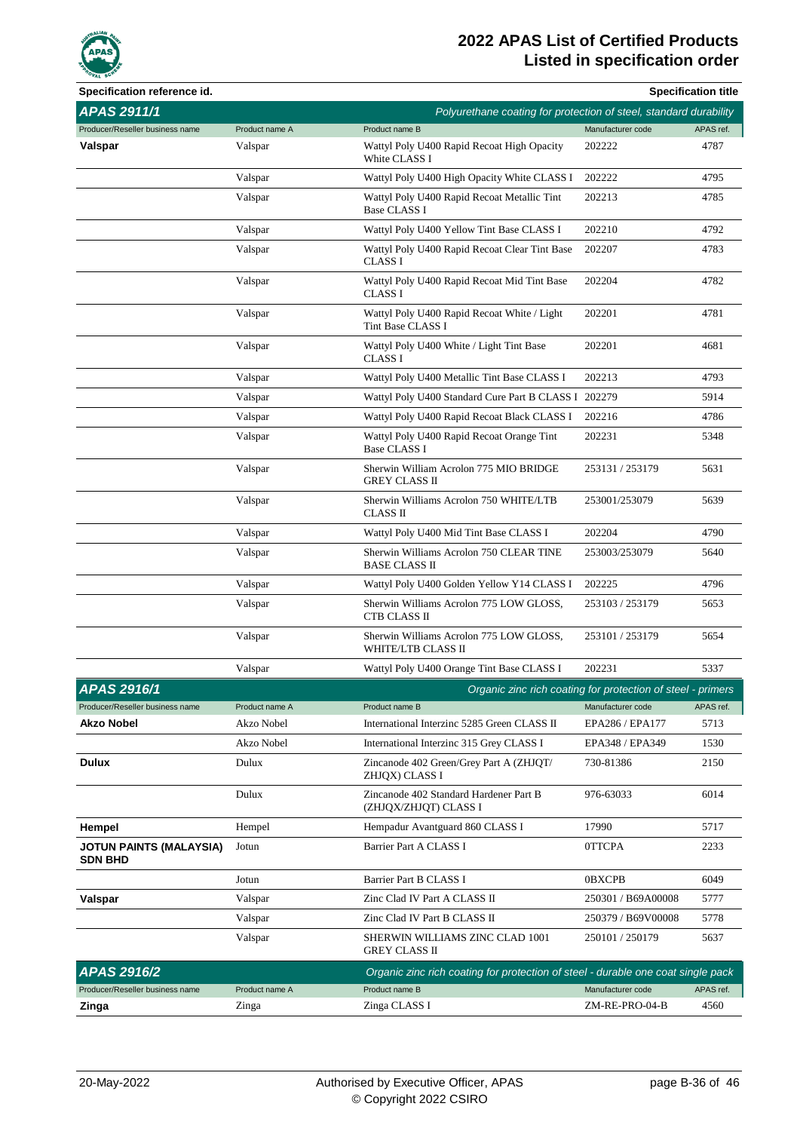

| Specification reference id.               |                |                                                                                  |                    | <b>Specification title</b> |
|-------------------------------------------|----------------|----------------------------------------------------------------------------------|--------------------|----------------------------|
| APAS 2911/1                               |                | Polyurethane coating for protection of steel, standard durability                |                    |                            |
| Producer/Reseller business name           | Product name A | Product name B                                                                   | Manufacturer code  | APAS ref.                  |
| Valspar                                   | Valspar        | Wattyl Poly U400 Rapid Recoat High Opacity<br>White CLASS I                      | 202222             | 4787                       |
|                                           | Valspar        | Wattyl Poly U400 High Opacity White CLASS I                                      | 202222             | 4795                       |
|                                           | Valspar        | Wattyl Poly U400 Rapid Recoat Metallic Tint<br><b>Base CLASS I</b>               | 202213             | 4785                       |
|                                           | Valspar        | Wattyl Poly U400 Yellow Tint Base CLASS I                                        | 202210             | 4792                       |
|                                           | Valspar        | Wattyl Poly U400 Rapid Recoat Clear Tint Base<br><b>CLASS I</b>                  | 202207             | 4783                       |
|                                           | Valspar        | Wattyl Poly U400 Rapid Recoat Mid Tint Base<br><b>CLASS I</b>                    | 202204             | 4782                       |
|                                           | Valspar        | Wattyl Poly U400 Rapid Recoat White / Light<br>Tint Base CLASS I                 | 202201             | 4781                       |
|                                           | Valspar        | Wattyl Poly U400 White / Light Tint Base<br><b>CLASS I</b>                       | 202201             | 4681                       |
|                                           | Valspar        | Wattyl Poly U400 Metallic Tint Base CLASS I                                      | 202213             | 4793                       |
|                                           | Valspar        | Wattyl Poly U400 Standard Cure Part B CLASS I 202279                             |                    | 5914                       |
|                                           | Valspar        | Wattyl Poly U400 Rapid Recoat Black CLASS I                                      | 202216             | 4786                       |
|                                           | Valspar        | Wattyl Poly U400 Rapid Recoat Orange Tint<br><b>Base CLASS I</b>                 | 202231             | 5348                       |
|                                           | Valspar        | Sherwin William Acrolon 775 MIO BRIDGE<br>GREY CLASS II                          | 253131 / 253179    | 5631                       |
|                                           | Valspar        | Sherwin Williams Acrolon 750 WHITE/LTB<br>CLASS II                               | 253001/253079      | 5639                       |
|                                           | Valspar        | Wattyl Poly U400 Mid Tint Base CLASS I                                           | 202204             | 4790                       |
|                                           | Valspar        | Sherwin Williams Acrolon 750 CLEAR TINE<br><b>BASE CLASS II</b>                  | 253003/253079      | 5640                       |
|                                           | Valspar        | Wattyl Poly U400 Golden Yellow Y14 CLASS I                                       | 202225             | 4796                       |
|                                           | Valspar        | Sherwin Williams Acrolon 775 LOW GLOSS,<br>CTB CLASS II                          | 253103 / 253179    | 5653                       |
|                                           | Valspar        | Sherwin Williams Acrolon 775 LOW GLOSS,<br>WHITE/LTB CLASS II                    | 253101 / 253179    | 5654                       |
|                                           | Valspar        | Wattyl Poly U400 Orange Tint Base CLASS I                                        | 202231             | 5337                       |
| APAS 2916/1                               |                | Organic zinc rich coating for protection of steel - primers                      |                    |                            |
| Producer/Reseller business name           | Product name A | Product name B                                                                   | Manufacturer code  | APAS ref.                  |
| Akzo Nobel                                | Akzo Nobel     | International Interzinc 5285 Green CLASS II                                      | EPA286 / EPA177    | 5713                       |
|                                           | Akzo Nobel     | International Interzinc 315 Grey CLASS I                                         | EPA348 / EPA349    | 1530                       |
| <b>Dulux</b>                              | Dulux          | Zincanode 402 Green/Grey Part A (ZHJQT/<br>ZHJQX) CLASS I                        | 730-81386          | 2150                       |
|                                           | Dulux          | Zincanode 402 Standard Hardener Part B<br>(ZHJQX/ZHJQT) CLASS I                  | 976-63033          | 6014                       |
| Hempel                                    | Hempel         | Hempadur Avantguard 860 CLASS I                                                  | 17990              | 5717                       |
| JOTUN PAINTS (MALAYSIA)<br><b>SDN BHD</b> | Jotun          | Barrier Part A CLASS I                                                           | 0TTCPA             | 2233                       |
|                                           | Jotun          | Barrier Part B CLASS I                                                           | <b>OBXCPB</b>      | 6049                       |
| Valspar                                   | Valspar        | Zinc Clad IV Part A CLASS II                                                     | 250301 / B69A00008 | 5777                       |
|                                           | Valspar        | Zinc Clad IV Part B CLASS II                                                     | 250379 / B69V00008 | 5778                       |
|                                           | Valspar        | SHERWIN WILLIAMS ZINC CLAD 1001<br>GREY CLASS II                                 | 250101 / 250179    | 5637                       |
| APAS 2916/2                               |                | Organic zinc rich coating for protection of steel - durable one coat single pack |                    |                            |
| Producer/Reseller business name           | Product name A | Product name B                                                                   | Manufacturer code  | APAS ref.                  |
| Zinga                                     | Zinga          | Zinga CLASS I                                                                    | ZM-RE-PRO-04-B     | 4560                       |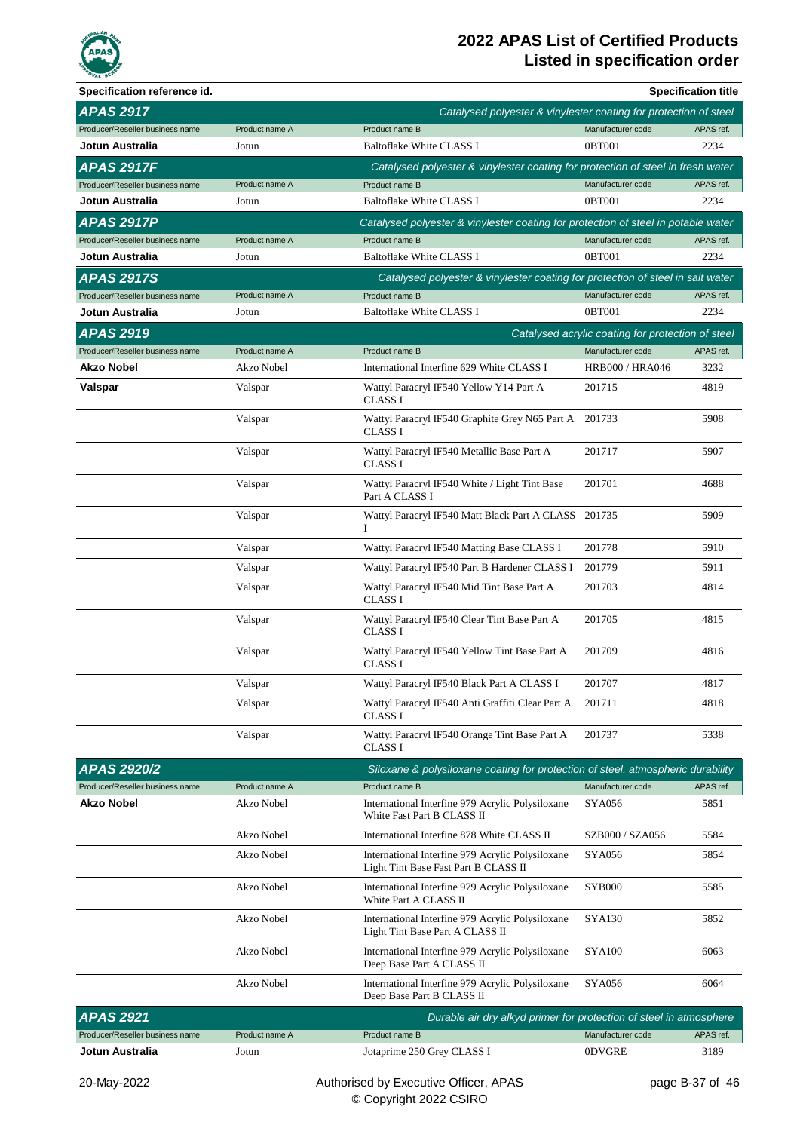

| Specification reference id.     |                |                                                                                          |                                                   | <b>Specification title</b> |
|---------------------------------|----------------|------------------------------------------------------------------------------------------|---------------------------------------------------|----------------------------|
| <b>APAS 2917</b>                |                | Catalysed polyester & vinylester coating for protection of steel                         |                                                   |                            |
| Producer/Reseller business name | Product name A | Product name B                                                                           | Manufacturer code                                 | APAS ref.                  |
| Jotun Australia                 | Jotun          | Baltoflake White CLASS I                                                                 | 0BT001                                            | 2234                       |
| <b>APAS 2917F</b>               |                | Catalysed polyester & vinylester coating for protection of steel in fresh water          |                                                   |                            |
| Producer/Reseller business name | Product name A | Product name B                                                                           | Manufacturer code                                 | APAS ref.                  |
| Jotun Australia                 | Jotun          | Baltoflake White CLASS I                                                                 | 0BT001                                            | 2234                       |
| <b>APAS 2917P</b>               |                | Catalysed polyester & vinylester coating for protection of steel in potable water        |                                                   |                            |
| Producer/Reseller business name | Product name A | Product name B                                                                           | Manufacturer code                                 | APAS ref.                  |
| Jotun Australia                 | Jotun          | <b>Baltoflake White CLASS I</b>                                                          | 0BT001                                            | 2234                       |
| <b>APAS 2917S</b>               |                | Catalysed polyester & vinylester coating for protection of steel in salt water           |                                                   |                            |
| Producer/Reseller business name | Product name A | Product name B                                                                           | Manufacturer code                                 | APAS ref.                  |
| Jotun Australia                 | Jotun          | Baltoflake White CLASS I                                                                 | 0BT001                                            | 2234                       |
| <b>APAS 2919</b>                |                |                                                                                          | Catalysed acrylic coating for protection of steel |                            |
| Producer/Reseller business name | Product name A | Product name B                                                                           | Manufacturer code                                 | APAS ref.                  |
| Akzo Nobel                      | Akzo Nobel     | International Interfine 629 White CLASS I                                                | <b>HRB000 / HRA046</b>                            | 3232                       |
| Valspar                         | Valspar        | Wattyl Paracryl IF540 Yellow Y14 Part A<br><b>CLASS I</b>                                | 201715                                            | 4819                       |
|                                 | Valspar        | Wattyl Paracryl IF540 Graphite Grey N65 Part A<br><b>CLASS I</b>                         | 201733                                            | 5908                       |
|                                 | Valspar        | Wattyl Paracryl IF540 Metallic Base Part A<br><b>CLASS I</b>                             | 201717                                            | 5907                       |
|                                 | Valspar        | Wattyl Paracryl IF540 White / Light Tint Base<br>Part A CLASS I                          | 201701                                            | 4688                       |
|                                 | Valspar        | Wattyl Paracryl IF540 Matt Black Part A CLASS<br>Ι                                       | 201735                                            | 5909                       |
|                                 | Valspar        | Wattyl Paracryl IF540 Matting Base CLASS I                                               | 201778                                            | 5910                       |
|                                 | Valspar        | Wattyl Paracryl IF540 Part B Hardener CLASS I                                            | 201779                                            | 5911                       |
|                                 | Valspar        | Wattyl Paracryl IF540 Mid Tint Base Part A<br><b>CLASS I</b>                             | 201703                                            | 4814                       |
|                                 | Valspar        | Wattyl Paracryl IF540 Clear Tint Base Part A<br><b>CLASS I</b>                           | 201705                                            | 4815                       |
|                                 | Valspar        | Wattyl Paracryl IF540 Yellow Tint Base Part A<br><b>CLASS I</b>                          | 201709                                            | 4816                       |
|                                 | Valspar        | Wattyl Paracryl IF540 Black Part A CLASS I                                               | 201707                                            | 4817                       |
|                                 | Valspar        | Wattyl Paracryl IF540 Anti Graffiti Clear Part A<br><b>CLASS I</b>                       | 201711                                            | 4818                       |
|                                 | Valspar        | Wattyl Paracryl IF540 Orange Tint Base Part A<br><b>CLASS I</b>                          | 201737                                            | 5338                       |
| <b>APAS 2920/2</b>              |                | Siloxane & polysiloxane coating for protection of steel, atmospheric durability          |                                                   |                            |
| Producer/Reseller business name | Product name A | Product name B                                                                           | Manufacturer code                                 | APAS ref.                  |
| <b>Akzo Nobel</b>               | Akzo Nobel     | International Interfine 979 Acrylic Polysiloxane<br>White Fast Part B CLASS II           | <b>SYA056</b>                                     | 5851                       |
|                                 | Akzo Nobel     | International Interfine 878 White CLASS II                                               | SZB000 / SZA056                                   | 5584                       |
|                                 | Akzo Nobel     | International Interfine 979 Acrylic Polysiloxane<br>Light Tint Base Fast Part B CLASS II | <b>SYA056</b>                                     | 5854                       |
|                                 | Akzo Nobel     | International Interfine 979 Acrylic Polysiloxane<br>White Part A CLASS II                | <b>SYB000</b>                                     | 5585                       |
|                                 | Akzo Nobel     | International Interfine 979 Acrylic Polysiloxane<br>Light Tint Base Part A CLASS II      | <b>SYA130</b>                                     | 5852                       |
|                                 | Akzo Nobel     | International Interfine 979 Acrylic Polysiloxane<br>Deep Base Part A CLASS II            | <b>SYA100</b>                                     | 6063                       |
|                                 | Akzo Nobel     | International Interfine 979 Acrylic Polysiloxane<br>Deep Base Part B CLASS II            | <b>SYA056</b>                                     | 6064                       |
| <b>APAS 2921</b>                |                | Durable air dry alkyd primer for protection of steel in atmosphere                       |                                                   |                            |
| Producer/Reseller business name | Product name A | Product name B                                                                           | Manufacturer code                                 | APAS ref.                  |
| Jotun Australia                 | Jotun          | Jotaprime 250 Grey CLASS I                                                               | <b>ODVGRE</b>                                     | 3189                       |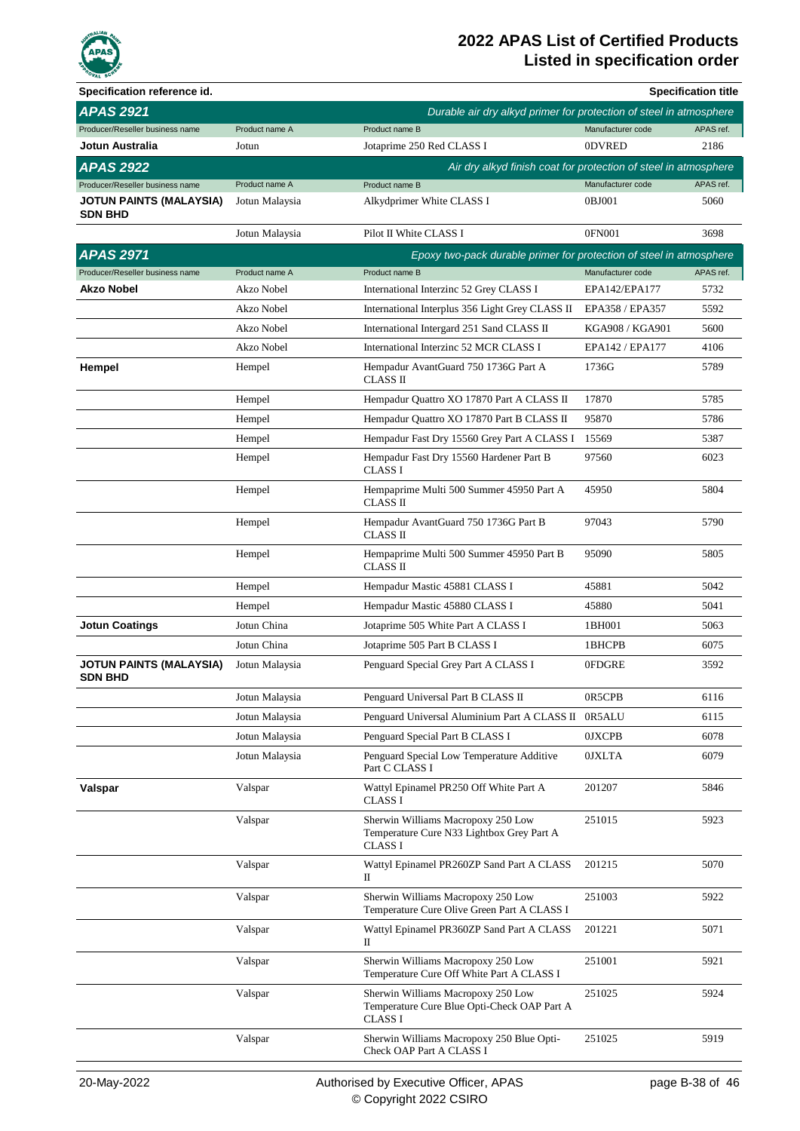

| Specification reference id.                      |                |                                                                                                   |                   | <b>Specification title</b> |
|--------------------------------------------------|----------------|---------------------------------------------------------------------------------------------------|-------------------|----------------------------|
| <b>APAS 2921</b>                                 |                | Durable air dry alkyd primer for protection of steel in atmosphere                                |                   |                            |
| Producer/Reseller business name                  | Product name A | Product name B                                                                                    | Manufacturer code | APAS ref.                  |
| Jotun Australia                                  | Jotun          | Jotaprime 250 Red CLASS I                                                                         | 0DVRED            | 2186                       |
| <b>APAS 2922</b>                                 |                | Air dry alkyd finish coat for protection of steel in atmosphere                                   |                   |                            |
| Producer/Reseller business name                  | Product name A | Product name B                                                                                    | Manufacturer code | APAS ref.                  |
| JOTUN PAINTS (MALAYSIA)<br><b>SDN BHD</b>        | Jotun Malaysia | Alkydprimer White CLASS I                                                                         | 0BJ001            | 5060                       |
|                                                  | Jotun Malaysia | Pilot II White CLASS I                                                                            | 0FN001            | 3698                       |
| <b>APAS 2971</b>                                 |                | Epoxy two-pack durable primer for protection of steel in atmosphere                               |                   |                            |
| Producer/Reseller business name                  | Product name A | Product name B                                                                                    | Manufacturer code | APAS ref.                  |
| Akzo Nobel                                       | Akzo Nobel     | International Interzinc 52 Grey CLASS I                                                           | EPA142/EPA177     | 5732                       |
|                                                  | Akzo Nobel     | International Interplus 356 Light Grey CLASS II                                                   | EPA358 / EPA357   | 5592                       |
|                                                  | Akzo Nobel     | International Intergard 251 Sand CLASS II                                                         | KGA908 / KGA901   | 5600                       |
|                                                  | Akzo Nobel     | International Interzinc 52 MCR CLASS I                                                            | EPA142 / EPA177   | 4106                       |
| Hempel                                           | Hempel         | Hempadur AvantGuard 750 1736G Part A<br>CLASS II                                                  | 1736G             | 5789                       |
|                                                  | Hempel         | Hempadur Quattro XO 17870 Part A CLASS II                                                         | 17870             | 5785                       |
|                                                  | Hempel         | Hempadur Quattro XO 17870 Part B CLASS II                                                         | 95870             | 5786                       |
|                                                  | Hempel         | Hempadur Fast Dry 15560 Grey Part A CLASS I                                                       | 15569             | 5387                       |
|                                                  | Hempel         | Hempadur Fast Dry 15560 Hardener Part B<br><b>CLASS I</b>                                         | 97560             | 6023                       |
|                                                  | Hempel         | Hempaprime Multi 500 Summer 45950 Part A<br>CLASS II                                              | 45950             | 5804                       |
|                                                  | Hempel         | Hempadur AvantGuard 750 1736G Part B<br><b>CLASS II</b>                                           | 97043             | 5790                       |
|                                                  | Hempel         | Hempaprime Multi 500 Summer 45950 Part B<br><b>CLASS II</b>                                       | 95090             | 5805                       |
|                                                  | Hempel         | Hempadur Mastic 45881 CLASS I                                                                     | 45881             | 5042                       |
|                                                  | Hempel         | Hempadur Mastic 45880 CLASS I                                                                     | 45880             | 5041                       |
| <b>Jotun Coatings</b>                            | Jotun China    | Jotaprime 505 White Part A CLASS I                                                                | 1BH001            | 5063                       |
|                                                  | Jotun China    | Jotaprime 505 Part B CLASS I                                                                      | 1BHCPB            | 6075                       |
| <b>JOTUN PAINTS (MALAYSIA)</b><br><b>SDN BHD</b> | Jotun Malaysia | Penguard Special Grey Part A CLASS I                                                              | 0FDGRE            | 3592                       |
|                                                  | Jotun Malaysia | Penguard Universal Part B CLASS II                                                                | 0R5CPB            | 6116                       |
|                                                  | Jotun Malaysia | Penguard Universal Aluminium Part A CLASS II 0R5ALU                                               |                   | 6115                       |
|                                                  | Jotun Malaysia | Penguard Special Part B CLASS I                                                                   | <b>OJXCPB</b>     | 6078                       |
|                                                  | Jotun Malaysia | Penguard Special Low Temperature Additive<br>Part C CLASS I                                       | 0JXLTA            | 6079                       |
| Valspar                                          | Valspar        | Wattyl Epinamel PR250 Off White Part A<br><b>CLASS I</b>                                          | 201207            | 5846                       |
|                                                  | Valspar        | Sherwin Williams Macropoxy 250 Low<br>Temperature Cure N33 Lightbox Grey Part A<br><b>CLASS I</b> | 251015            | 5923                       |
|                                                  | Valspar        | Wattyl Epinamel PR260ZP Sand Part A CLASS<br>П                                                    | 201215            | 5070                       |
|                                                  | Valspar        | Sherwin Williams Macropoxy 250 Low<br>Temperature Cure Olive Green Part A CLASS I                 | 251003            | 5922                       |
|                                                  | Valspar        | Wattyl Epinamel PR360ZP Sand Part A CLASS<br>П                                                    | 201221            | 5071                       |
|                                                  | Valspar        | Sherwin Williams Macropoxy 250 Low<br>Temperature Cure Off White Part A CLASS I                   | 251001            | 5921                       |
|                                                  | Valspar        | Sherwin Williams Macropoxy 250 Low<br>Temperature Cure Blue Opti-Check OAP Part A<br>CLASS I      | 251025            | 5924                       |
|                                                  | Valspar        | Sherwin Williams Macropoxy 250 Blue Opti-<br>Check OAP Part A CLASS I                             | 251025            | 5919                       |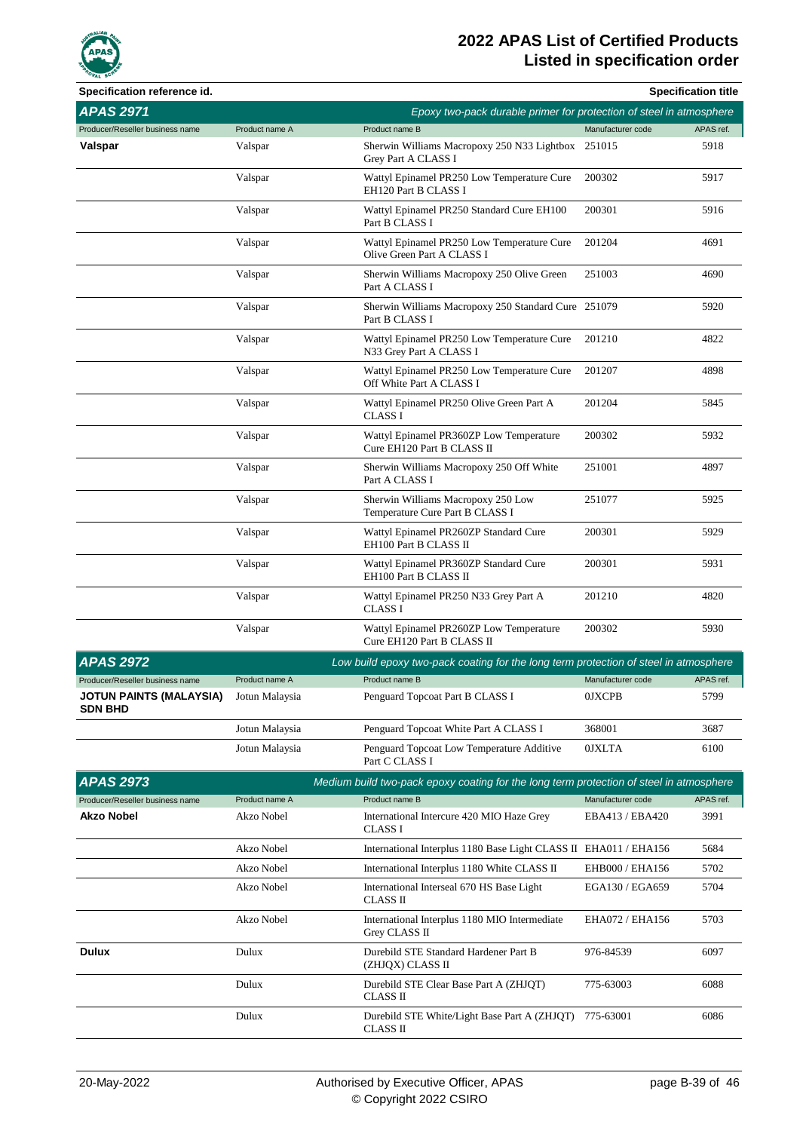

| Specification reference id.                      |                |                                                                                         |                   | <b>Specification title</b> |
|--------------------------------------------------|----------------|-----------------------------------------------------------------------------------------|-------------------|----------------------------|
| <b>APAS 2971</b>                                 |                | Epoxy two-pack durable primer for protection of steel in atmosphere                     |                   |                            |
| Producer/Reseller business name                  | Product name A | Product name B                                                                          | Manufacturer code | APAS ref.                  |
| Valspar                                          | Valspar        | Sherwin Williams Macropoxy 250 N33 Lightbox<br>Grey Part A CLASS I                      | 251015            | 5918                       |
|                                                  | Valspar        | Wattyl Epinamel PR250 Low Temperature Cure<br>EH120 Part B CLASS I                      | 200302            | 5917                       |
|                                                  | Valspar        | Wattyl Epinamel PR250 Standard Cure EH100<br>Part B CLASS I                             | 200301            | 5916                       |
|                                                  | Valspar        | Wattyl Epinamel PR250 Low Temperature Cure<br>Olive Green Part A CLASS I                | 201204            | 4691                       |
|                                                  | Valspar        | Sherwin Williams Macropoxy 250 Olive Green<br>Part A CLASS I                            | 251003            | 4690                       |
|                                                  | Valspar        | Sherwin Williams Macropoxy 250 Standard Cure 251079<br>Part B CLASS I                   |                   | 5920                       |
|                                                  | Valspar        | Wattyl Epinamel PR250 Low Temperature Cure<br>N33 Grey Part A CLASS I                   | 201210            | 4822                       |
|                                                  | Valspar        | Wattyl Epinamel PR250 Low Temperature Cure<br>Off White Part A CLASS I                  | 201207            | 4898                       |
|                                                  | Valspar        | Wattyl Epinamel PR250 Olive Green Part A<br><b>CLASS I</b>                              | 201204            | 5845                       |
|                                                  | Valspar        | Wattyl Epinamel PR360ZP Low Temperature<br>Cure EH120 Part B CLASS II                   | 200302            | 5932                       |
|                                                  | Valspar        | Sherwin Williams Macropoxy 250 Off White<br>Part A CLASS I                              | 251001            | 4897                       |
|                                                  | Valspar        | Sherwin Williams Macropoxy 250 Low<br>Temperature Cure Part B CLASS I                   | 251077            | 5925                       |
|                                                  | Valspar        | Wattyl Epinamel PR260ZP Standard Cure<br>EH100 Part B CLASS II                          | 200301            | 5929                       |
|                                                  | Valspar        | Wattyl Epinamel PR360ZP Standard Cure<br>EH100 Part B CLASS II                          | 200301            | 5931                       |
|                                                  | Valspar        | Wattyl Epinamel PR250 N33 Grey Part A<br><b>CLASS I</b>                                 | 201210            | 4820                       |
|                                                  | Valspar        | Wattyl Epinamel PR260ZP Low Temperature<br>Cure EH120 Part B CLASS II                   | 200302            | 5930                       |
| <b>APAS 2972</b>                                 |                | Low build epoxy two-pack coating for the long term protection of steel in atmosphere    |                   |                            |
| Producer/Reseller business name                  | Product name A |                                                                                         | Manufacturer code | APAS ref.                  |
| <b>JOTUN PAINTS (MALAYSIA)</b><br><b>SDN BHD</b> | Jotun Malaysia | Penguard Topcoat Part B CLASS I                                                         | <b>OJXCPB</b>     | 5799                       |
|                                                  | Jotun Malaysia | Penguard Topcoat White Part A CLASS I                                                   | 368001            | 3687                       |
|                                                  | Jotun Malaysia | Penguard Topcoat Low Temperature Additive<br>Part C CLASS I                             | <b>OJXLTA</b>     | 6100                       |
| <b>APAS 2973</b>                                 |                | Medium build two-pack epoxy coating for the long term protection of steel in atmosphere |                   |                            |
| Producer/Reseller business name                  | Product name A | Product name B                                                                          | Manufacturer code | APAS ref.                  |
| <b>Akzo Nobel</b>                                | Akzo Nobel     | International Intercure 420 MIO Haze Grey<br>CLASS I                                    | EBA413 / EBA420   | 3991                       |
|                                                  | Akzo Nobel     | International Interplus 1180 Base Light CLASS II EHA011 / EHA156                        |                   | 5684                       |
|                                                  | Akzo Nobel     | International Interplus 1180 White CLASS II                                             | EHB000 / EHA156   | 5702                       |
|                                                  | Akzo Nobel     | International Interseal 670 HS Base Light<br>CLASS II                                   | EGA130 / EGA659   | 5704                       |
|                                                  | Akzo Nobel     | International Interplus 1180 MIO Intermediate<br>Grey CLASS II                          | EHA072 / EHA156   | 5703                       |
| <b>Dulux</b>                                     | Dulux          | Durebild STE Standard Hardener Part B<br>(ZHJQX) CLASS II                               | 976-84539         | 6097                       |
|                                                  | Dulux          | Durebild STE Clear Base Part A (ZHJQT)<br>CLASS II                                      | 775-63003         | 6088                       |
|                                                  | Dulux          | Durebild STE White/Light Base Part A (ZHJQT)<br>CLASS II                                | 775-63001         | 6086                       |
|                                                  |                |                                                                                         |                   |                            |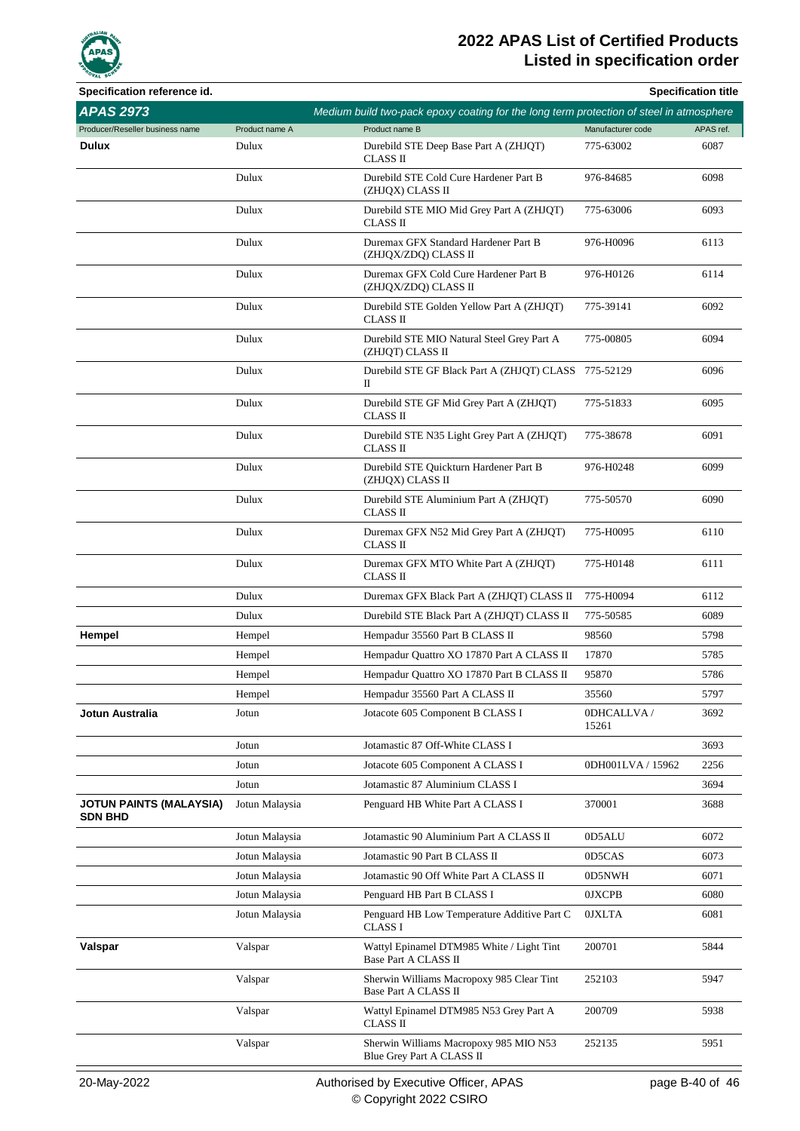

| Specification reference id.                      |                |                                                                                         |                     | <b>Specification title</b> |
|--------------------------------------------------|----------------|-----------------------------------------------------------------------------------------|---------------------|----------------------------|
| <b>APAS 2973</b>                                 |                | Medium build two-pack epoxy coating for the long term protection of steel in atmosphere |                     |                            |
| Producer/Reseller business name                  | Product name A | Product name B                                                                          | Manufacturer code   | APAS ref.                  |
| <b>Dulux</b>                                     | Dulux          | Durebild STE Deep Base Part A (ZHJQT)<br>CLASS II                                       | 775-63002           | 6087                       |
|                                                  | Dulux          | Durebild STE Cold Cure Hardener Part B<br>(ZHJQX) CLASS II                              | 976-84685           | 6098                       |
|                                                  | Dulux          | Durebild STE MIO Mid Grey Part A (ZHJQT)<br>CLASS II                                    | 775-63006           | 6093                       |
|                                                  | Dulux          | Duremax GFX Standard Hardener Part B<br>(ZHJQX/ZDQ) CLASS II                            | 976-H0096           | 6113                       |
|                                                  | Dulux          | Duremax GFX Cold Cure Hardener Part B<br>(ZHJQX/ZDQ) CLASS II                           | 976-H0126           | 6114                       |
|                                                  | Dulux          | Durebild STE Golden Yellow Part A (ZHJQT)<br>CLASS II                                   | 775-39141           | 6092                       |
|                                                  | Dulux          | Durebild STE MIO Natural Steel Grey Part A<br>(ZHJQT) CLASS II                          | 775-00805           | 6094                       |
|                                                  | Dulux          | Durebild STE GF Black Part A (ZHJQT) CLASS 775-52129<br>П                               |                     | 6096                       |
|                                                  | Dulux          | Durebild STE GF Mid Grey Part A (ZHJQT)<br>CLASS II                                     | 775-51833           | 6095                       |
|                                                  | Dulux          | Durebild STE N35 Light Grey Part A (ZHJQT)<br>CLASS II                                  | 775-38678           | 6091                       |
|                                                  | Dulux          | Durebild STE Quickturn Hardener Part B<br>(ZHJQX) CLASS II                              | 976-H0248           | 6099                       |
|                                                  | Dulux          | Durebild STE Aluminium Part A (ZHJQT)<br>CLASS II                                       | 775-50570           | 6090                       |
|                                                  | Dulux          | Duremax GFX N52 Mid Grey Part A (ZHJQT)<br>CLASS II                                     | 775-H0095           | 6110                       |
|                                                  | Dulux          | Duremax GFX MTO White Part A (ZHJQT)<br>CLASS II                                        | 775-H0148           | 6111                       |
|                                                  | Dulux          | Duremax GFX Black Part A (ZHJQT) CLASS II                                               | 775-H0094           | 6112                       |
|                                                  | Dulux          | Durebild STE Black Part A (ZHJQT) CLASS II                                              | 775-50585           | 6089                       |
| Hempel                                           | Hempel         | Hempadur 35560 Part B CLASS II                                                          | 98560               | 5798                       |
|                                                  | Hempel         | Hempadur Quattro XO 17870 Part A CLASS II                                               | 17870               | 5785                       |
|                                                  | Hempel         | Hempadur Quattro XO 17870 Part B CLASS II                                               | 95870               | 5786                       |
|                                                  | Hempel         | Hempadur 35560 Part A CLASS II                                                          | 35560               | 5797                       |
| Jotun Australia                                  | Jotun          | Jotacote 605 Component B CLASS I                                                        | 0DHCALLVA/<br>15261 | 3692                       |
|                                                  | Jotun          | Jotamastic 87 Off-White CLASS I                                                         |                     | 3693                       |
|                                                  | Jotun          | Jotacote 605 Component A CLASS I                                                        | 0DH001LVA / 15962   | 2256                       |
|                                                  | Jotun          | Jotamastic 87 Aluminium CLASS I                                                         |                     | 3694                       |
| <b>JOTUN PAINTS (MALAYSIA)</b><br><b>SDN BHD</b> | Jotun Malaysia | Penguard HB White Part A CLASS I                                                        | 370001              | 3688                       |
|                                                  | Jotun Malaysia | Jotamastic 90 Aluminium Part A CLASS II                                                 | 0D5ALU              | 6072                       |
|                                                  | Jotun Malaysia | Jotamastic 90 Part B CLASS II                                                           | 0D5CAS              | 6073                       |
|                                                  | Jotun Malaysia | Jotamastic 90 Off White Part A CLASS II                                                 | 0D5NWH              | 6071                       |
|                                                  | Jotun Malaysia | Penguard HB Part B CLASS I                                                              | <b>OJXCPB</b>       | 6080                       |
|                                                  | Jotun Malaysia | Penguard HB Low Temperature Additive Part C<br>CLASS I                                  | <b>OJXLTA</b>       | 6081                       |
| Valspar                                          | Valspar        | Wattyl Epinamel DTM985 White / Light Tint<br>Base Part A CLASS II                       | 200701              | 5844                       |
|                                                  | Valspar        | Sherwin Williams Macropoxy 985 Clear Tint<br>Base Part A CLASS II                       | 252103              | 5947                       |
|                                                  | Valspar        | Wattyl Epinamel DTM985 N53 Grey Part A<br>CLASS II                                      | 200709              | 5938                       |
|                                                  | Valspar        | Sherwin Williams Macropoxy 985 MIO N53<br>Blue Grey Part A CLASS II                     | 252135              | 5951                       |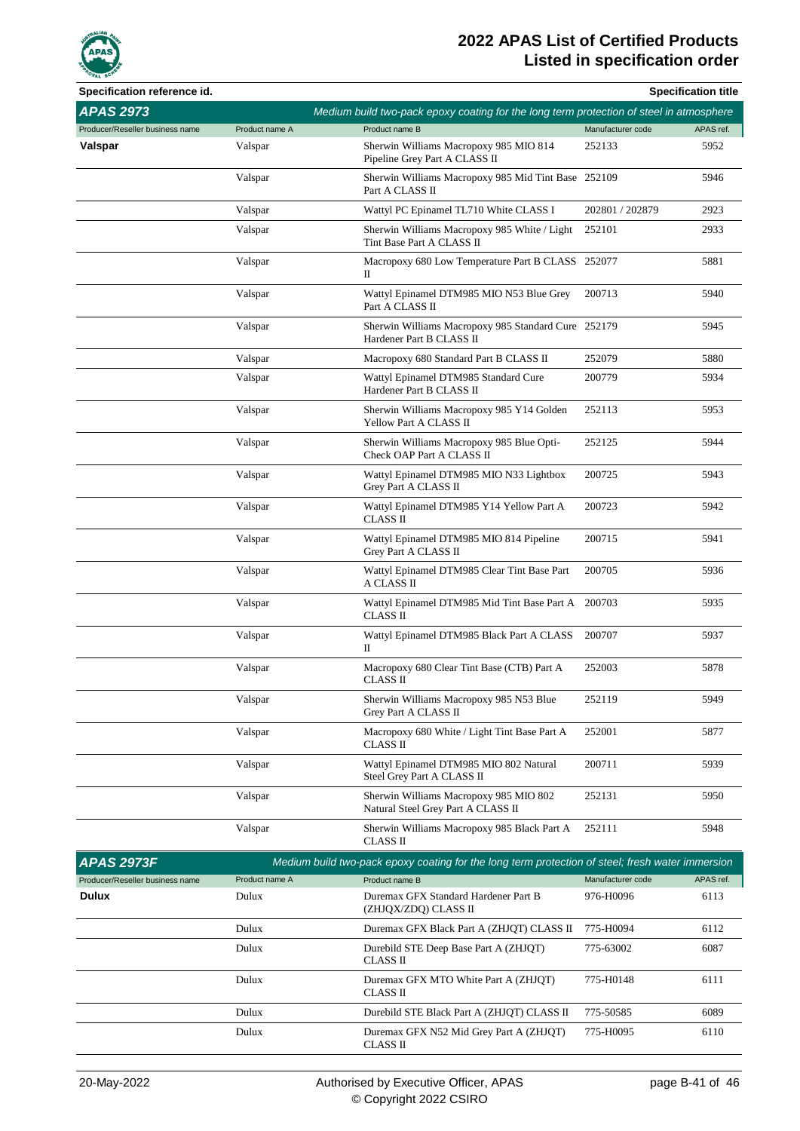

| Specification reference id.     |                |                                                                                                  |                   | <b>Specification title</b> |
|---------------------------------|----------------|--------------------------------------------------------------------------------------------------|-------------------|----------------------------|
| <b>APAS 2973</b>                |                | Medium build two-pack epoxy coating for the long term protection of steel in atmosphere          |                   |                            |
| Producer/Reseller business name | Product name A | Product name B                                                                                   | Manufacturer code | APAS ref.                  |
| Valspar                         | Valspar        | Sherwin Williams Macropoxy 985 MIO 814<br>Pipeline Grey Part A CLASS II                          | 252133            | 5952                       |
|                                 | Valspar        | Sherwin Williams Macropoxy 985 Mid Tint Base 252109<br>Part A CLASS II                           |                   | 5946                       |
|                                 | Valspar        | Wattyl PC Epinamel TL710 White CLASS I                                                           | 202801 / 202879   | 2923                       |
|                                 | Valspar        | Sherwin Williams Macropoxy 985 White / Light<br>Tint Base Part A CLASS II                        | 252101            | 2933                       |
|                                 | Valspar        | Macropoxy 680 Low Temperature Part B CLASS 252077<br>П                                           |                   | 5881                       |
|                                 | Valspar        | Wattyl Epinamel DTM985 MIO N53 Blue Grey<br>Part A CLASS II                                      | 200713            | 5940                       |
|                                 | Valspar        | Sherwin Williams Macropoxy 985 Standard Cure 252179<br>Hardener Part B CLASS II                  |                   | 5945                       |
|                                 | Valspar        | Macropoxy 680 Standard Part B CLASS II                                                           | 252079            | 5880                       |
|                                 | Valspar        | Wattyl Epinamel DTM985 Standard Cure<br>Hardener Part B CLASS II                                 | 200779            | 5934                       |
|                                 | Valspar        | Sherwin Williams Macropoxy 985 Y14 Golden<br>Yellow Part A CLASS II                              | 252113            | 5953                       |
|                                 | Valspar        | Sherwin Williams Macropoxy 985 Blue Opti-<br>Check OAP Part A CLASS II                           | 252125            | 5944                       |
|                                 | Valspar        | Wattyl Epinamel DTM985 MIO N33 Lightbox<br>Grey Part A CLASS II                                  | 200725            | 5943                       |
|                                 | Valspar        | Wattyl Epinamel DTM985 Y14 Yellow Part A<br><b>CLASS II</b>                                      | 200723            | 5942                       |
|                                 | Valspar        | Wattyl Epinamel DTM985 MIO 814 Pipeline<br>Grey Part A CLASS II                                  | 200715            | 5941                       |
|                                 | Valspar        | Wattyl Epinamel DTM985 Clear Tint Base Part<br>A CLASS II                                        | 200705            | 5936                       |
|                                 | Valspar        | Wattyl Epinamel DTM985 Mid Tint Base Part A<br>CLASS II                                          | 200703            | 5935                       |
|                                 | Valspar        | Wattyl Epinamel DTM985 Black Part A CLASS<br>П                                                   | 200707            | 5937                       |
|                                 | Valspar        | Macropoxy 680 Clear Tint Base (CTB) Part A<br>CLASS II                                           | 252003            | 5878                       |
|                                 | Valspar        | Sherwin Williams Macropoxy 985 N53 Blue<br>Grey Part A CLASS II                                  | 252119            | 5949                       |
|                                 | Valspar        | Macropoxy 680 White / Light Tint Base Part A<br>CLASS II                                         | 252001            | 5877                       |
|                                 | Valspar        | Wattyl Epinamel DTM985 MIO 802 Natural<br>Steel Grey Part A CLASS II                             | 200711            | 5939                       |
|                                 | Valspar        | Sherwin Williams Macropoxy 985 MIO 802<br>Natural Steel Grey Part A CLASS II                     | 252131            | 5950                       |
|                                 | Valspar        | Sherwin Williams Macropoxy 985 Black Part A<br>CLASS II                                          | 252111            | 5948                       |
| <b>APAS 2973F</b>               |                | Medium build two-pack epoxy coating for the long term protection of steel; fresh water immersion |                   |                            |
| Producer/Reseller business name | Product name A | Product name B                                                                                   | Manufacturer code | APAS ref.                  |
| <b>Dulux</b>                    | Dulux          | Duremax GFX Standard Hardener Part B<br>(ZHJQX/ZDQ) CLASS II                                     | 976-H0096         | 6113                       |
|                                 | Dulux          | Duremax GFX Black Part A (ZHJQT) CLASS II                                                        | 775-H0094         | 6112                       |
|                                 | Dulux          | Durebild STE Deep Base Part A (ZHJQT)<br>CLASS II                                                | 775-63002         | 6087                       |
|                                 | Dulux          | Duremax GFX MTO White Part A (ZHJQT)<br>CLASS II                                                 | 775-H0148         | 6111                       |
|                                 | Dulux          | Durebild STE Black Part A (ZHJQT) CLASS II                                                       | 775-50585         | 6089                       |
|                                 | Dulux          | Duremax GFX N52 Mid Grey Part A (ZHJQT)<br>CLASS II                                              | 775-H0095         | 6110                       |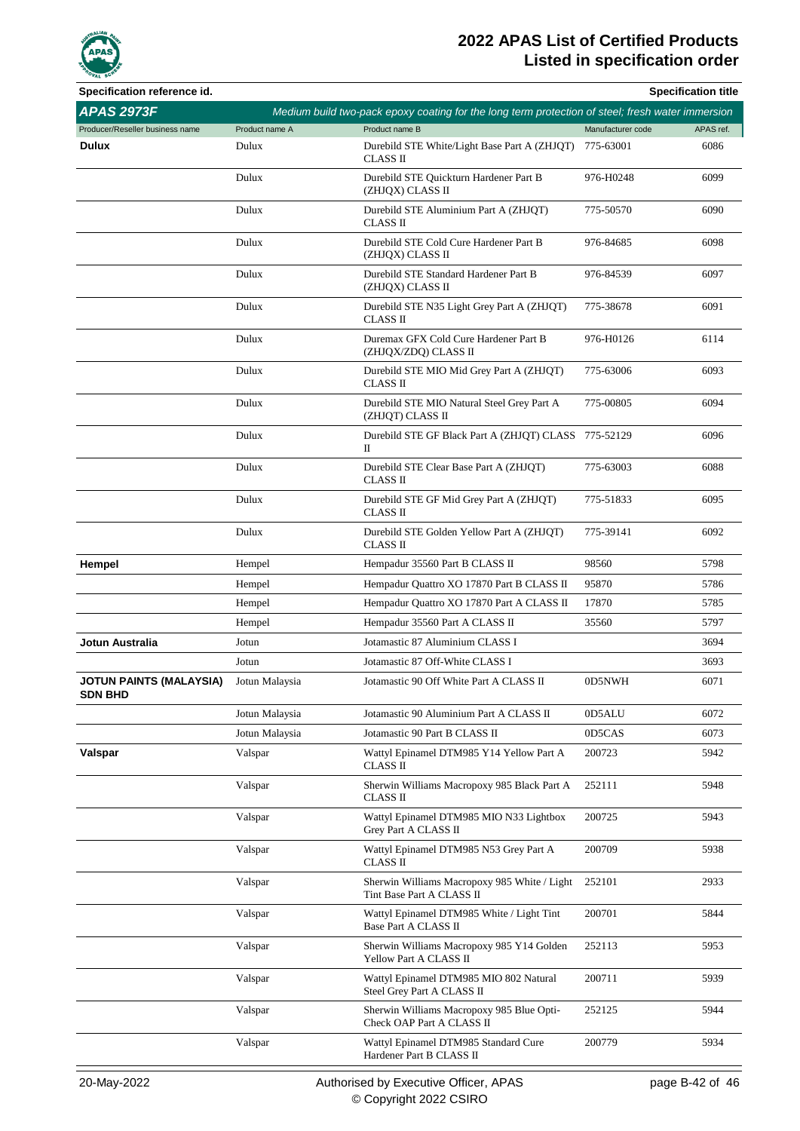

| Specification reference id.               |                |                                                                                                  |                   | <b>Specification title</b> |
|-------------------------------------------|----------------|--------------------------------------------------------------------------------------------------|-------------------|----------------------------|
| <b>APAS 2973F</b>                         |                | Medium build two-pack epoxy coating for the long term protection of steel; fresh water immersion |                   |                            |
| Producer/Reseller business name           | Product name A | Product name B                                                                                   | Manufacturer code | APAS ref.                  |
| <b>Dulux</b>                              | Dulux          | Durebild STE White/Light Base Part A (ZHJQT)<br>CLASS II                                         | 775-63001         | 6086                       |
|                                           | Dulux          | Durebild STE Quickturn Hardener Part B<br>(ZHJQX) CLASS II                                       | 976-H0248         | 6099                       |
|                                           | Dulux          | Durebild STE Aluminium Part A (ZHJQT)<br>CLASS II                                                | 775-50570         | 6090                       |
|                                           | Dulux          | Durebild STE Cold Cure Hardener Part B<br>(ZHJQX) CLASS II                                       | 976-84685         | 6098                       |
|                                           | Dulux          | Durebild STE Standard Hardener Part B<br>(ZHJQX) CLASS II                                        | 976-84539         | 6097                       |
|                                           | Dulux          | Durebild STE N35 Light Grey Part A (ZHJQT)<br>CLASS II                                           | 775-38678         | 6091                       |
|                                           | Dulux          | Duremax GFX Cold Cure Hardener Part B<br>(ZHJQX/ZDQ) CLASS II                                    | 976-H0126         | 6114                       |
|                                           | Dulux          | Durebild STE MIO Mid Grey Part A (ZHJQT)<br>CLASS II                                             | 775-63006         | 6093                       |
|                                           | Dulux          | Durebild STE MIO Natural Steel Grey Part A<br>(ZHJQT) CLASS II                                   | 775-00805         | 6094                       |
|                                           | Dulux          | Durebild STE GF Black Part A (ZHJOT) CLASS 775-52129<br>П                                        |                   | 6096                       |
|                                           | Dulux          | Durebild STE Clear Base Part A (ZHJQT)<br>CLASS II                                               | 775-63003         | 6088                       |
|                                           | Dulux          | Durebild STE GF Mid Grey Part A (ZHJQT)<br>CLASS II                                              | 775-51833         | 6095                       |
|                                           | Dulux          | Durebild STE Golden Yellow Part A (ZHJQT)<br>CLASS II                                            | 775-39141         | 6092                       |
| Hempel                                    | Hempel         | Hempadur 35560 Part B CLASS II                                                                   | 98560             | 5798                       |
|                                           | Hempel         | Hempadur Quattro XO 17870 Part B CLASS II                                                        | 95870             | 5786                       |
|                                           | Hempel         | Hempadur Quattro XO 17870 Part A CLASS II                                                        | 17870             | 5785                       |
|                                           | Hempel         | Hempadur 35560 Part A CLASS II                                                                   | 35560             | 5797                       |
| Jotun Australia                           | Jotun          | Jotamastic 87 Aluminium CLASS I                                                                  |                   | 3694                       |
|                                           | Jotun          | Jotamastic 87 Off-White CLASS I                                                                  |                   | 3693                       |
| JOTUN PAINTS (MALAYSIA)<br><b>SDN BHD</b> | Jotun Malaysia | Jotamastic 90 Off White Part A CLASS II                                                          | 0D5NWH            | 6071                       |
|                                           | Jotun Malaysia | Jotamastic 90 Aluminium Part A CLASS II                                                          | 0D5ALU            | 6072                       |
|                                           | Jotun Malaysia | Jotamastic 90 Part B CLASS II                                                                    | 0D5CAS            | 6073                       |
| Valspar                                   | Valspar        | Wattyl Epinamel DTM985 Y14 Yellow Part A<br>CLASS II                                             | 200723            | 5942                       |
|                                           | Valspar        | Sherwin Williams Macropoxy 985 Black Part A<br>CLASS II                                          | 252111            | 5948                       |
|                                           | Valspar        | Wattyl Epinamel DTM985 MIO N33 Lightbox<br>Grey Part A CLASS II                                  | 200725            | 5943                       |
|                                           | Valspar        | Wattyl Epinamel DTM985 N53 Grey Part A<br>CLASS II                                               | 200709            | 5938                       |
|                                           | Valspar        | Sherwin Williams Macropoxy 985 White / Light<br>Tint Base Part A CLASS II                        | 252101            | 2933                       |
|                                           | Valspar        | Wattyl Epinamel DTM985 White / Light Tint<br>Base Part A CLASS II                                | 200701            | 5844                       |
|                                           | Valspar        | Sherwin Williams Macropoxy 985 Y14 Golden<br>Yellow Part A CLASS II                              | 252113            | 5953                       |
|                                           | Valspar        | Wattyl Epinamel DTM985 MIO 802 Natural<br>Steel Grey Part A CLASS II                             | 200711            | 5939                       |
|                                           | Valspar        | Sherwin Williams Macropoxy 985 Blue Opti-<br>Check OAP Part A CLASS II                           | 252125            | 5944                       |
|                                           | Valspar        | Wattyl Epinamel DTM985 Standard Cure<br>Hardener Part B CLASS II                                 | 200779            | 5934                       |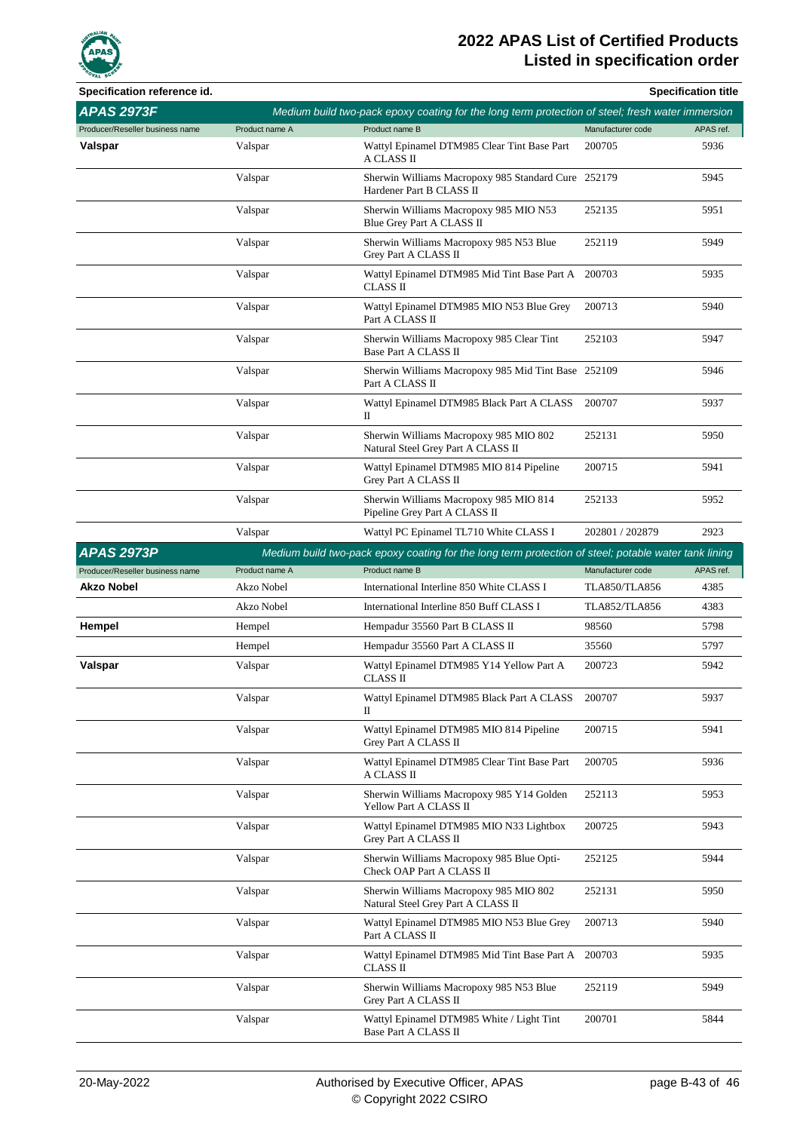

| Specification reference id.     |                |                                                                                                      |                      | <b>Specification title</b> |
|---------------------------------|----------------|------------------------------------------------------------------------------------------------------|----------------------|----------------------------|
| <b>APAS 2973F</b>               |                | Medium build two-pack epoxy coating for the long term protection of steel; fresh water immersion     |                      |                            |
| Producer/Reseller business name | Product name A | Product name B                                                                                       | Manufacturer code    | APAS ref.                  |
| Valspar                         | Valspar        | Wattyl Epinamel DTM985 Clear Tint Base Part<br>A CLASS II                                            | 200705               | 5936                       |
|                                 | Valspar        | Sherwin Williams Macropoxy 985 Standard Cure 252179<br>Hardener Part B CLASS II                      |                      | 5945                       |
|                                 | Valspar        | Sherwin Williams Macropoxy 985 MIO N53<br>Blue Grey Part A CLASS II                                  | 252135               | 5951                       |
|                                 | Valspar        | Sherwin Williams Macropoxy 985 N53 Blue<br>Grey Part A CLASS II                                      | 252119               | 5949                       |
|                                 | Valspar        | Wattyl Epinamel DTM985 Mid Tint Base Part A 200703<br>CLASS II                                       |                      | 5935                       |
|                                 | Valspar        | Wattyl Epinamel DTM985 MIO N53 Blue Grey<br>Part A CLASS II                                          | 200713               | 5940                       |
|                                 | Valspar        | Sherwin Williams Macropoxy 985 Clear Tint<br>Base Part A CLASS II                                    | 252103               | 5947                       |
|                                 | Valspar        | Sherwin Williams Macropoxy 985 Mid Tint Base 252109<br>Part A CLASS II                               |                      | 5946                       |
|                                 | Valspar        | Wattyl Epinamel DTM985 Black Part A CLASS<br>П                                                       | 200707               | 5937                       |
|                                 | Valspar        | Sherwin Williams Macropoxy 985 MIO 802<br>Natural Steel Grey Part A CLASS II                         | 252131               | 5950                       |
|                                 | Valspar        | Wattyl Epinamel DTM985 MIO 814 Pipeline<br>Grey Part A CLASS II                                      | 200715               | 5941                       |
|                                 | Valspar        | Sherwin Williams Macropoxy 985 MIO 814<br>Pipeline Grey Part A CLASS II                              | 252133               | 5952                       |
|                                 | Valspar        | Wattyl PC Epinamel TL710 White CLASS I                                                               | 202801 / 202879      | 2923                       |
| <b>APAS 2973P</b>               |                | Medium build two-pack epoxy coating for the long term protection of steel; potable water tank lining |                      |                            |
| Producer/Reseller business name | Product name A | Product name B                                                                                       | Manufacturer code    | APAS ref.                  |
| Akzo Nobel                      | Akzo Nobel     | International Interline 850 White CLASS I                                                            | <b>TLA850/TLA856</b> | 4385                       |
|                                 | Akzo Nobel     | International Interline 850 Buff CLASS I                                                             | <b>TLA852/TLA856</b> | 4383                       |
| Hempel                          | Hempel         | Hempadur 35560 Part B CLASS II                                                                       | 98560                | 5798                       |
|                                 | Hempel         | Hempadur 35560 Part A CLASS II                                                                       | 35560                | 5797                       |
| Valspar                         | Valspar        | Wattyl Epinamel DTM985 Y14 Yellow Part A<br>CLASS II                                                 | 200723               | 5942                       |
|                                 | Valspar        | Wattyl Epinamel DTM985 Black Part A CLASS<br>П                                                       | 200707               | 5937                       |
|                                 | Valspar        | Wattyl Epinamel DTM985 MIO 814 Pipeline<br>Grey Part A CLASS II                                      | 200715               | 5941                       |
|                                 | Valspar        | Wattyl Epinamel DTM985 Clear Tint Base Part<br>A CLASS II                                            | 200705               | 5936                       |
|                                 | Valspar        | Sherwin Williams Macropoxy 985 Y14 Golden<br>Yellow Part A CLASS II                                  | 252113               | 5953                       |
|                                 | Valspar        | Wattyl Epinamel DTM985 MIO N33 Lightbox<br>Grey Part A CLASS II                                      | 200725               | 5943                       |
|                                 | Valspar        | Sherwin Williams Macropoxy 985 Blue Opti-<br>Check OAP Part A CLASS II                               | 252125               | 5944                       |
|                                 | Valspar        | Sherwin Williams Macropoxy 985 MIO 802<br>Natural Steel Grey Part A CLASS II                         | 252131               | 5950                       |
|                                 | Valspar        | Wattyl Epinamel DTM985 MIO N53 Blue Grey<br>Part A CLASS II                                          | 200713               | 5940                       |
|                                 | Valspar        | Wattyl Epinamel DTM985 Mid Tint Base Part A<br>CLASS II                                              | 200703               | 5935                       |
|                                 | Valspar        | Sherwin Williams Macropoxy 985 N53 Blue<br>Grey Part A CLASS II                                      | 252119               | 5949                       |
|                                 | Valspar        | Wattyl Epinamel DTM985 White / Light Tint<br>Base Part A CLASS II                                    | 200701               | 5844                       |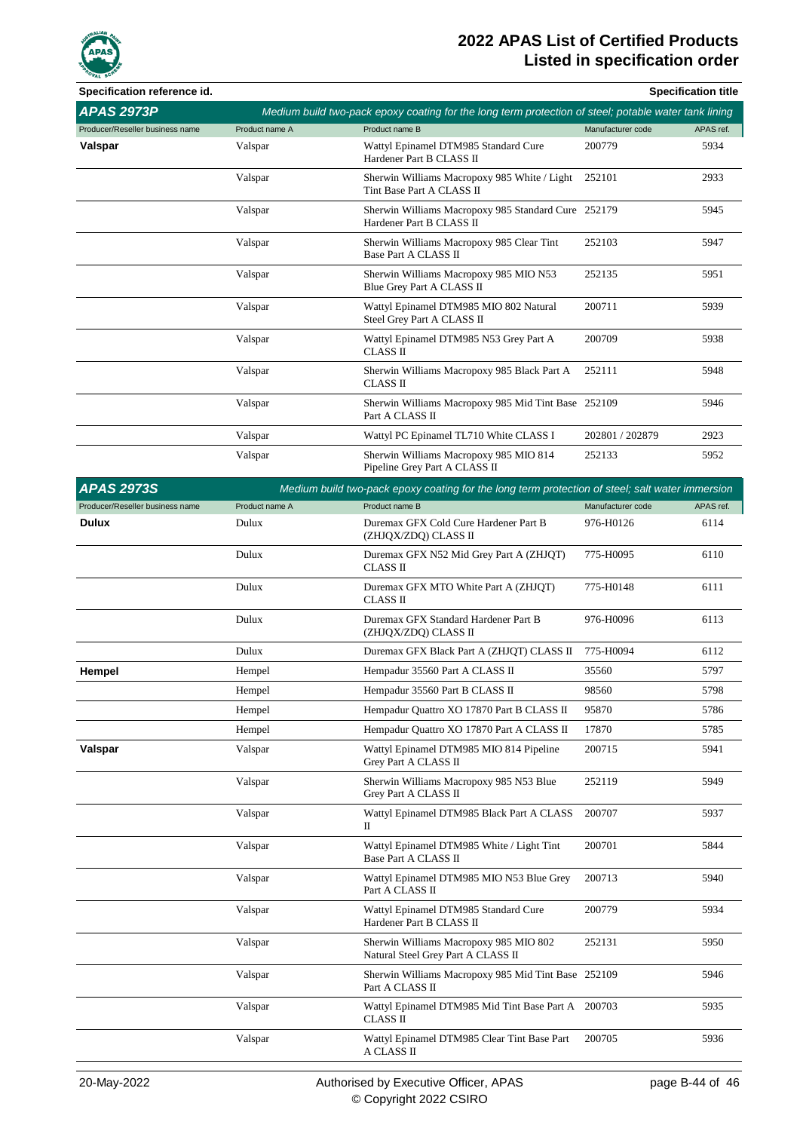

| Specification reference id.     |                |                                                                                                      |                   | <b>Specification title</b> |
|---------------------------------|----------------|------------------------------------------------------------------------------------------------------|-------------------|----------------------------|
| <b>APAS 2973P</b>               |                | Medium build two-pack epoxy coating for the long term protection of steel; potable water tank lining |                   |                            |
| Producer/Reseller business name | Product name A | Product name B                                                                                       | Manufacturer code | APAS ref.                  |
| Valspar                         | Valspar        | Wattyl Epinamel DTM985 Standard Cure<br>Hardener Part B CLASS II                                     | 200779            | 5934                       |
|                                 | Valspar        | Sherwin Williams Macropoxy 985 White / Light<br>Tint Base Part A CLASS II                            | 252101            | 2933                       |
|                                 | Valspar        | Sherwin Williams Macropoxy 985 Standard Cure 252179<br>Hardener Part B CLASS II                      |                   | 5945                       |
|                                 | Valspar        | Sherwin Williams Macropoxy 985 Clear Tint<br>Base Part A CLASS II                                    | 252103            | 5947                       |
|                                 | Valspar        | Sherwin Williams Macropoxy 985 MIO N53<br>Blue Grey Part A CLASS II                                  | 252135            | 5951                       |
|                                 | Valspar        | Wattyl Epinamel DTM985 MIO 802 Natural<br>Steel Grey Part A CLASS II                                 | 200711            | 5939                       |
|                                 | Valspar        | Wattyl Epinamel DTM985 N53 Grey Part A<br><b>CLASS II</b>                                            | 200709            | 5938                       |
|                                 | Valspar        | Sherwin Williams Macropoxy 985 Black Part A<br><b>CLASS II</b>                                       | 252111            | 5948                       |
|                                 | Valspar        | Sherwin Williams Macropoxy 985 Mid Tint Base 252109<br>Part A CLASS II                               |                   | 5946                       |
|                                 | Valspar        | Wattyl PC Epinamel TL710 White CLASS I                                                               | 202801 / 202879   | 2923                       |
|                                 | Valspar        | Sherwin Williams Macropoxy 985 MIO 814<br>Pipeline Grey Part A CLASS II                              | 252133            | 5952                       |
| <b>APAS 2973S</b>               |                | Medium build two-pack epoxy coating for the long term protection of steel; salt water immersion      |                   |                            |
| Producer/Reseller business name | Product name A | Product name B                                                                                       | Manufacturer code | APAS ref.                  |
| <b>Dulux</b>                    | Dulux          | Duremax GFX Cold Cure Hardener Part B<br>(ZHJQX/ZDQ) CLASS II                                        | 976-H0126         | 6114                       |
|                                 | Dulux          | Duremax GFX N52 Mid Grey Part A (ZHJQT)<br><b>CLASS II</b>                                           | 775-H0095         | 6110                       |
|                                 | Duluv          | Duramay GEV MTO White Part A (7HIOT)                                                                 | 775-H0148         | 6111                       |

|         |         | CLASS II                                                                     |           |      |
|---------|---------|------------------------------------------------------------------------------|-----------|------|
|         | Dulux   | Duremax GFX MTO White Part A (ZHJQT)<br>CLASS II                             | 775-H0148 | 6111 |
|         | Dulux   | Duremax GFX Standard Hardener Part B<br>(ZHJQX/ZDQ) CLASS II                 | 976-H0096 | 6113 |
|         | Dulux   | Duremax GFX Black Part A (ZHJQT) CLASS II                                    | 775-H0094 | 6112 |
| Hempel  | Hempel  | Hempadur 35560 Part A CLASS II                                               | 35560     | 5797 |
|         | Hempel  | Hempadur 35560 Part B CLASS II                                               | 98560     | 5798 |
|         | Hempel  | Hempadur Quattro XO 17870 Part B CLASS II                                    | 95870     | 5786 |
|         | Hempel  | Hempadur Quattro XO 17870 Part A CLASS II                                    | 17870     | 5785 |
| Valspar | Valspar | Wattyl Epinamel DTM985 MIO 814 Pipeline<br>Grey Part A CLASS II              | 200715    | 5941 |
|         | Valspar | Sherwin Williams Macropoxy 985 N53 Blue<br>Grey Part A CLASS II              | 252119    | 5949 |
|         | Valspar | Wattyl Epinamel DTM985 Black Part A CLASS<br>П                               | 200707    | 5937 |
|         | Valspar | Wattyl Epinamel DTM985 White / Light Tint<br>Base Part A CLASS II            | 200701    | 5844 |
|         | Valspar | Wattyl Epinamel DTM985 MIO N53 Blue Grey<br>Part A CLASS II                  | 200713    | 5940 |
|         | Valspar | Wattyl Epinamel DTM985 Standard Cure<br>Hardener Part B CLASS II             | 200779    | 5934 |
|         | Valspar | Sherwin Williams Macropoxy 985 MIO 802<br>Natural Steel Grey Part A CLASS II | 252131    | 5950 |
|         | Valspar | Sherwin Williams Macropoxy 985 Mid Tint Base 252109<br>Part A CLASS II       |           | 5946 |
|         | Valspar | Wattyl Epinamel DTM985 Mid Tint Base Part A 200703<br><b>CLASS II</b>        |           | 5935 |
|         | Valspar | Wattyl Epinamel DTM985 Clear Tint Base Part<br>A CLASS II                    | 200705    | 5936 |
|         |         |                                                                              |           |      |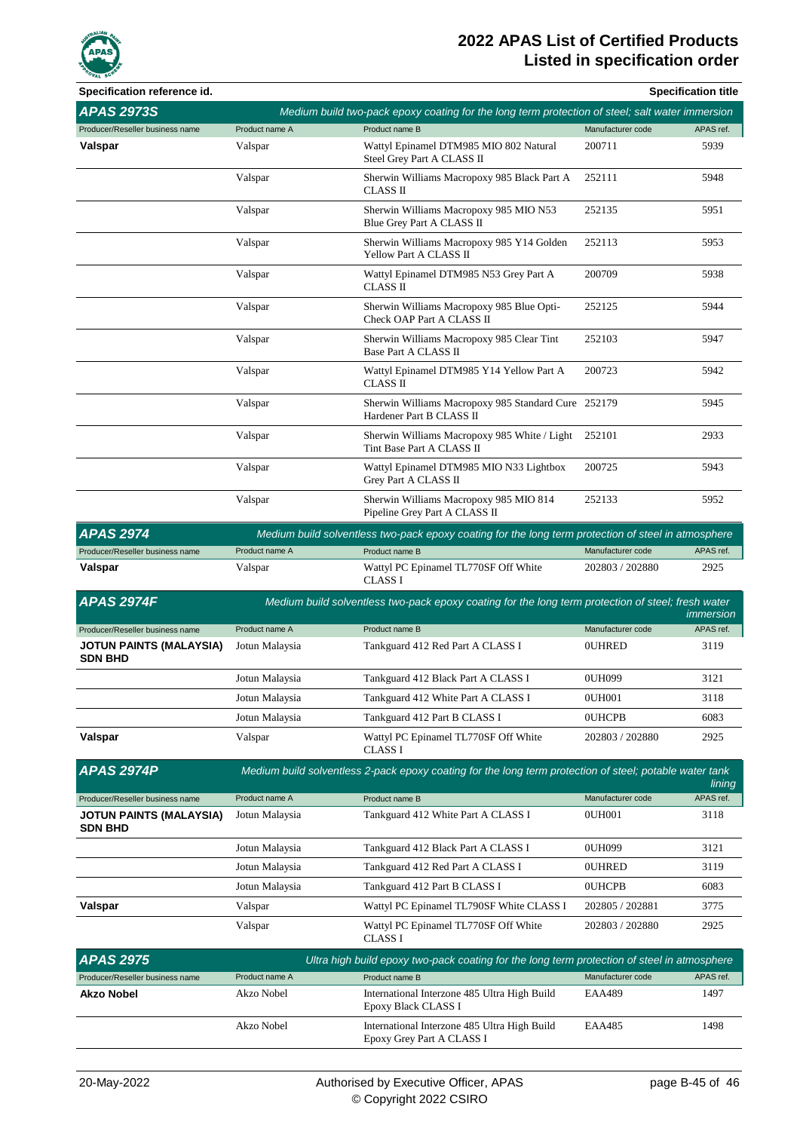

| Specification reference id.                      |                |                                                                                                         |                   | <b>Specification title</b> |
|--------------------------------------------------|----------------|---------------------------------------------------------------------------------------------------------|-------------------|----------------------------|
| <b>APAS 2973S</b>                                |                | Medium build two-pack epoxy coating for the long term protection of steel; salt water immersion         |                   |                            |
| Producer/Reseller business name                  | Product name A | Product name B                                                                                          | Manufacturer code | APAS ref.                  |
| Valspar                                          | Valspar        | Wattyl Epinamel DTM985 MIO 802 Natural<br>Steel Grey Part A CLASS II                                    | 200711            | 5939                       |
|                                                  | Valspar        | Sherwin Williams Macropoxy 985 Black Part A<br>CLASS II                                                 | 252111            | 5948                       |
|                                                  | Valspar        | Sherwin Williams Macropoxy 985 MIO N53<br>Blue Grey Part A CLASS II                                     | 252135            | 5951                       |
|                                                  | Valspar        | Sherwin Williams Macropoxy 985 Y14 Golden<br>Yellow Part A CLASS II                                     | 252113            | 5953                       |
|                                                  | Valspar        | Wattyl Epinamel DTM985 N53 Grey Part A<br>CLASS II                                                      | 200709            | 5938                       |
|                                                  | Valspar        | Sherwin Williams Macropoxy 985 Blue Opti-<br>Check OAP Part A CLASS II                                  | 252125            | 5944                       |
|                                                  | Valspar        | Sherwin Williams Macropoxy 985 Clear Tint<br>Base Part A CLASS II                                       | 252103            | 5947                       |
|                                                  | Valspar        | Wattyl Epinamel DTM985 Y14 Yellow Part A<br><b>CLASS II</b>                                             | 200723            | 5942                       |
|                                                  | Valspar        | Sherwin Williams Macropoxy 985 Standard Cure 252179<br>Hardener Part B CLASS II                         |                   | 5945                       |
|                                                  | Valspar        | Sherwin Williams Macropoxy 985 White / Light<br>Tint Base Part A CLASS II                               | 252101            | 2933                       |
|                                                  | Valspar        | Wattyl Epinamel DTM985 MIO N33 Lightbox<br>Grey Part A CLASS II                                         | 200725            | 5943                       |
|                                                  | Valspar        | Sherwin Williams Macropoxy 985 MIO 814<br>Pipeline Grey Part A CLASS II                                 | 252133            | 5952                       |
| <b>APAS 2974</b>                                 |                | Medium build solventless two-pack epoxy coating for the long term protection of steel in atmosphere     |                   |                            |
| Producer/Reseller business name                  | Product name A | Product name B                                                                                          | Manufacturer code | APAS ref.                  |
| Valspar                                          | Valspar        | Wattyl PC Epinamel TL770SF Off White<br><b>CLASS I</b>                                                  | 202803 / 202880   | 2925                       |
| <b>APAS 2974F</b>                                |                | Medium build solventless two-pack epoxy coating for the long term protection of steel; fresh water      |                   | immersion                  |
| Producer/Reseller business name                  | Product name A | Product name B                                                                                          | Manufacturer code | APAS ref.                  |
| <b>JOTUN PAINTS (MALAYSIA)</b><br><b>SDN BHD</b> | Jotun Malaysia | Tankguard 412 Red Part A CLASS I                                                                        | <b>OUHRED</b>     | 3119                       |
|                                                  | Jotun Malaysia | Tankguard 412 Black Part A CLASS I                                                                      | 0UH099            | 3121                       |
|                                                  | Jotun Malaysia | Tankguard 412 White Part A CLASS I                                                                      | 0UH001            | 3118                       |
|                                                  | Jotun Malaysia | Tankguard 412 Part B CLASS I                                                                            | <b>OUHCPB</b>     | 6083                       |
| Valspar                                          | Valspar        | Wattyl PC Epinamel TL770SF Off White<br><b>CLASS I</b>                                                  | 202803 / 202880   | 2925                       |
| <b>APAS 2974P</b>                                |                | Medium build solventless 2-pack epoxy coating for the long term protection of steel; potable water tank |                   | lining                     |
| Producer/Reseller business name                  | Product name A | Product name B                                                                                          | Manufacturer code | APAS ref.                  |
| <b>JOTUN PAINTS (MALAYSIA)</b><br><b>SDN BHD</b> | Jotun Malaysia | Tankguard 412 White Part A CLASS I                                                                      | 0UH001            | 3118                       |
|                                                  | Jotun Malaysia | Tankguard 412 Black Part A CLASS I                                                                      | 0UH099            | 3121                       |
|                                                  | Jotun Malaysia | Tankguard 412 Red Part A CLASS I                                                                        | <b>OUHRED</b>     | 3119                       |
|                                                  | Jotun Malaysia | Tankguard 412 Part B CLASS I                                                                            | <b>OUHCPB</b>     | 6083                       |
| Valspar                                          | Valspar        | Wattyl PC Epinamel TL790SF White CLASS I                                                                | 202805 / 202881   | 3775                       |
|                                                  | Valspar        | Wattyl PC Epinamel TL770SF Off White<br><b>CLASS I</b>                                                  | 202803 / 202880   | 2925                       |
| <b>APAS 2975</b>                                 |                | Ultra high build epoxy two-pack coating for the long term protection of steel in atmosphere             |                   |                            |
| Producer/Reseller business name                  | Product name A | Product name B                                                                                          | Manufacturer code | APAS ref.                  |
| <b>Akzo Nobel</b>                                | Akzo Nobel     | International Interzone 485 Ultra High Build<br>Epoxy Black CLASS I                                     | <b>EAA489</b>     | 1497                       |
|                                                  | Akzo Nobel     | International Interzone 485 Ultra High Build<br>Epoxy Grey Part A CLASS I                               | <b>EAA485</b>     | 1498                       |